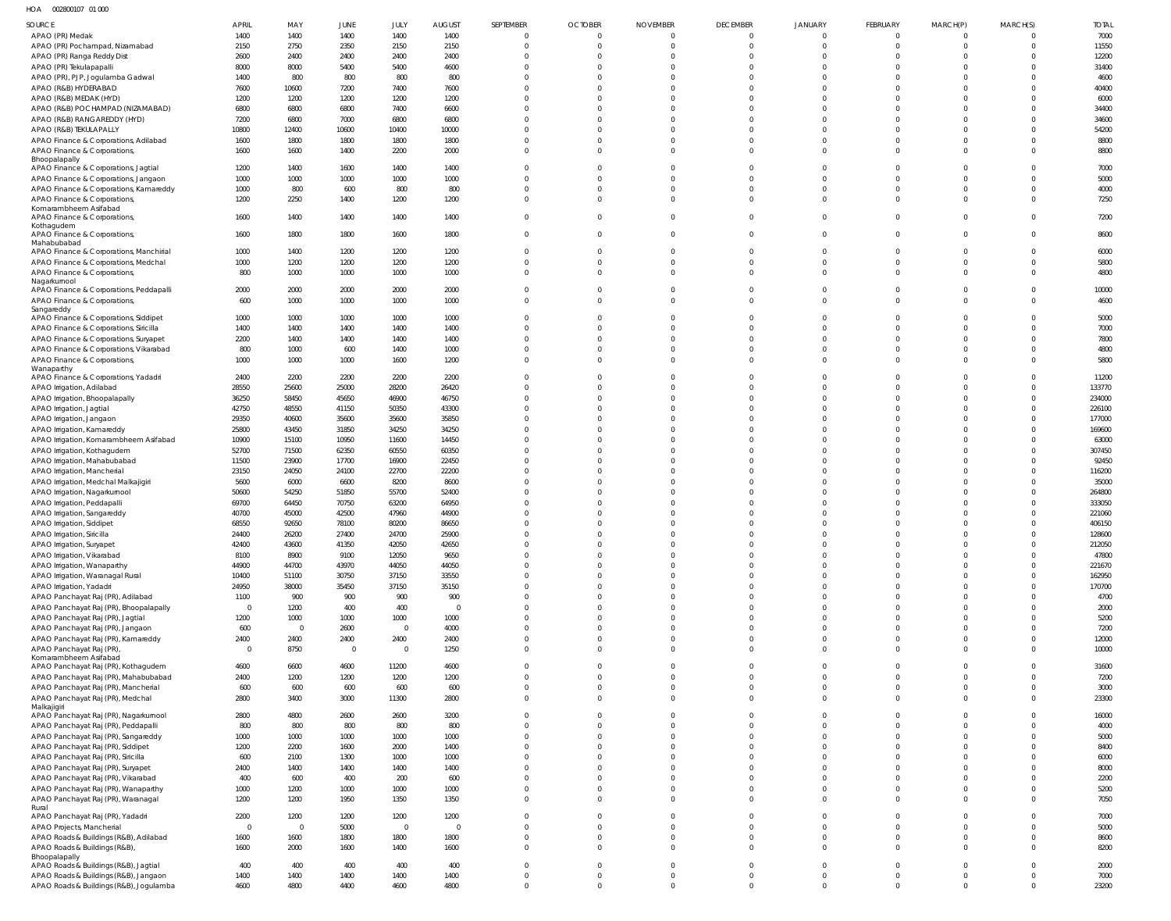HOA 002800107 01 000

| SOURCE                                                                          | APRIL                  | MAY                    | JUNE           | JULY                   | <b>AUGUST</b>       | SEPTEMBER                  | <b>OCTOBER</b>       | <b>NOVEMBER</b>      | <b>DECEMBER</b>            | JANUARY                      | FEBRUARY                   | MARCH(P)             | MARCH(S)             | <b>TOTAL</b>     |
|---------------------------------------------------------------------------------|------------------------|------------------------|----------------|------------------------|---------------------|----------------------------|----------------------|----------------------|----------------------------|------------------------------|----------------------------|----------------------|----------------------|------------------|
| APAO (PR) Medak                                                                 | 1400                   | 1400                   | 1400           | 1400                   | 1400                | $\mathbf{0}$               | $\mathbf{0}$         | $\mathbf{0}$         | $\overline{0}$             | $\overline{0}$               | $\overline{0}$             | $\mathbf{0}$         |                      | 7000             |
| APAO (PR) Pochampad, Nizamabad                                                  | 2150                   | 2750                   | 2350           | 2150                   | 2150                | $\Omega$                   | $\mathbf 0$          | $\Omega$             | $\overline{0}$             | $\mathbf 0$                  | $\mathbf{0}$               | $\Omega$             | $\Omega$             | 11550            |
| APAO (PR) Ranga Reddy Dist                                                      | 2600                   | 2400                   | 2400           | 2400                   | 2400                | $\Omega$                   | $\Omega$             |                      | $\overline{0}$             | $\mathbf 0$                  | $\mathbf 0$                | $\Omega$             |                      | 12200            |
| APAO (PR) Tekulapapalli                                                         | 8000                   | 8000                   | 5400           | 5400                   | 4600                | $\Omega$                   | $\Omega$             | $\Omega$             | $\mathbf 0$                | $\Omega$                     | $\Omega$                   | $\Omega$             |                      | 31400            |
| APAO (PR), PJP, Jogulamba Gadwal                                                | 1400                   | 800                    | 800            | 800                    | 800                 | $\Omega$                   | $\Omega$             |                      | $\mathbf 0$                | $\mathbf 0$                  | $\mathbf 0$                | $\Omega$             |                      | 4600             |
| APAO (R&B) HYDERABAD                                                            | 7600                   | 10600                  | 7200           | 7400                   | 7600                | $\Omega$                   | $\Omega$             | $\Omega$             | $\Omega$                   | $\Omega$                     | $\Omega$                   | $\Omega$             |                      | 40400            |
| APAO (R&B) MEDAK (HYD)                                                          | 1200                   | 1200                   | 1200           | 1200                   | 1200                | $\Omega$<br>$\Omega$       | $\Omega$<br>$\Omega$ | $\Omega$             | $\Omega$                   | $\mathbf 0$                  | $\mathbf 0$                | $\Omega$<br>$\Omega$ |                      | 6000             |
| APAO (R&B) POCHAMPAD (NIZAMABAD)<br>APAO (R&B) RANGAREDDY (HYD)                 | 6800<br>7200           | 6800<br>6800           | 6800<br>7000   | 7400<br>6800           | 6600<br>6800        | $\Omega$                   | $\Omega$             | $\Omega$             | $\Omega$<br>$\Omega$       | $\Omega$<br>$\mathbf 0$      | $\Omega$<br>$\mathbf 0$    | $\Omega$             |                      | 34400<br>34600   |
| APAO (R&B) TEKULAPALLY                                                          | 10800                  | 12400                  | 10600          | 10400                  | 10000               | $\Omega$                   | $\Omega$             | $\Omega$             | $\Omega$                   | $\Omega$                     | $\Omega$                   | $\Omega$             |                      | 54200            |
| APAO Finance & Corporations, Adilabad                                           | 1600                   | 1800                   | 1800           | 1800                   | 1800                | $\Omega$                   | $\Omega$             | $\Omega$             | $\mathbf 0$                | $\mathbf{0}$                 | $\mathbf 0$                | $\Omega$             |                      | 8800             |
| APAO Finance & Corporations,                                                    | 1600                   | 1600                   | 1400           | 2200                   | 2000                | $\Omega$                   | $\Omega$             | $\Omega$             | $\mathbf 0$                | $\mathbf 0$                  | $\mathbf 0$                | $\Omega$             | $\Omega$             | 8800             |
| Bhoopalapally                                                                   |                        |                        |                |                        |                     |                            |                      |                      |                            |                              |                            |                      |                      |                  |
| APAO Finance & Corporations, Jagtial                                            | 1200                   | 1400                   | 1600           | 1400                   | 1400                | $\mathbf{0}$               | $\Omega$             | $\Omega$             | $\mathbf 0$                | $\mathbf 0$                  | $\mathbf 0$                | $\mathbf{0}$         |                      | 7000             |
| APAO Finance & Corporations, Jangaon                                            | 1000<br>1000           | 1000<br>800            | 1000<br>600    | 1000<br>800            | 1000<br>800         | $\Omega$<br>$\Omega$       | $\Omega$<br>$\Omega$ | $\Omega$<br>$\Omega$ | $\mathbf 0$<br>$\mathbf 0$ | $\mathbf 0$<br>$\mathbf 0$   | $\mathbf 0$<br>$\mathbf 0$ | $\Omega$<br>$\Omega$ | $\Omega$             | 5000<br>4000     |
| APAO Finance & Corporations, Kamareddy<br>APAO Finance & Corporations,          | 1200                   | 2250                   | 1400           | 1200                   | 1200                | $\Omega$                   | $\Omega$             | $\Omega$             | $\mathbf 0$                | $\mathbf{0}$                 | $\mathbf 0$                | $\Omega$             | $\Omega$             | 7250             |
| Komarambheem Asifabad                                                           |                        |                        |                |                        |                     |                            |                      |                      |                            |                              |                            |                      |                      |                  |
| APAO Finance & Corporations,                                                    | 1600                   | 1400                   | 1400           | 1400                   | 1400                | $\Omega$                   | $\Omega$             | $\Omega$             | $\mathbf{0}$               | $\mathbf{0}$                 | $\mathbf 0$                | $\Omega$             | $\Omega$             | 7200             |
| Kothagudem<br>APAO Finance & Corporations,                                      | 1600                   | 1800                   | 1800           | 1600                   | 1800                | $\Omega$                   | $\Omega$             | $\Omega$             | $\mathbf{0}$               | $\mathbf{0}$                 | $\mathbf 0$                | $\Omega$             | $\Omega$             | 8600             |
| Mahabubabad                                                                     |                        |                        |                |                        |                     |                            |                      |                      |                            |                              |                            |                      |                      |                  |
| APAO Finance & Corporations, Manchirial                                         | 1000                   | 1400                   | 1200           | 1200                   | 1200                | $\mathbf{0}$               | $\mathbf{0}$         | $\Omega$             | $\mathbf 0$                | $\mathbf 0$                  | $\mathbf 0$                | $\mathbf{0}$         |                      | 6000             |
| APAO Finance & Corporations, Medchal                                            | 1000                   | 1200                   | 1200           | 1200                   | 1200                | $\mathbf{0}$               | $\mathbf 0$          | $\mathbf{0}$         | $\mathbf 0$                | $\mathbf 0$                  | $\mathbf 0$                | $\mathbf{0}$         | $\Omega$             | 5800             |
| APAO Finance & Corporations,<br>Nagarkurnool                                    | 800                    | 1000                   | 1000           | 1000                   | 1000                | $\Omega$                   | $\Omega$             | $\Omega$             | $\mathbf 0$                | $\mathbf 0$                  | $\mathbf{0}$               | $\Omega$             | $\Omega$             | 4800             |
| APAO Finance & Corporations, Peddapalli                                         | 2000                   | 2000                   | 2000           | 2000                   | 2000                | $\Omega$                   | $\Omega$             | $\Omega$             | $\mathbf 0$                | $\mathbf{0}$                 | $\mathbf 0$                | $\Omega$             | $\Omega$             | 10000            |
| APAO Finance & Corporations,                                                    | 600                    | 1000                   | 1000           | 1000                   | 1000                | $\Omega$                   | $\Omega$             | $\Omega$             | $\mathbf{0}$               | $\mathbf 0$                  | $\overline{0}$             | $\Omega$             | $\Omega$             | 4600             |
| Sangareddy                                                                      |                        |                        |                |                        |                     |                            |                      |                      |                            |                              |                            |                      |                      |                  |
| APAO Finance & Corporations, Siddipet                                           | 1000                   | 1000                   | 1000           | 1000                   | 1000                | $\Omega$                   | $\Omega$             | $\Omega$             | $\mathbf 0$                | $\mathbf 0$                  | $\mathbf 0$                | $\Omega$             |                      | 5000             |
| APAO Finance & Corporations, Siricilla<br>APAO Finance & Corporations, Suryapet | 1400<br>2200           | 1400<br>1400           | 1400<br>1400   | 1400<br>1400           | 1400<br>1400        | $\Omega$<br>$\Omega$       | $\Omega$<br>$\Omega$ | $\Omega$<br>$\Omega$ | $\mathbf 0$<br>$\mathbf 0$ | $\mathbf 0$<br>$\mathbf 0$   | $\mathbf 0$<br>$\mathbf 0$ | $\Omega$<br>$\Omega$ | $\Omega$             | 7000<br>7800     |
| APAO Finance & Corporations, Vikarabad                                          | 800                    | 1000                   | 600            | 1400                   | 1000                | $\Omega$                   | $\Omega$             | $\Omega$             | $\mathbf 0$                | $\mathbf{0}$                 | $\mathbf 0$                | $\Omega$             |                      | 4800             |
| APAO Finance & Corporations,                                                    | 1000                   | 1000                   | 1000           | 1600                   | 1200                | $\Omega$                   | $\Omega$             | $\Omega$             | $\Omega$                   | $\mathbf 0$                  | $\mathbf 0$                | $\Omega$             |                      | 5800             |
| Wanaparthy                                                                      |                        |                        |                |                        |                     |                            |                      |                      |                            |                              |                            |                      |                      |                  |
| APAO Finance & Corporations, Yadadri                                            | 2400                   | 2200                   | 2200           | 2200                   | 2200                | $\Omega$                   | $\Omega$             | $\Omega$             | $\mathbf 0$                | $\mathbf 0$                  | $\mathbf 0$                | $\Omega$             |                      | 11200            |
| APAO Irrigation, Adilabad                                                       | 28550                  | 25600                  | 25000          | 28200                  | 26420               | $\Omega$                   | $\Omega$             | $\Omega$             | $\mathbf 0$                | $\Omega$                     | $\mathbf 0$                | $\Omega$             |                      | 133770           |
| APAO Irrigation, Bhoopalapally                                                  | 36250<br>42750         | 58450<br>48550         | 45650<br>41150 | 46900<br>50350         | 46750<br>43300      | $\Omega$<br>$\Omega$       | $\Omega$<br>$\Omega$ | $\Omega$<br>$\Omega$ | $\mathbf 0$<br>$\Omega$    | $\mathbf 0$<br>$\Omega$      | $\mathbf 0$<br>$\Omega$    | $\Omega$<br>$\Omega$ |                      | 234000<br>226100 |
| APAO Irrigation, Jagtial<br>APAO Irrigation, Jangaon                            | 29350                  | 40600                  | 35600          | 35600                  | 35850               | $\Omega$                   | $\Omega$             |                      | $\Omega$                   | $\mathbf 0$                  | $\mathbf 0$                | $\Omega$             |                      | 177000           |
| APAO Irrigation, Kamareddy                                                      | 25800                  | 43450                  | 31850          | 34250                  | 34250               | $\Omega$                   | $\Omega$             | $\Omega$             | $\Omega$                   | $\Omega$                     | $\Omega$                   | $\Omega$             |                      | 169600           |
| APAO Irrigation, Komarambheem Asifabad                                          | 10900                  | 15100                  | 10950          | 11600                  | 14450               | $\Omega$                   | $\Omega$             | $\Omega$             | $\mathbf 0$                | $\mathbf 0$                  | $\mathbf 0$                | $\Omega$             |                      | 63000            |
| APAO Irrigation, Kothagudem                                                     | 52700                  | 71500                  | 62350          | 60550                  | 60350               | $\Omega$                   | $\Omega$             | $\Omega$             | $\Omega$                   | $\Omega$                     | $\Omega$                   | $\Omega$             |                      | 307450           |
| APAO Irrigation, Mahabubabad                                                    | 11500                  | 23900                  | 17700          | 16900                  | 22450               | $\Omega$                   | $\Omega$             | $\Omega$             | $\Omega$                   | $\mathbf 0$                  | $\mathbf 0$                | $\Omega$             |                      | 92450            |
| APAO Irrigation, Mancherial                                                     | 23150                  | 24050                  | 24100          | 22700                  | 22200               | <sup>0</sup>               | $\Omega$             |                      | $\Omega$                   | $\Omega$                     | $\Omega$                   | $\Omega$             |                      | 116200           |
| APAO Irrigation, Medchal Malkajigiri                                            | 5600                   | 6000                   | 6600           | 8200                   | 8600                | <sup>0</sup>               | $\Omega$             | $\Omega$             | $\Omega$                   | $\mathbf 0$                  | $\mathbf 0$                | $\Omega$             |                      | 35000            |
| APAO Irrigation, Nagarkurnool                                                   | 50600                  | 54250                  | 51850          | 55700                  | 52400               | $\Omega$                   | $\Omega$             | $\Omega$             | $\Omega$                   | $\Omega$                     | $\Omega$                   | $\Omega$             |                      | 264800           |
| APAO Irrigation, Peddapalli                                                     | 69700                  | 64450                  | 70750          | 63200                  | 64950               |                            | $\Omega$<br>$\Omega$ |                      | $\Omega$<br>$\mathbf 0$    | $\Omega$<br>$\Omega$         | $\mathbf 0$<br>$\mathbf 0$ |                      |                      | 333050           |
| APAO Irrigation, Sangareddy<br>APAO Irrigation, Siddipet                        | 40700<br>68550         | 45000<br>92650         | 42500<br>78100 | 47960<br>80200         | 44900<br>86650      | $\Omega$                   | $\Omega$             | $\Omega$             | $\mathbf 0$                | $\mathbf 0$                  | $\mathbf 0$                | $\Omega$             | $\Omega$             | 221060<br>406150 |
| APAO Irrigation, Siricilla                                                      | 24400                  | 26200                  | 27400          | 24700                  | 25900               | $\cap$                     | $\cap$               | $\cap$               | $\Omega$                   | $\Omega$                     | $\Omega$                   | $\Omega$             |                      | 128600           |
| APAO Irrigation, Suryapet                                                       | 42400                  | 43600                  | 41350          | 42050                  | 42650               |                            |                      |                      | $\mathbf 0$                | $\mathbf 0$                  | $\mathbf 0$                |                      |                      | 212050           |
| APAO Irrigation, Vikarabad                                                      | 8100                   | 8900                   | 9100           | 12050                  | 9650                | $\Omega$                   | $\mathbf 0$          | $\Omega$             | $\mathbf 0$                | $\mathbf 0$                  | $\mathbf 0$                | $\Omega$             |                      | 47800            |
| APAO Irrigation, Wanaparthy                                                     | 44900                  | 44700                  | 43970          | 44050                  | 44050               | $\Omega$                   | $\Omega$             | $\Omega$             | $\mathbf 0$                | $\mathbf 0$                  | $\mathbf 0$                | $\Omega$             |                      | 221670           |
| APAO Irrigation, Waranagal Rural                                                | 10400                  | 51100                  | 30750          | 37150                  | 33550               | $\Omega$                   | $\Omega$             | $\Omega$             | $\Omega$                   | $\mathbf 0$                  | $\mathbf 0$                | $\Omega$             |                      | 162950           |
| APAO Irrigation, Yadadri                                                        | 24950                  | 38000                  | 35450          | 37150                  | 35150               | $\Omega$                   | $\Omega$             | $\Omega$             | $\mathbf{0}$               | $\mathbf 0$                  | $\mathbf{0}$               | $\Omega$             |                      | 170700           |
| APAO Panchayat Raj (PR), Adilabad                                               | 1100                   | 900                    | 900            | 900                    | 900                 | $\mathbf 0$                | $\Omega$             | $\Omega$             | $\mathbf 0$                | $\mathbf 0$                  | $\mathbf 0$                | $\Omega$             | $\Omega$             | 4700             |
| APAO Panchayat Raj (PR), Bhoopalapally<br>APAO Panchayat Raj (PR), Jagtial      | $\mathbf 0$<br>1200    | 1200<br>1000           | 400<br>1000    | 400<br>1000            | $\mathbf 0$<br>1000 | $\Omega$<br>$\Omega$       | $\Omega$<br>$\Omega$ | $\Omega$<br>$\Omega$ | $\mathbf{0}$<br>$\Omega$   | $\mathbf 0$<br>$\mathbf 0$   | $\mathbf 0$<br>$\Omega$    | $\Omega$<br>$\Omega$ | $\Omega$<br>$\Omega$ | 2000<br>5200     |
| APAO Panchayat Raj (PR), Jangaon                                                | 600                    | $\overline{0}$         | 2600           | $\overline{0}$         | 4000                | $\Omega$                   | $\Omega$             | $\Omega$             | $\mathbf 0$                | $\mathbf 0$                  | $\mathbf 0$                | $\Omega$             |                      | 7200             |
| APAO Panchayat Raj (PR), Kamareddy                                              | 2400                   | 2400                   | 2400           | 2400                   | 2400                | $\mathbf 0$                | $\Omega$             | $\mathbf 0$          | $\mathbf 0$                | $\mathbf 0$                  | $\mathbf 0$                | $\mathbf 0$          | $\Omega$             | 12000            |
| APAO Panchayat Raj (PR)                                                         | $\overline{0}$         | 8750                   | $\overline{0}$ | $\overline{0}$         | 1250                | $\Omega$                   | $\Omega$             | $\Omega$             | $\Omega$                   | $\mathbf 0$                  | $\Omega$                   | $\Omega$             | $\Omega$             | 10000            |
| Komarambheem Asifabad                                                           |                        |                        |                |                        |                     |                            |                      |                      |                            |                              |                            |                      |                      |                  |
| APAO Panchayat Raj (PR), Kothagudem                                             | 4600<br>2400           | 6600<br>1200           | 4600<br>1200   | 11200<br>1200          | 4600<br>1200        | $\Omega$<br>$\Omega$       | $\Omega$<br>$\Omega$ | $\Omega$<br>$\Omega$ | $\Omega$<br>$\mathbf 0$    | $\Omega$<br>$\mathbf{0}$     | $\Omega$<br>$\mathbf 0$    | $\Omega$<br>$\Omega$ | $\Omega$<br>$\Omega$ | 31600<br>7200    |
| APAO Panchayat Raj (PR), Mahabubabad<br>APAO Panchayat Raj (PR), Mancherial     | 600                    | 600                    | 600            | 600                    | 600                 | $\overline{0}$             | $\Omega$             | $\Omega$             | $\mathbf 0$                | $\mathbf 0$                  | $\mathbf 0$                | $\overline{0}$       | $\Omega$             | 3000             |
| APAO Panchayat Raj (PR), Medchal                                                | 2800                   | 3400                   | 3000           | 11300                  | 2800                | $\Omega$                   | $\Omega$             | $\Omega$             | $\Omega$                   | $\Omega$                     | $\Omega$                   | $\Omega$             | $\Omega$             | 23300            |
| Malkajigiri                                                                     |                        |                        |                |                        |                     |                            |                      |                      |                            |                              |                            |                      |                      |                  |
| APAO Panchayat Raj (PR), Nagarkurnool                                           | 2800                   | 4800                   | 2600           | 2600                   | 3200                | $\Omega$                   | $\Omega$             | $\Omega$             | $\Omega$                   | $\Omega$                     | $\Omega$                   | $\Omega$             | $\Omega$             | 16000            |
| APAO Panchayat Raj (PR), Peddapalli                                             | 800                    | 800                    | 800            | 800                    | 800                 | $\Omega$                   | $\Omega$             | $\Omega$             | $\Omega$                   | $\mathbf 0$                  | $\mathbf 0$                | $\Omega$             |                      | 4000             |
| APAO Panchayat Raj (PR), Sangareddy                                             | 1000                   | 1000                   | 1000           | 1000                   | 1000                | $\overline{0}$<br>$\Omega$ | $\Omega$<br>$\Omega$ | $\Omega$<br>$\Omega$ | $\Omega$<br>$\Omega$       | $\Omega$<br>$\mathbf 0$      | $\Omega$<br>$\Omega$       | $\Omega$<br>$\Omega$ | $\Omega$             | 5000<br>8400     |
| APAO Panchayat Raj (PR), Siddipet<br>APAO Panchayat Raj (PR), Siricilla         | 1200<br>600            | 2200<br>2100           | 1600<br>1300   | 2000<br>1000           | 1400<br>1000        | $\Omega$                   | $\Omega$             | $\Omega$             | $\Omega$                   | $\Omega$                     | $\Omega$                   | $\Omega$             | $\Omega$             | 6000             |
| APAO Panchayat Raj (PR), Suryapet                                               | 2400                   | 1400                   | 1400           | 1400                   | 1400                | $\Omega$                   | $\Omega$             | $\Omega$             | $\Omega$                   | $\Omega$                     | $\Omega$                   | $\Omega$             | $\Omega$             | 8000             |
| APAO Panchayat Raj (PR), Vikarabad                                              | 400                    | 600                    | 400            | 200                    | 600                 | $\Omega$                   | $\Omega$             | $\Omega$             | $\Omega$                   | $\mathbf 0$                  | $\Omega$                   | $\Omega$             | $\Omega$             | 2200             |
| APAO Panchayat Raj (PR), Wanaparthy                                             | 1000                   | 1200                   | 1000           | 1000                   | 1000                | $\mathbf{0}$               | $\Omega$             | $\Omega$             | $\mathbf 0$                | $\mathbf{0}$                 | $\mathbf 0$                | $\Omega$             | $\Omega$             | 5200             |
| APAO Panchayat Raj (PR), Waranagal                                              | 1200                   | 1200                   | 1950           | 1350                   | 1350                | $\Omega$                   | $\Omega$             | $\Omega$             | $\Omega$                   | $\mathbf 0$                  | $\Omega$                   | $\Omega$             | $\Omega$             | 7050             |
| Rural                                                                           |                        |                        |                |                        |                     |                            |                      |                      |                            |                              |                            |                      |                      |                  |
| APAO Panchayat Raj (PR), Yadadri                                                | 2200<br>$\overline{0}$ | 1200<br>$\overline{0}$ | 1200<br>5000   | 1200                   | 1200<br>$\mathbf 0$ | $\Omega$<br>$\overline{0}$ | $\Omega$<br>$\Omega$ | $\Omega$<br>$\Omega$ | $\mathbf 0$<br>$\mathbf 0$ | $\mathbf{0}$<br>$\mathbf{0}$ | $\mathbf 0$<br>$\mathbf 0$ | $\Omega$<br>$\Omega$ | $\Omega$<br>$\Omega$ | 7000             |
| APAO Projects, Mancherial<br>APAO Roads & Buildings (R&B), Adilabad             | 1600                   | 1600                   | 1800           | $\overline{0}$<br>1800 | 1800                | $\mathbf 0$                | $\Omega$             | $\Omega$             | $\mathbf 0$                | $\mathbf 0$                  | $\mathbf 0$                | $\Omega$             | $\Omega$             | 5000<br>8600     |
| APAO Roads & Buildings (R&B),                                                   | 1600                   | 2000                   | 1600           | 1400                   | 1600                | $\overline{0}$             | $\Omega$             | $\Omega$             | $\mathbf 0$                | $\mathbf 0$                  | $\mathbf 0$                | $\Omega$             | $\Omega$             | 8200             |
| Bhoopalapally                                                                   |                        |                        |                |                        |                     |                            |                      |                      |                            |                              |                            |                      |                      |                  |
| APAO Roads & Buildings (R&B), Jagtial                                           | 400                    | 400                    | 400            | 400                    | 400                 | $\mathbf 0$                | $\mathbf 0$          | $\mathbf 0$          | $\mathbf 0$                | $\overline{0}$               | $\mathbf 0$                | $\overline{0}$       | $\Omega$             | 2000             |
| APAO Roads & Buildings (R&B), Jangaon                                           | 1400                   | 1400                   | 1400           | 1400                   | 1400                | $\mathbf 0$                | $\mathbf 0$          | $\mathbf 0$          | $\overline{0}$             | $\mathbf 0$                  | $\overline{0}$             | $\mathbf 0$          | $\Omega$             | 7000             |
| APAO Roads & Buildings (R&B), Jogulamba                                         | 4600                   | 4800                   | 4400           | 4600                   | 4800                | $\mathbf 0$                | $\mathbf 0$          | $\Omega$             | $\mathbf{0}$               | $\mathbf{0}$                 | $\mathbf 0$                | $\Omega$             | $\Omega$             | 23200            |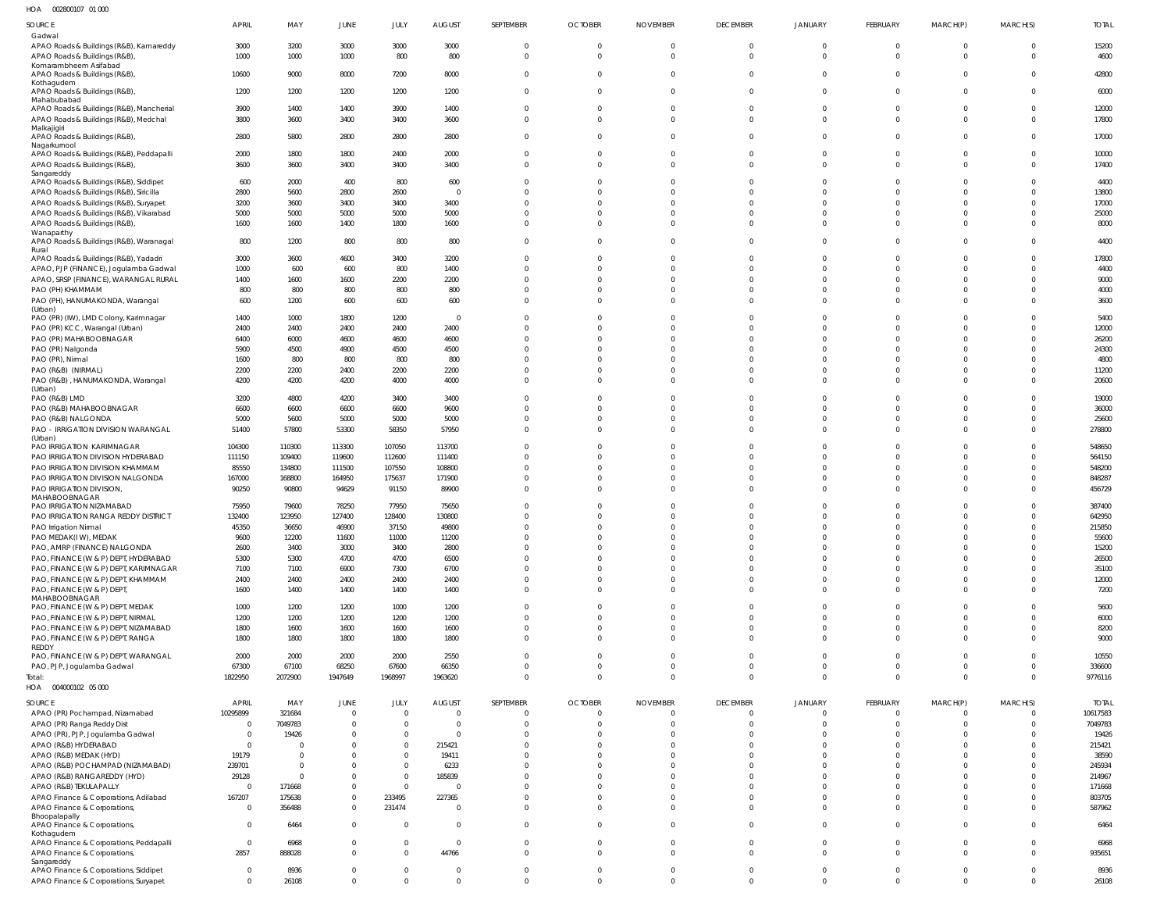002800107 01 000 HOA

| SOURCE                                                | <b>APRIL</b>   | MAY      | <b>JUNE</b>    | JULY           | <b>AUGUST</b>  | SEPTEMBER      | <b>OCTOBER</b> | <b>NOVEMBER</b> | <b>DECEMBER</b> | <b>JANUARY</b> | FEBRUARY     | MARCH(P)       | MARCH(S)     | <b>TOTAL</b> |
|-------------------------------------------------------|----------------|----------|----------------|----------------|----------------|----------------|----------------|-----------------|-----------------|----------------|--------------|----------------|--------------|--------------|
| Gadwal                                                |                |          |                |                |                |                |                |                 |                 |                |              |                |              |              |
| APAO Roads & Buildings (R&B), Kamareddy               | 3000           | 3200     | 3000           | 3000           | 3000           | $\mathbf 0$    | $\mathbf 0$    | $\mathbf 0$     | $\Omega$        | $\Omega$       | $\Omega$     | $\overline{0}$ | $\Omega$     | 15200        |
| APAO Roads & Buildings (R&B),                         | 1000           | 1000     | 1000           | 800            | 800            | $\mathbf{0}$   | $\Omega$       | $\mathbf{0}$    | $\Omega$        | $\Omega$       | $\Omega$     | $\overline{0}$ | $\Omega$     | 4600         |
| Komarambheem Asifabad                                 |                |          |                |                |                |                |                |                 |                 |                |              |                |              |              |
| APAO Roads & Buildings (R&B)                          | 10600          | 9000     | 8000           | 7200           | 8000           | $\mathbf 0$    | $\overline{0}$ | $\mathbf{0}$    | $\Omega$        | $\Omega$       | $\Omega$     | $\Omega$       | $\Omega$     | 42800        |
| Kothagudem<br>APAO Roads & Buildings (R&B),           | 1200           | 1200     | 1200           | 1200           | 1200           | $\Omega$       | $\mathbf 0$    | $\Omega$        | $\Omega$        | $\Omega$       | $\Omega$     | $\Omega$       | $\Omega$     | 6000         |
| Mahabubabad                                           |                |          |                |                |                |                |                |                 |                 |                |              |                |              |              |
| APAO Roads & Buildings (R&B), Mancherial              | 3900           | 1400     | 1400           | 3900           | 1400           | $\Omega$       | $\mathbf{0}$   | $\Omega$        | $\Omega$        | $\Omega$       | $\Omega$     | $\overline{0}$ | $\Omega$     | 12000        |
| APAO Roads & Buildings (R&B), Medchal                 | 3800           | 3600     | 3400           | 3400           | 3600           | $\Omega$       | $\Omega$       | $\Omega$        | $\Omega$        | $\Omega$       | $\Omega$     | $\Omega$       | $\Omega$     | 17800        |
| Malkajigiri                                           |                |          |                |                |                |                |                |                 |                 |                |              |                |              |              |
| APAO Roads & Buildings (R&B),                         | 2800           | 5800     | 2800           | 2800           | 2800           | $\Omega$       | $\Omega$       | $\Omega$        | $\Omega$        | $\Omega$       | $\Omega$     | $\Omega$       | $\Omega$     | 17000        |
| Nagarkurnool                                          |                |          |                |                |                |                |                |                 |                 |                |              |                |              |              |
| APAO Roads & Buildings (R&B), Peddapalli              | 2000           | 1800     | 1800           | 2400           | 2000           | $\mathbf{0}$   | $\mathbf{0}$   | $\mathbf{0}$    | $\Omega$        | $\Omega$       | $\Omega$     | $\overline{0}$ | $\Omega$     | 10000        |
| APAO Roads & Buildings (R&B),                         | 3600           | 3600     | 3400           | 3400           | 3400           | $\Omega$       | $\overline{0}$ | $\Omega$        | $\Omega$        | $\Omega$       | $\Omega$     | $\Omega$       | $\Omega$     | 17400        |
| Sangareddy                                            |                |          |                |                |                |                |                |                 |                 |                |              |                |              |              |
| APAO Roads & Buildings (R&B), Siddipet                | 600            | 2000     | 400            | 800            | 600            | $\Omega$       | $\mathbf{0}$   | $\Omega$        | $\Omega$        | $\Omega$       | $\Omega$     | $\mathbf{0}$   | $\Omega$     | 4400         |
| APAO Roads & Buildings (R&B), Siricilla               | 2800           | 5600     | 2800           | 2600           | $\overline{0}$ | $\Omega$       | $\Omega$       | $\Omega$        | $\Omega$        | $\Omega$       | $\Omega$     | $\Omega$       | $\Omega$     | 13800        |
| APAO Roads & Buildings (R&B), Suryapet                | 3200           | 3600     | 3400           | 3400           | 3400           | $\Omega$       | $\Omega$       | $\Omega$        | $\Omega$        | $\Omega$       | $\Omega$     | $\Omega$       | $\Omega$     | 17000        |
| APAO Roads & Buildings (R&B), Vikarabad               | 5000           | 5000     | 5000           | 5000           | 5000           | $\Omega$       | $\Omega$       | $\Omega$        | $\Omega$        | $\Omega$       | $\Omega$     | $\Omega$       | $\Omega$     | 25000        |
|                                                       |                |          |                |                |                | $\Omega$       | $\Omega$       | $\Omega$        | $\Omega$        | $\Omega$       | $\Omega$     | $\Omega$       | $\Omega$     |              |
| APAO Roads & Buildings (R&B),                         | 1600           | 1600     | 1400           | 1800           | 1600           |                |                |                 |                 |                |              |                |              | 8000         |
| Wanaparthy<br>APAO Roads & Buildings (R&B), Waranagal | 800            | 1200     | 800            | 800            | 800            | $\Omega$       | $\Omega$       | $\Omega$        | $\Omega$        | $\Omega$       | $\Omega$     | $\Omega$       | $\Omega$     | 4400         |
| Rural                                                 |                |          |                |                |                |                |                |                 |                 |                |              |                |              |              |
| APAO Roads & Buildings (R&B), Yadadri                 | 3000           | 3600     | 4600           | 3400           | 3200           | $\Omega$       | $\overline{0}$ | $\Omega$        | $\Omega$        | $\Omega$       | $\Omega$     | $\overline{0}$ | $\Omega$     | 17800        |
| APAO, PJP (FINANCE), Jogulamba Gadwal                 | 1000           | 600      | 600            | 800            | 1400           | $\Omega$       | $\Omega$       | $\Omega$        | $\Omega$        | $\Omega$       | $\Omega$     | $\Omega$       | $\Omega$     | 4400         |
| APAO, SRSP (FINANCE), WARANGAL RURAL                  | 1400           | 1600     | 1600           | 2200           | 2200           | $\Omega$       | $\Omega$       | $\Omega$        | $\Omega$        | $\Omega$       | $\Omega$     | $\Omega$       | $\Omega$     | 9000         |
|                                                       | 800            |          |                |                |                | $\Omega$       | $\Omega$       | $\Omega$        | $\Omega$        | $\Omega$       | $\Omega$     | $\Omega$       | $\Omega$     | 4000         |
| PAO (PH) KHAMMAM                                      |                | 800      | 800            | 800            | 800            |                |                |                 |                 |                |              |                |              |              |
| PAO (PH), HANUMAKONDA, Warangal                       | 600            | 1200     | 600            | 600            | 600            | $\Omega$       | $\Omega$       | $\Omega$        | $\Omega$        | $\Omega$       | $\Omega$     | $\Omega$       | $\Omega$     | 3600         |
| (Urban)<br>PAO (PR) (IW), LMD Colony, Karimnagar      | 1400           | 1000     | 1800           | 1200           | $\overline{0}$ | $\Omega$       | $\Omega$       | $\Omega$        | - 0             | $\Omega$       | $\Omega$     | $\Omega$       | $\Omega$     | 5400         |
|                                                       |                |          |                |                |                |                |                |                 |                 |                |              |                |              |              |
| PAO (PR) KCC, Warangal (Urban)                        | 2400           | 2400     | 2400           | 2400           | 2400           | $\Omega$       | $\Omega$       | $\Omega$        | $\Omega$        | $\Omega$       | $\Omega$     | $\Omega$       | $\Omega$     | 12000        |
| PAO (PR) MAHABOOBNAGAR                                | 6400           | 6000     | 4600           | 4600           | 4600           | $\Omega$       | $\Omega$       | $\Omega$        | $\Omega$        | $\Omega$       | $\Omega$     | $\Omega$       | $\Omega$     | 26200        |
| PAO (PR) Nalgonda                                     | 5900           | 4500     | 4900           | 4500           | 4500           | $\Omega$       | $\Omega$       | $\Omega$        | $\Omega$        | $\Omega$       | $\Omega$     | $\Omega$       | $\Omega$     | 24300        |
| PAO (PR), Nirmal                                      | 1600           | 800      | 800            | 800            | 800            | $\Omega$       | $\Omega$       | $\Omega$        | $\Omega$        | $\Omega$       | $\Omega$     | $\Omega$       | $\Omega$     | 4800         |
| PAO (R&B) (NIRMAL)                                    | 2200           | 2200     | 2400           | 2200           | 2200           | $\Omega$       | $\Omega$       | $\Omega$        | $\Omega$        | $\Omega$       | $\Omega$     | $\overline{0}$ | $\Omega$     | 11200        |
| PAO (R&B), HANUMAKONDA, Warangal                      | 4200           | 4200     | 4200           | 4000           | 4000           | $\Omega$       | $\Omega$       | $\Omega$        | $\Omega$        | $\Omega$       | $\Omega$     | $\Omega$       | $\Omega$     | 20600        |
| (Urban)                                               |                |          |                |                |                |                |                |                 |                 |                |              |                |              |              |
| PAO (R&B) LMD                                         | 3200           | 4800     | 4200           | 3400           | 3400           | $\Omega$       | $\Omega$       | $\Omega$        | $\Omega$        | $\Omega$       | $\Omega$     | $\Omega$       | $\Omega$     | 19000        |
| PAO (R&B) MAHABOOBNAGAR                               | 6600           | 6600     | 6600           | 6600           | 9600           | $\Omega$       | $\Omega$       | $\Omega$        | $\Omega$        | $\Omega$       | $\Omega$     | $\Omega$       | $\Omega$     | 36000        |
| PAO (R&B) NALGONDA                                    | 5000           | 5600     | 5000           | 5000           | 5000           | $\Omega$       | $\mathbf{0}$   | $\Omega$        | $\Omega$        | $\Omega$       | $\Omega$     | $\overline{0}$ | $\Omega$     | 25600        |
| PAO - IRRIGATION DIVISION WARANGAL                    | 51400          | 57800    | 53300          | 58350          | 57950          | $\Omega$       | $\Omega$       | $\Omega$        | $\Omega$        | $\Omega$       | $\Omega$     | $\Omega$       | $\Omega$     | 278800       |
| (Urban)                                               |                |          |                |                |                |                |                |                 |                 |                |              |                |              |              |
| PAO IRRIGATION KARIMNAGAR                             | 104300         | 110300   | 113300         | 107050         | 113700         | $\Omega$       | $\Omega$       | $\Omega$        |                 | $\Omega$       | $\Omega$     | $\Omega$       | <sup>0</sup> | 548650       |
| PAO IRRIGATION DIVISION HYDERABAD                     | 111150         | 109400   | 119600         | 112600         | 111400         | $\Omega$       | $\Omega$       | $\Omega$        | $\cap$          | $\cap$         | $\Omega$     | $\Omega$       | $\Omega$     | 564150       |
| PAO IRRIGATION DIVISION KHAMMAM                       |                |          |                |                |                | $\Omega$       | $\mathbf{0}$   | $\Omega$        | $\Omega$        | $\Omega$       | $\Omega$     | $\overline{0}$ | $\Omega$     |              |
|                                                       | 85550          | 134800   | 111500         | 107550         | 108800         |                |                |                 |                 |                |              |                |              | 548200       |
| PAO IRRIGATION DIVISION NALGONDA                      | 167000         | 168800   | 164950         | 175637         | 171900         | $\Omega$       | $\Omega$       | $\Omega$        | $\Omega$        | $\Omega$       | $\Omega$     | $\Omega$       | $\Omega$     | 848287       |
| PAO IRRIGATION DIVISION,                              | 90250          | 90800    | 94629          | 91150          | 89900          | $\Omega$       | $\Omega$       | $\Omega$        | $\Omega$        | $\Omega$       | $\Omega$     | $\Omega$       | $\Omega$     | 456729       |
| MAHABOOBNAGAR                                         |                |          |                |                |                |                |                |                 |                 |                |              |                |              |              |
| PAO IRRIGATION NIZAMABAD                              | 75950          | 79600    | 78250          | 77950          | 75650          | $\Omega$       | $\Omega$       | $\Omega$        | $\Omega$        | $\Omega$       | $\Omega$     | $\Omega$       | $\Omega$     | 387400       |
| PAO IRRIGATION RANGA REDDY DISTRICT                   | 132400         | 123950   | 127400         | 128400         | 130800         |                | $\Omega$       | $\Omega$        | $\Omega$        | $\Omega$       | $\Omega$     | $\Omega$       |              | 642950       |
| PAO Irrigation Nirmal                                 | 45350          | 36650    | 46900          | 37150          | 49800          | $\Omega$       | $\Omega$       | $\Omega$        | $\cap$          | $\cap$         | $\Omega$     | $\Omega$       | $\Omega$     | 215850       |
| PAO MEDAK(IW), MEDAK                                  | 9600           | 12200    | 11600          | 11000          | 11200          |                |                |                 |                 |                |              |                |              | 55600        |
| PAO, AMRP (FINANCE) NALGONDA                          | 2600           | 3400     | 3000           | 3400           | 2800           | $\Omega$       | $\Omega$       | $\Omega$        | $\Omega$        | $\Omega$       | $\Omega$     | $\Omega$       | $\Omega$     | 15200        |
| PAO, FINANCE (W & P) DEPT, HYDERABAD                  | 5300           | 5300     | 4700           | 4700           | 6500           | $\Omega$       | $\Omega$       | $\Omega$        | $\Omega$        | $\Omega$       | $\Omega$     | $\Omega$       | $\Omega$     | 26500        |
| PAO, FINANCE (W & P) DEPT, KARIMNAGAR                 | 7100           | 7100     | 6900           | 7300           | 6700           | $\Omega$       | $\Omega$       | $\Omega$        | $\Omega$        | $\Omega$       | $\Omega$     | $\Omega$       | $\Omega$     | 35100        |
| PAO, FINANCE (W & P) DEPT, KHAMMAM                    | 2400           | 2400     | 2400           | 2400           | 2400           | $\mathbf{0}$   | $\Omega$       | $\Omega$        | $\Omega$        | $\Omega$       | $\Omega$     | $\overline{0}$ | $\Omega$     | 12000        |
| PAO, FINANCE (W & P) DEPT,                            | 1600           | 1400     | 1400           | 1400           | 1400           | $\Omega$       | $\Omega$       | $\Omega$        | $\Omega$        | $\Omega$       | $\Omega$     | $\Omega$       | $\Omega$     | 7200         |
| MAHABOOBNAGAR                                         |                |          |                |                |                |                |                |                 |                 |                |              |                |              |              |
| PAO, FINANCE (W & P) DEPT, MEDAK                      | 1000           | 1200     | 1200           | 1000           | 1200           | $\Omega$       | $\Omega$       | $\Omega$        | $\Omega$        | $\Omega$       | $\Omega$     | $\Omega$       | $\Omega$     | 5600         |
| PAO, FINANCE (W & P) DEPT, NIRMAL                     | 1200           | 1200     | 1200           | 1200           | 1200           | $\Omega$       | $\Omega$       | $\Omega$        | $\Omega$        | $\Omega$       | $\Omega$     | $\overline{0}$ | $\Omega$     | 6000         |
| PAO, FINANCE (W & P) DEPT, NIZAMABAD                  | 1800           | 1600     | 1600           | 1600           | 1600           | $\mathbf 0$    | $\mathbf 0$    | $\mathbf 0$     | $\Omega$        | $\Omega$       | $\Omega$     | $\overline{0}$ | $\Omega$     | 8200         |
|                                                       |                |          |                |                |                |                |                |                 |                 |                |              |                |              |              |
| PAO, FINANCE (W & P) DEPT, RANGA                      | 1800           | 1800     | 1800           | 1800           | 1800           | $\mathbf 0$    | $\Omega$       | $\overline{0}$  | $\Omega$        | $\Omega$       | $\Omega$     | $\overline{0}$ | $\Omega$     | 9000         |
| REDDY<br>PAO, FINANCE (W & P) DEPT, WARANGAL          | 2000           | 2000     | 2000           | 2000           | 2550           | $\Omega$       | $\Omega$       | $\mathbf 0$     | $\Omega$        | $\Omega$       | $\Omega$     | $\overline{0}$ | $\Omega$     | 10550        |
|                                                       |                |          |                |                |                |                |                |                 |                 |                |              |                |              |              |
| PAO, PJP, Jogulamba Gadwal                            | 67300          | 67100    | 68250          | 67600          | 66350          | $\mathbf 0$    | $\mathbf 0$    | $\overline{0}$  | $\Omega$        | $\Omega$       | $\Omega$     | $\overline{0}$ | $\Omega$     | 336600       |
| Total:                                                | 1822950        | 2072900  | 1947649        | 1968997        | 1963620        | $\overline{0}$ | $\overline{0}$ | $\overline{0}$  | $\Omega$        | $\mathbf{0}$   | $\mathbf{0}$ | $\overline{0}$ | $\Omega$     | 9776116      |
| HOA  004000102  05  000                               |                |          |                |                |                |                |                |                 |                 |                |              |                |              |              |
| SOURCE                                                | APRIL          | MAY      | <b>JUNE</b>    | JULY           | <b>AUGUST</b>  | SEPTEMBER      | <b>OCTOBER</b> | <b>NOVEMBER</b> | <b>DECEMBER</b> | <b>JANUARY</b> | FEBRUARY     | MARCH(P)       | MARCH(S)     | <b>TOTAL</b> |
| APAO (PR) Pochampad, Nizamabad                        | 10295899       | 321684   | $\overline{0}$ | $\overline{0}$ | $\mathbf 0$    | $\mathbf 0$    | $\overline{0}$ | $\mathbf 0$     | $\Omega$        | $\Omega$       | $\Omega$     | $\overline{0}$ |              | 10617583     |
|                                                       |                |          |                |                |                |                |                |                 | $\Omega$        | $\Omega$       | $\Omega$     |                |              |              |
| APAO (PR) Ranga Reddy Dist                            | $\overline{0}$ | 7049783  | $\mathbf 0$    | $\overline{0}$ | $\mathbf 0$    | $\overline{0}$ | $\overline{0}$ | $\overline{0}$  |                 |                |              | $\overline{0}$ | $\Omega$     | 7049783      |
| APAO (PR), PJP, Jogulamba Gadwal                      | $\overline{0}$ | 19426    | $\mathbf 0$    | $\mathbf 0$    | $\Omega$       | $\mathbf 0$    | $\Omega$       | $\mathbf 0$     | $\Omega$        | $\Omega$       | $\Omega$     | $\overline{0}$ |              | 19426        |
| APAO (R&B) HYDERABAD                                  | $\overline{0}$ | - 0      | $\Omega$       | $\overline{0}$ | 215421         | $\mathbf 0$    | $\Omega$       | $\mathbf 0$     | $\Omega$        | $\Omega$       | $\Omega$     | $\overline{0}$ |              | 215421       |
| APAO (R&B) MEDAK (HYD)                                | 19179          | - 0      | $\Omega$       | $\overline{0}$ | 19411          | $\mathbf{0}$   | $\Omega$       | $\Omega$        | $\Omega$        | $\Omega$       | $\Omega$     | $\overline{0}$ |              | 38590        |
| APAO (R&B) POCHAMPAD (NIZAMABAD)                      | 239701         | $\Omega$ | $\Omega$       | $\overline{0}$ | 6233           | $\mathbf 0$    | $\Omega$       | $\Omega$        | $\Omega$        | $\Omega$       | $\Omega$     | $\overline{0}$ |              | 245934       |
| APAO (R&B) RANGAREDDY (HYD)                           | 29128          | $\Omega$ | $\mathbf 0$    | $\overline{0}$ | 185839         | $\Omega$       | $\Omega$       | $\Omega$        | $\Omega$        | $\Omega$       | $\Omega$     | $\Omega$       |              | 214967       |
| APAO (R&B) TEKULAPALLY                                | $\overline{0}$ | 171668   | $\mathbf{0}$   | $\overline{0}$ | $\overline{0}$ | $\Omega$       | $\Omega$       | $\Omega$        | $\Omega$        | $\Omega$       | $\Omega$     | $\overline{0}$ |              | 171668       |
| APAO Finance & Corporations, Adilabad                 | 167207         | 175638   | $\mathbf 0$    | 233495         | 227365         | $\mathbf 0$    | $\Omega$       | $\overline{0}$  | $\Omega$        | $\Omega$       | $\Omega$     | $\overline{0}$ |              | 803705       |
| APAO Finance & Corporations,                          | $\overline{0}$ | 356488   | $\overline{0}$ | 231474         | $\mathbf 0$    | $\overline{0}$ | $\overline{0}$ | $\overline{0}$  | $\Omega$        | $\Omega$       | $\Omega$     | $\overline{0}$ | $\Omega$     | 587962       |
| Bhoopalapally                                         |                |          |                |                |                |                |                |                 |                 |                |              |                |              |              |
| APAO Finance & Corporations,                          | $\overline{0}$ | 6464     | $\overline{0}$ | $\overline{0}$ | $\mathbf 0$    | $\overline{0}$ | $\overline{0}$ | $\overline{0}$  | $\Omega$        | $\Omega$       | $\Omega$     | $\overline{0}$ | $\Omega$     | 6464         |
| Kothagudem                                            |                |          |                |                |                |                |                |                 |                 |                |              |                |              |              |
| APAO Finance & Corporations, Peddapalli               | $\mathbf 0$    | 6968     | $\mathbf{0}$   | $\overline{0}$ | $\overline{0}$ | $\overline{0}$ | $\overline{0}$ | $\overline{0}$  | $\Omega$        | $\Omega$       | $\Omega$     | $\overline{0}$ | $\Omega$     | 6968         |
| APAO Finance & Corporations,                          | 2857           | 888028   | $\mathbf{0}$   | $\overline{0}$ | 44766          | $\overline{0}$ | $\overline{0}$ | $\overline{0}$  | $\Omega$        | $\Omega$       | $\Omega$     | $\Omega$       | $\Omega$     | 935651       |
| Sangareddy                                            |                |          |                |                |                |                |                |                 |                 |                |              |                |              |              |
| APAO Finance & Corporations, Siddipet                 | $\overline{0}$ | 8936     | $\mathbf 0$    | $\overline{0}$ | $\mathbf{0}$   | $\overline{0}$ | $\overline{0}$ | $\overline{0}$  | $\Omega$        | $\mathbf{0}$   | $\Omega$     | $\overline{0}$ | $\Omega$     | 8936         |
| APAO Finance & Corporations, Suryapet                 | $\overline{0}$ | 26108    | $\mathbf{0}$   | $\mathbf 0$    | $\Omega$       | $\overline{0}$ | $\overline{0}$ | $\overline{0}$  | $\Omega$        | $\Omega$       | $\Omega$     | $\overline{0}$ | $\mathbf 0$  | 26108        |
|                                                       |                |          |                |                |                |                |                |                 |                 |                |              |                |              |              |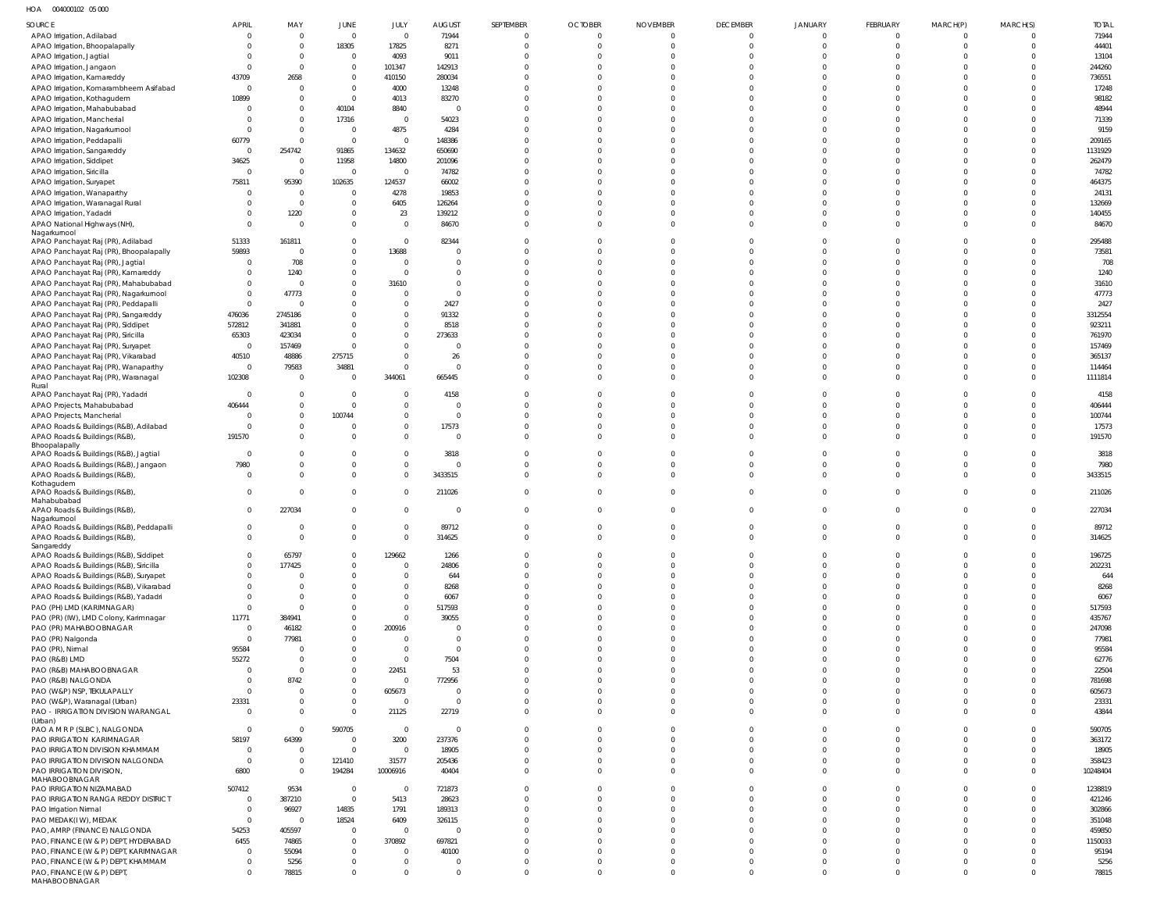HOA 004000102 05 000

| 11C<br><b>OUTUUUIUL UJUUU</b>            |                |                |                |                |                |                  |                |                 |                 |                |          |              |                |              |
|------------------------------------------|----------------|----------------|----------------|----------------|----------------|------------------|----------------|-----------------|-----------------|----------------|----------|--------------|----------------|--------------|
| SOURCE                                   | <b>APRIL</b>   | MAY            | JUNE           | JULY           | <b>AUGUST</b>  | <b>SEPTEMBER</b> | <b>OCTOBER</b> | <b>NOVEMBER</b> | <b>DECEMBER</b> | <b>JANUARY</b> | FEBRUARY | MARCH(P)     | MARCH(S)       | <b>TOTAL</b> |
| APAO Irrigation, Adilabad                | $\overline{0}$ | $\Omega$       | $\overline{0}$ | $\mathbf 0$    | 71944          | $\Omega$         | $\Omega$       | - 0             | $\mathbf 0$     | $\Omega$       | $\Omega$ | $\Omega$     | $\Omega$       | 71944        |
|                                          |                |                |                |                |                |                  |                |                 |                 |                |          |              |                |              |
| APAO Irrigation, Bhoopalapally           | $\Omega$       | $\Omega$       | 18305          | 17825          | 8271           | $\Omega$         | $\Omega$       | $\Omega$        | $\mathbf 0$     | $\Omega$       | $\Omega$ | $\Omega$     | $\overline{0}$ | 44401        |
| APAO Irrigation, Jagtial                 | -0             | $\overline{0}$ | $\overline{0}$ | 4093           | 9011           | $\Omega$         | $\Omega$       | $\Omega$        | $\Omega$        |                |          | $\Omega$     | $\Omega$       | 13104        |
| APAO Irrigation, Jangaon                 | $\overline{0}$ | $\Omega$       | $\overline{0}$ | 101347         | 142913         | $\Omega$         | $\Omega$       |                 | $\Omega$        |                |          | $\Omega$     | $\Omega$       | 244260       |
|                                          |                |                |                |                |                |                  |                |                 |                 |                |          |              |                |              |
| APAO Irrigation, Kamareddy               | 43709          | 2658           | $\mathbf{0}$   | 410150         | 280034         | $\Omega$         | $\Omega$       |                 | $\Omega$        |                |          | $\Omega$     | $\Omega$       | 736551       |
| APAO Irrigation, Komarambheem Asifabad   | $\overline{0}$ | $\Omega$       | $\mathbf{0}$   | 4000           | 13248          | $\Omega$         | $\Omega$       |                 |                 |                |          | $\Omega$     | $\Omega$       | 17248        |
|                                          |                |                |                |                |                | $\Omega$         | $\Omega$       |                 | $\cap$          |                |          | $\Omega$     | $\Omega$       |              |
| APAO Irrigation, Kothagudem              | 10899          | $\Omega$       | $\mathbf{0}$   | 4013           | 83270          |                  |                |                 |                 |                |          |              |                | 98182        |
| APAO Irrigation, Mahabubabad             | - 0            | $\Omega$       | 40104          | 8840           | $\overline{0}$ | $\Omega$         | $\Omega$       |                 |                 |                |          | $\Omega$     | $\Omega$       | 48944        |
| APAO Irrigation, Mancherial              | $\Omega$       | $\Omega$       | 17316          | $\overline{0}$ | 54023          | $\Omega$         | $\Omega$       |                 | $\cap$          |                |          | $\Omega$     | $\Omega$       | 71339        |
|                                          |                |                |                |                |                |                  |                |                 |                 |                |          |              |                |              |
| APAO Irrigation, Nagarkurnool            | $\overline{0}$ | $\Omega$       | $\overline{0}$ | 4875           | 4284           | $\Omega$         | $\Omega$       |                 |                 |                |          | $\Omega$     | $\Omega$       | 9159         |
| APAO Irrigation, Peddapalli              | 60779          | $\Omega$       | $\overline{0}$ | $\Omega$       | 148386         | $\Omega$         | $\Omega$       |                 | $\Omega$        |                |          | $\Omega$     | $\Omega$       | 209165       |
| APAO Irrigation, Sangareddy              | $\overline{0}$ | 254742         | 91865          | 134632         | 650690         | $\Omega$         | $\Omega$       |                 | $\Omega$        |                |          | $\cap$       | $\Omega$       | 1131929      |
|                                          |                |                |                |                |                |                  |                |                 |                 |                |          |              |                |              |
| APAO Irrigation, Siddipet                | 34625          | $\overline{0}$ | 11958          | 14800          | 201096         | $\Omega$         | $\Omega$       |                 | $\Omega$        |                |          | $\Omega$     | $\Omega$       | 262479       |
| APAO Irrigation, Siricilla               | $\overline{0}$ | $\overline{0}$ | $\overline{0}$ | $\overline{0}$ | 74782          | $\Omega$         | $\Omega$       |                 | $\Omega$        |                |          | $\Omega$     | $\Omega$       | 74782        |
| APAO Irrigation, Suryapet                | 75811          | 95390          | 102635         | 124537         | 66002          | $\Omega$         | $\Omega$       |                 | $\cap$          |                |          | $\Omega$     | $\Omega$       | 464375       |
|                                          |                |                |                |                |                |                  |                |                 |                 |                |          |              |                |              |
| APAO Irrigation, Wanaparthy              | $\overline{0}$ | $\overline{0}$ | $\overline{0}$ | 4278           | 19853          | $\Omega$         | $\cap$         |                 |                 |                |          | $\cap$       | $\Omega$       | 24131        |
| APAO Irrigation, Waranagal Rural         | $\Omega$       | $\overline{0}$ | $\mathbf{0}$   | 6405           | 126264         | $\Omega$         | $\Omega$       |                 | $\Omega$        |                |          | $\Omega$     | $\Omega$       | 132669       |
| APAO Irrigation, Yadadri                 | $\Omega$       | 1220           | $\mathbf 0$    | 23             | 139212         | $\Omega$         | $\Omega$       | $\Omega$        | $\Omega$        |                |          | $\Omega$     | $\overline{0}$ | 140455       |
|                                          |                |                |                |                |                |                  |                |                 |                 |                |          |              |                |              |
| APAO National Highways (NH),             | $\Omega$       | $\Omega$       | $\mathbf{0}$   | $\Omega$       | 84670          | $\Omega$         | $\Omega$       | $\Omega$        | $\Omega$        | $\Omega$       | $\Omega$ | $\Omega$     | $\Omega$       | 84670        |
| Nagarkurnool                             |                |                |                |                |                |                  |                |                 |                 |                |          |              |                |              |
| APAO Panchayat Raj (PR), Adilabad        | 51333          | 161811         | $\mathbf 0$    | $\mathbf{0}$   | 82344          | $\Omega$         | $\Omega$       |                 |                 |                |          |              | $\Omega$       | 295488       |
| APAO Panchayat Raj (PR), Bhoopalapally   | 59893          | $\Omega$       | $\mathbf{0}$   | 13688          | $\overline{0}$ | $\Omega$         | $\Omega$       |                 | $\Omega$        |                | $\cap$   | $\Omega$     | $\Omega$       | 73581        |
|                                          |                |                |                |                |                |                  |                |                 |                 |                |          |              |                |              |
| APAO Panchayat Raj (PR), Jagtial         | - 0            | 708            | $\mathbf 0$    | $\Omega$       | $\mathbf 0$    | $\Omega$         | $\Omega$       |                 | $\Omega$        |                |          | $\Omega$     | $\Omega$       | 708          |
| APAO Panchayat Raj (PR), Kamareddy       | $\overline{0}$ | 1240           | $\mathbf{0}$   | $\Omega$       | $\Omega$       | $\Omega$         | $\Omega$       |                 | $\Omega$        |                |          | $\Omega$     | $\Omega$       | 1240         |
|                                          |                | $\Omega$       | $\mathbf 0$    |                | $\mathbf{0}$   | $\Omega$         | $\Omega$       |                 | <sup>0</sup>    |                |          | $\Omega$     | $\Omega$       |              |
| APAO Panchayat Raj (PR), Mahabubabad     | $\overline{0}$ |                |                | 31610          |                |                  |                |                 |                 |                |          |              |                | 31610        |
| APAO Panchayat Raj (PR), Nagarkurnool    | $\overline{0}$ | 47773          | $\mathbf 0$    | $\Omega$       | $\overline{0}$ | $\Omega$         | $\Omega$       |                 | $\Omega$        |                |          | $\Omega$     | $\Omega$       | 47773        |
| APAO Panchayat Raj (PR), Peddapalli      | $\overline{0}$ | - C            | $\mathbf 0$    | $\Omega$       | 2427           | $\Omega$         | $\Omega$       |                 |                 |                |          | $\cap$       | $\Omega$       | 2427         |
|                                          |                |                |                |                |                |                  |                |                 | $\cap$          |                |          |              |                |              |
| APAO Panchayat Raj (PR), Sangareddy      | 476036         | 2745186        | $\mathbf 0$    | $\Omega$       | 91332          | $\Omega$         | $\Omega$       |                 |                 |                |          | $\Omega$     | $\Omega$       | 3312554      |
| APAO Panchayat Raj (PR), Siddipet        | 572812         | 341881         | $\mathbf 0$    | $\mathbf 0$    | 8518           | $\Omega$         | $\Omega$       |                 |                 |                |          | $\Omega$     | $\Omega$       | 923211       |
| APAO Panchayat Raj (PR), Siricilla       | 65303          | 423034         | $\mathbf{0}$   | $\Omega$       | 273633         | $\Omega$         | $\Omega$       |                 | $\cap$          |                |          | $\Omega$     | $\Omega$       | 761970       |
|                                          |                |                |                |                |                |                  |                |                 |                 |                |          |              |                |              |
| APAO Panchayat Raj (PR), Suryapet        | $\overline{0}$ | 157469         | $\Omega$       | $\Omega$       | $\Omega$       | $\Omega$         | $\cap$         |                 |                 |                |          | $\cap$       | $\Omega$       | 157469       |
| APAO Panchayat Raj (PR), Vikarabad       | 40510          | 48886          | 275715         | $\Omega$       | 26             | $\Omega$         | $\Omega$       |                 | $\Omega$        |                |          | $\Omega$     | $\Omega$       | 365137       |
| APAO Panchayat Raj (PR), Wanaparthy      | $\overline{0}$ | 79583          | 34881          | $\mathbf{0}$   | $\overline{0}$ | $\Omega$         | $\Omega$       |                 | $\Omega$        | $\Omega$       |          | $\Omega$     | $\overline{0}$ | 114464       |
|                                          |                |                |                |                |                |                  |                |                 |                 |                |          |              |                |              |
| APAO Panchayat Raj (PR), Waranagal       | 102308         | $\overline{0}$ | $\overline{0}$ | 344061         | 665445         | $\Omega$         | $\Omega$       | $\Omega$        | $\Omega$        | $\Omega$       | $\Omega$ | $\Omega$     | $\Omega$       | 1111814      |
| Rural                                    |                |                |                |                |                |                  |                |                 |                 |                |          |              |                |              |
| APAO Panchayat Raj (PR), Yadadri         | $\overline{0}$ | $\overline{0}$ | $\overline{0}$ |                | 4158           | $\Omega$         | $\Omega$       |                 | <sup>0</sup>    |                |          | $\Omega$     | $\Omega$       | 4158         |
|                                          | 406444         | $\Omega$       | $\mathbf{0}$   | $\mathbf 0$    | $\overline{0}$ | $\Omega$         | $\Omega$       |                 | $\Omega$        |                |          | $\Omega$     | $\Omega$       | 406444       |
| APAO Projects, Mahabubabad               |                |                |                |                |                |                  |                |                 |                 |                |          |              |                |              |
| APAO Projects, Mancherial                | $\Omega$       | $\Omega$       | 100744         | $\mathbf 0$    | $\overline{0}$ | $\Omega$         | $\Omega$       |                 | $\Omega$        |                | $\Omega$ | $\Omega$     | $\Omega$       | 100744       |
| APAO Roads & Buildings (R&B), Adilabad   | - 0            | $\Omega$       | $\Omega$       | $\mathbf 0$    | 17573          | $\Omega$         | $\Omega$       | $\Omega$        | $\Omega$        | $\Omega$       | $\cap$   | $\Omega$     | $\Omega$       | 17573        |
|                                          |                |                |                |                |                |                  |                |                 |                 |                |          |              |                |              |
| APAO Roads & Buildings (R&B),            | 191570         | $\Omega$       | $\mathbf 0$    | $\Omega$       | $\overline{0}$ | $\Omega$         | $\Omega$       |                 | $\Omega$        | $\Omega$       | $\Omega$ | $\Omega$     | $\Omega$       | 191570       |
| Bhoopalapally                            |                |                |                |                |                |                  |                |                 |                 |                |          |              |                |              |
| APAO Roads & Buildings (R&B), Jagtial    | $\overline{0}$ | $\Omega$       | $\overline{0}$ | $\Omega$       | 3818           | $\Omega$         | $\Omega$       |                 | $\Omega$        | $\Omega$       |          | $\Omega$     | $\Omega$       | 3818         |
|                                          | 7980           | $\Omega$       | $\mathbf 0$    | $\Omega$       | $\overline{0}$ | $\Omega$         | $\Omega$       |                 | $\Omega$        | $\Omega$       |          | $\Omega$     | $\Omega$       | 7980         |
| APAO Roads & Buildings (R&B), Jangaon    |                |                |                |                |                |                  |                |                 |                 |                |          |              |                |              |
| APAO Roads & Buildings (R&B),            | $\Omega$       | $\Omega$       | $\mathbf{0}$   | $\mathbf 0$    | 3433515        | $\Omega$         | $\Omega$       | $\Omega$        | $\Omega$        | $\Omega$       | $\Omega$ | $\Omega$     | $\Omega$       | 3433515      |
| Kothagudem                               |                |                |                |                |                |                  |                |                 |                 |                |          |              |                |              |
| APAO Roads & Buildings (R&B),            | $\mathbf 0$    | $\Omega$       | $\overline{0}$ | $\Omega$       | 211026         | $\Omega$         | $\Omega$       | $\Omega$        | $\Omega$        | $\Omega$       | $\Omega$ | $\Omega$     | $\overline{0}$ | 211026       |
| Mahabubabad                              |                |                |                |                |                |                  |                |                 |                 |                |          |              |                |              |
| APAO Roads & Buildings (R&B),            | $\mathbf 0$    | 227034         | $\mathbf{0}$   | $\Omega$       | $\overline{0}$ | $\Omega$         | $\Omega$       |                 | $\Omega$        | $\Omega$       | $\Omega$ | $\Omega$     | $\Omega$       | 227034       |
| Nagarkurnool                             |                |                |                |                |                |                  |                |                 |                 |                |          |              |                |              |
|                                          |                |                | $\Omega$       | $\Omega$       |                | $\Omega$         | $\Omega$       | $\Omega$        | $\Omega$        | $\Omega$       | $\Omega$ | $\Omega$     | $\Omega$       |              |
| APAO Roads & Buildings (R&B), Peddapalli | $\overline{0}$ | $\Omega$       |                |                | 89712          |                  |                |                 |                 |                |          |              |                | 89712        |
| APAO Roads & Buildings (R&B),            | $\overline{0}$ | $\Omega$       | $\overline{0}$ | $\Omega$       | 314625         | $\Omega$         | $\Omega$       |                 | $\Omega$        | $\Omega$       | $\Omega$ | <sup>0</sup> | $\Omega$       | 314625       |
| Sangareddy                               |                |                |                |                |                |                  |                |                 |                 |                |          |              |                |              |
| APAO Roads & Buildings (R&B), Siddipet   | $\Omega$       | 65797          | $\overline{0}$ | 129662         | 1266           | $\Omega$         | $\Omega$       |                 | $\Omega$        | $\Omega$       | $\Omega$ | $\Omega$     | $\Omega$       | 196725       |
|                                          |                |                |                |                |                |                  |                |                 |                 |                |          |              |                |              |
| APAO Roads & Buildings (R&B), Siricilla  | $\Omega$       | 177425         | $\mathbf 0$    | $\Omega$       | 24806          | $\Omega$         | $\Omega$       | $\Omega$        | $\Omega$        | $\Omega$       | $\Omega$ | $\Omega$     | $\Omega$       | 202231       |
| APAO Roads & Buildings (R&B), Suryapet   | $\mathbf 0$    | $\Omega$       | $\mathbf 0$    | $\Omega$       | 644            | $\Omega$         | $\Omega$       | $\cap$          | $\Omega$        | $\Omega$       | $\Omega$ | $\Omega$     | $\Omega$       | 644          |
|                                          | $\Omega$       | $\Omega$       | $\Omega$       | $\Omega$       |                | $\Omega$         | $\Omega$       | $\Omega$        | $\Omega$        | $\Omega$       | $\cap$   | $\Omega$     | $\Omega$       |              |
| APAO Roads & Buildings (R&B), Vikarabad  |                |                |                |                | 8268           |                  |                |                 |                 |                |          |              |                | 8268         |
| APAO Roads & Buildings (R&B), Yadadri    | $\Omega$       | $\Omega$       | $\Omega$       | $\Omega$       | 6067           | $\Omega$         | $\Omega$       | $\cap$          | $\cap$          | $\Omega$       | $\Omega$ | $\Omega$     | $\Omega$       | 6067         |
| PAO (PH) LMD (KARIMNAGAR)                | $\Omega$       | $\cap$         | $\Omega$       | $\Omega$       | 517593         | $\Omega$         | $\cap$         | $\Omega$        | $\cap$          | $\Omega$       |          | $\Omega$     | $\Omega$       | 517593       |
|                                          |                |                |                | $\Omega$       |                | $\Omega$         | $\Omega$       | $\cap$          |                 | $\Omega$       |          | $\Omega$     | $\Omega$       |              |
| PAO (PR) (IW), LMD Colony, Karimnagar    | 11771          | 384941         | $\mathbf 0$    |                | 39055          |                  |                |                 |                 |                |          |              |                | 435767       |
| PAO (PR) MAHABOOBNAGAR                   | $\overline{0}$ | 46182          | $\mathbf{0}$   | 200916         | $\overline{0}$ | $\Omega$         | $\cap$         | $\cap$          | $\cap$          | $\Omega$       |          | $\Omega$     | $\Omega$       | 247098       |
| PAO (PR) Nalgonda                        | $\overline{0}$ | 77981          | $\mathbf{0}$   | $\Omega$       | $\overline{0}$ | $\Omega$         | $\Omega$       | $\cap$          | $\cap$          | $\Omega$       |          | $\Omega$     | $\Omega$       | 77981        |
|                                          |                |                |                |                |                |                  | $\Omega$       |                 |                 |                |          |              |                |              |
| PAO (PR), Nirmal                         | 95584          | - 0            | $\mathbf{0}$   | $\Omega$       | $\mathbf{0}$   | $\Omega$         |                | $\Omega$        | $\cap$          | $\Omega$       |          | $\Omega$     | $\Omega$       | 95584        |
| PAO (R&B) LMD                            | 55272          | $\overline{0}$ | $\mathbf 0$    | $\Omega$       | 7504           | $\Omega$         | $\Omega$       | $\cap$          | $\cap$          | $\Omega$       |          | $\Omega$     | $\Omega$       | 62776        |
| PAO (R&B) MAHABOOBNAGAR                  | $\overline{0}$ | $\Omega$       | $\mathbf 0$    | 22451          | 53             | $\Omega$         | $\cap$         | $\cap$          | $\cap$          | $\Omega$       |          | $\Omega$     | $\Omega$       | 22504        |
|                                          |                |                |                |                |                |                  |                |                 |                 |                |          |              |                |              |
| PAO (R&B) NALGONDA                       | $\overline{0}$ | 8742           | $\mathbf{0}$   | $\mathbf 0$    | 772956         | $\Omega$         | $\Omega$       | $\Omega$        | $\Omega$        | $\Omega$       |          | $\Omega$     | $\Omega$       | 781698       |
| PAO (W&P) NSP, TEKULAPALLY               | $\Omega$       | $\Omega$       | $\mathbf{0}$   | 605673         | $\overline{0}$ | $\Omega$         | $\cap$         | $\Omega$        | $\cap$          | $\Omega$       | $\Omega$ | $\Omega$     | $\Omega$       | 605673       |
| PAO (W&P), Waranagal (Urban)             | 23331          | $\Omega$       | $\mathbf{0}$   | $\overline{0}$ | $\overline{0}$ | $\Omega$         | $\Omega$       | $\Omega$        | $\Omega$        | $\Omega$       |          | $\Omega$     | $\Omega$       | 23331        |
|                                          |                |                |                |                |                |                  |                |                 |                 |                |          |              |                |              |
| PAO - IRRIGATION DIVISION WARANGAL       | $\Omega$       | $\Omega$       | $\Omega$       | 21125          | 22719          | $\Omega$         | $\Omega$       | $\Omega$        | $\Omega$        | $\Omega$       | $\Omega$ | $\Omega$     | $\Omega$       | 43844        |
| (Urban)                                  |                |                |                |                |                |                  |                |                 |                 |                |          |              |                |              |
| PAO A M R P (SLBC), NALGONDA             | $\overline{0}$ | $\Omega$       | 590705         | $\mathbf{0}$   | $\overline{0}$ | $\Omega$         | $\Omega$       |                 | $\Omega$        |                | $\cap$   | $\Omega$     | $\Omega$       | 590705       |
|                                          | 58197          | 64399          | $\Omega$       |                |                | $\Omega$         | $\Omega$       |                 | $\Omega$        | $\Omega$       | $\Omega$ | $\Omega$     | $\Omega$       | 363172       |
| PAO IRRIGATION KARIMNAGAR                |                |                |                | 3200           | 237376         |                  |                |                 |                 |                |          |              |                |              |
| PAO IRRIGATION DIVISION KHAMMAM          | $\overline{0}$ | $\overline{0}$ | $\Omega$       | $\mathbf 0$    | 18905          | $\Omega$         | $\Omega$       | $\Omega$        | $\Omega$        | $\Omega$       | $\Omega$ | $\Omega$     | $\Omega$       | 18905        |
| PAO IRRIGATION DIVISION NALGONDA         | $\overline{0}$ | $\Omega$       | 121410         | 31577          | 205436         | $\Omega$         | $\Omega$       | $\Omega$        | $\Omega$        | $\Omega$       | $\Omega$ | $\Omega$     | $\Omega$       | 358423       |
|                                          |                |                |                |                |                |                  | $\Omega$       |                 |                 |                |          | $\Omega$     |                |              |
| PAO IRRIGATION DIVISION,                 | 6800           | $\Omega$       | 194284         | 10006916       | 40404          | $\Omega$         |                | $\Omega$        | $\Omega$        | $\Omega$       | $\Omega$ |              | $\Omega$       | 10248404     |
| MAHABOOBNAGAR                            |                |                |                |                |                |                  |                |                 |                 |                |          |              |                |              |
| PAO IRRIGATION NIZAMABAD                 | 507412         | 9534           | $\overline{0}$ | $\Omega$       | 721873         | $\Omega$         | $\Omega$       |                 | $\Omega$        | $\Omega$       | $\Omega$ | $\Omega$     | $\Omega$       | 1238819      |
| PAO IRRIGATION RANGA REDDY DISTRICT      | $\overline{0}$ | 387210         | $\overline{0}$ | 5413           | 28623          | $\Omega$         | $\Omega$       |                 | $\Omega$        | $\Omega$       | $\Omega$ | $\Omega$     | $\Omega$       | 421246       |
|                                          |                |                |                |                |                | $\Omega$         | $\Omega$       |                 | $\Omega$        | $\Omega$       | $\cap$   | $\Omega$     | $\Omega$       |              |
| PAO Irrigation Nirmal                    | $\overline{0}$ | 96927          | 14835          | 1791           | 189313         |                  |                |                 |                 |                |          |              |                | 302866       |
| PAO MEDAK(IW), MEDAK                     | $\overline{0}$ | $\Omega$       | 18524          | 6409           | 326115         | $\Omega$         | $\Omega$       |                 | $\Omega$        | $\Omega$       | $\cap$   | $\Omega$     | $\Omega$       | 351048       |
| PAO, AMRP (FINANCE) NALGONDA             | 54253          | 405597         | $\overline{0}$ | $\Omega$       | $\Omega$       | $\Omega$         | $\Omega$       |                 | <sup>0</sup>    | $\cap$         |          | $\Omega$     | $\Omega$       | 459850       |
|                                          |                |                |                |                |                |                  |                |                 |                 |                |          |              |                |              |
| PAO, FINANCE (W & P) DEPT, HYDERABAD     | 6455           | 74865          | $\mathbf 0$    | 370892         | 697821         | $\Omega$         | $\Omega$       |                 |                 |                |          | $\cap$       | $\Omega$       | 1150033      |
| PAO, FINANCE (W & P) DEPT, KARIMNAGAR    | $\overline{0}$ | 55094          | $\mathbf{0}$   | $\Omega$       | 40100          | $\Omega$         | $\Omega$       |                 | $\Omega$        | $\Omega$       |          | $\Omega$     | $\Omega$       | 95194        |
| PAO, FINANCE (W & P) DEPT, KHAMMAM       | $\Omega$       | 5256           | $\mathbf{0}$   | $\Omega$       | $\Omega$       | $\Omega$         | $\Omega$       | $\Omega$        | $\Omega$        | $\Omega$       |          | $\Omega$     | $\Omega$       | 5256         |
|                                          |                |                |                |                |                |                  |                |                 |                 |                |          |              |                |              |
| PAO, FINANCE (W & P) DEPT                | $\Omega$       | 78815          | $\mathbf 0$    | $\mathbf 0$    | $\overline{0}$ | $\Omega$         | $\Omega$       |                 | $\Omega$        | $\Omega$       | $\Omega$ | $\Omega$     | $\Omega$       | 78815        |
| MAHABOOBNAGAR                            |                |                |                |                |                |                  |                |                 |                 |                |          |              |                |              |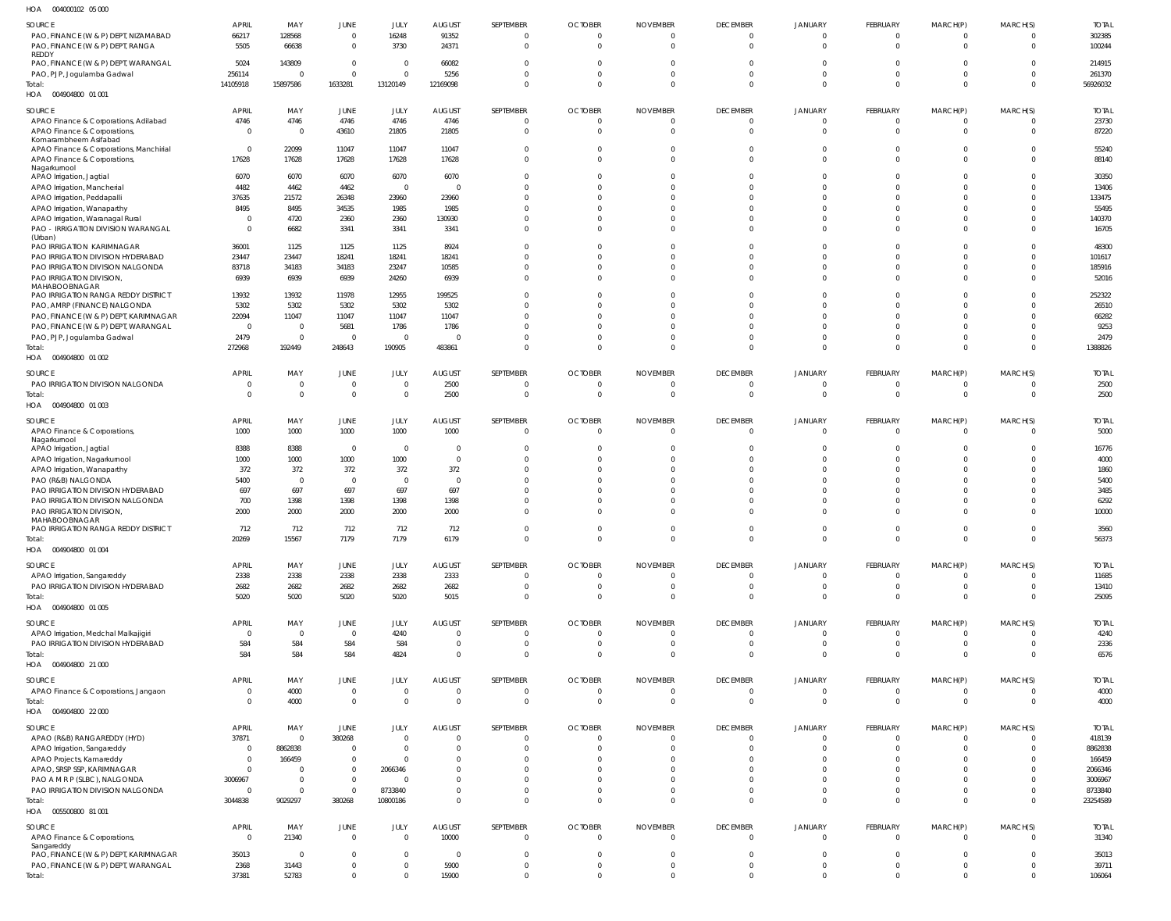| HOA | 004000102 05 000 |  |
|-----|------------------|--|

| $\cdots$<br><b>OUTUOUTULE UU UUU</b>          |                |                         |                               |                |                |                |                          |                 |                            |                            |                            |                            |                |                 |
|-----------------------------------------------|----------------|-------------------------|-------------------------------|----------------|----------------|----------------|--------------------------|-----------------|----------------------------|----------------------------|----------------------------|----------------------------|----------------|-----------------|
| SOURCE                                        | <b>APRIL</b>   | MAY                     | JUNE                          | JULY           | <b>AUGUST</b>  | SEPTEMBER      | <b>OCTOBER</b>           | <b>NOVEMBER</b> | <b>DECEMBER</b>            | JANUARY                    | FEBRUARY                   | MARCH(P)                   | MARCH(S)       | <b>TOTAL</b>    |
| PAO, FINANCE (W & P) DEPT, NIZAMABAD          | 66217          | 128568                  | $\overline{0}$                | 16248          | 91352          | $\overline{0}$ | $\Omega$                 | $\Omega$        | $\Omega$                   | $\Omega$                   | $\Omega$                   | $\Omega$                   | $\Omega$       | 302385          |
| PAO, FINANCE (W & P) DEPT, RANGA              | 5505           | 66638                   | $\overline{0}$                | 3730           | 24371          | $\overline{0}$ | $\Omega$                 | $\Omega$        | $\Omega$                   | $\Omega$                   | $\Omega$                   | $\Omega$                   | $\Omega$       | 100244          |
| REDDY                                         |                |                         |                               |                |                |                |                          |                 |                            |                            |                            |                            |                |                 |
| PAO, FINANCE (W & P) DEPT, WARANGAL           | 5024           | 143809                  | $\overline{0}$                | $\Omega$       | 66082          | $\Omega$       | $\Omega$                 | $\Omega$        | $\Omega$                   | $\Omega$                   | $\Omega$                   | $\Omega$                   | $\Omega$       | 214915          |
| PAO, PJP, Jogulamba Gadwal                    | 256114         | $\Omega$                | $\Omega$                      | $\Omega$       | 5256           | $\Omega$       | $\Omega$                 | $\Omega$        | $\Omega$                   | $\Omega$                   | $\Omega$                   | $\Omega$                   | $\Omega$       | 261370          |
| Total:                                        | 14105918       | 15897586                | 1633281                       | 13120149       | 12169098       | $\Omega$       | $\Omega$                 | $\Omega$        | $\Omega$                   | $\Omega$                   | $\Omega$                   | $\Omega$                   | $\Omega$       | 56926032        |
| HOA  004904800  01  001                       |                |                         |                               |                |                |                |                          |                 |                            |                            |                            |                            |                |                 |
|                                               |                |                         |                               |                |                |                |                          |                 |                            |                            |                            |                            |                |                 |
| SOURCE                                        | <b>APRIL</b>   | MAY                     | JUNE                          | JULY           | <b>AUGUST</b>  | SEPTEMBER      | <b>OCTOBER</b>           | <b>NOVEMBER</b> | <b>DECEMBER</b>            | <b>JANUARY</b>             | FEBRUARY                   | MARCH(P)                   | MARCH(S)       | <b>TOTAL</b>    |
| APAO Finance & Corporations, Adilabad         | 4746           | 4746                    | 4746                          | 4746           | 4746           | $\overline{0}$ | $\overline{0}$           | $\overline{0}$  | $\Omega$                   | $\Omega$                   | $\Omega$                   | $\overline{0}$             | $\Omega$       | 23730           |
| APAO Finance & Corporations,                  | $\Omega$       | $\overline{\mathbf{0}}$ | 43610                         | 21805          | 21805          | $\overline{0}$ | $\Omega$                 | $\Omega$        | $\Omega$                   | $\Omega$                   | $\Omega$                   | $\Omega$                   | $\Omega$       | 87220           |
| Komarambheem Asifabad                         |                |                         |                               |                |                |                |                          |                 |                            |                            |                            |                            |                |                 |
| APAO Finance & Corporations, Manchirial       | $\Omega$       | 22099                   | 11047                         | 11047          | 11047          | $\Omega$       | $\Omega$                 | $\Omega$        | $\Omega$                   | $\Omega$                   | $\Omega$                   | $\Omega$                   | $\Omega$       | 55240           |
| APAO Finance & Corporations,                  | 17628          | 17628                   | 17628                         | 17628          | 17628          | $\Omega$       | $\Omega$                 | $\Omega$        | $\Omega$                   | $\Omega$                   | $\Omega$                   | $\Omega$                   | $\Omega$       | 88140           |
| Nagarkurnool<br>APAO Irrigation, Jagtial      | 6070           | 6070                    | 6070                          | 6070           | 6070           | $\Omega$       | $\Omega$                 | $\Omega$        | $\Omega$                   | $\Omega$                   | $\Omega$                   | $\Omega$                   | $\Omega$       | 30350           |
|                                               | 4482           | 4462                    | 4462                          | $\overline{0}$ | $\Omega$       | $\Omega$       | $\Omega$                 | $\Omega$        |                            | $\Omega$                   |                            | $\Omega$                   | $\Omega$       | 13406           |
| APAO Irrigation, Mancherial                   |                |                         |                               |                |                |                | $\Omega$                 | $\Omega$        | $\Omega$                   | $\Omega$                   | $\Omega$                   | $\Omega$                   |                |                 |
| APAO Irrigation, Peddapalli                   | 37635          | 21572                   | 26348                         | 23960          | 23960          | $\Omega$       |                          |                 |                            |                            |                            |                            | $\Omega$       | 133475          |
| APAO Irrigation, Wanaparthy                   | 8495           | 8495                    | 34535                         | 1985           | 1985           | $\Omega$       | $\Omega$                 | $\Omega$        | $\Omega$                   | $\Omega$                   | $\Omega$                   | $\Omega$                   | $\Omega$       | 55495           |
| APAO Irrigation, Waranagal Rural              | $\Omega$       | 4720                    | 2360                          | 2360           | 130930         | $\Omega$       | $\Omega$                 | $\Omega$        | $\Omega$                   | $\Omega$                   | $\Omega$                   | $\Omega$                   | $\Omega$       | 140370          |
| PAO - IRRIGATION DIVISION WARANGAL            | $\Omega$       | 6682                    | 3341                          | 3341           | 3341           | $\Omega$       | $\Omega$                 | $\Omega$        | $\Omega$                   | $\Omega$                   | $\Omega$                   | $\Omega$                   | $\Omega$       | 16705           |
| (Urban)<br>PAO IRRIGATION KARIMNAGAR          |                |                         |                               |                |                | $\Omega$       | $\Omega$                 | $\Omega$        | $\Omega$                   | $\Omega$                   | $\Omega$                   | $\Omega$                   | $\Omega$       |                 |
|                                               | 36001          | 1125                    | 1125                          | 1125           | 8924           |                |                          |                 |                            |                            |                            |                            |                | 48300           |
| PAO IRRIGATION DIVISION HYDERABAD             | 23447          | 23447                   | 18241                         | 18241          | 18241          | $\Omega$       | $\Omega$                 | $\Omega$        |                            | $\Omega$                   | $\Omega$                   | $\Omega$                   | $\Omega$       | 101617          |
| PAO IRRIGATION DIVISION NALGONDA              | 83718          | 34183                   | 34183                         | 23247          | 10585          | $\Omega$       | $\Omega$                 | $\Omega$        | $\Omega$                   | $\Omega$                   | $\Omega$                   | $\Omega$                   | $\Omega$       | 185916          |
| PAO IRRIGATION DIVISION,                      | 6939           | 6939                    | 6939                          | 24260          | 6939           | $\Omega$       | $\Omega$                 | $\Omega$        | $\Omega$                   | $\Omega$                   | $\Omega$                   | $\Omega$                   | $\Omega$       | 52016           |
| MAHABOOBNAGAR                                 |                |                         |                               |                |                | $\Omega$       | $\Omega$                 | $\Omega$        | $\Omega$                   | $\Omega$                   | $\Omega$                   | $\Omega$                   | $\Omega$       |                 |
| PAO IRRIGATION RANGA REDDY DISTRICT           | 13932          | 13932                   | 11978                         | 12955          | 199525         |                |                          |                 |                            | $\Omega$                   |                            |                            |                | 252322          |
| PAO, AMRP (FINANCE) NALGONDA                  | 5302           | 5302                    | 5302                          | 5302           | 5302           | $\Omega$       | $\Omega$                 | $\Omega$        | $\Omega$                   |                            | $\Omega$                   | $\Omega$                   | $\Omega$       | 26510           |
| PAO, FINANCE (W & P) DEPT, KARIMNAGAR         | 22094          | 11047                   | 11047                         | 11047          | 11047          | $\Omega$       | $\Omega$                 | $\Omega$        | $\Omega$                   | $\Omega$                   | $\Omega$                   | $\Omega$                   | $\Omega$       | 66282           |
| PAO, FINANCE (W & P) DEPT, WARANGAL           | $\overline{0}$ | $\overline{\mathbf{0}}$ | 5681                          | 1786           | 1786           | $\Omega$       | $\Omega$                 | $\Omega$        | $\Omega$                   | $\Omega$                   | $\Omega$                   | $\Omega$                   | $\Omega$       | 9253            |
| PAO, PJP, Jogulamba Gadwal                    | 2479           | $\overline{\mathbf{0}}$ | $\overline{0}$                | $\overline{0}$ | $\Omega$       | $\Omega$       | $\Omega$                 | $\Omega$        | $\Omega$                   | $\Omega$                   | $\Omega$                   | $\Omega$                   | $\Omega$       | 2479            |
| Total:                                        | 272968         | 192449                  | 248643                        | 190905         | 483861         | $\Omega$       | $\Omega$                 | $\Omega$        | $\Omega$                   | $\Omega$                   | $\Omega$                   | $\Omega$                   | $\Omega$       | 1388826         |
| HOA  004904800  01 002                        |                |                         |                               |                |                |                |                          |                 |                            |                            |                            |                            |                |                 |
| SOURCE                                        | APRIL          | MAY                     | <b>JUNE</b>                   | JULY           | <b>AUGUST</b>  | SEPTEMBER      | <b>OCTOBER</b>           | <b>NOVEMBER</b> | <b>DECEMBER</b>            | <b>JANUARY</b>             | FEBRUARY                   | MARCH(P)                   | MARCH(S)       | <b>TOTAL</b>    |
|                                               |                |                         |                               |                |                |                |                          |                 |                            |                            |                            |                            |                |                 |
| PAO IRRIGATION DIVISION NALGONDA              | $\Omega$       | $\mathbf 0$             | $\overline{0}$                |                | 2500           | $\Omega$       | $\Omega$                 | $\Omega$        | $\Omega$                   | $\Omega$                   | $\Omega$                   | $\Omega$                   | $\Omega$       | 2500            |
| Total:                                        | $\Omega$       | $\Omega$                | $\overline{0}$                | $\Omega$       | 2500           | $\overline{0}$ | $\Omega$                 | $\Omega$        | $\Omega$                   | $\Omega$                   | $\Omega$                   | $\overline{0}$             | $\Omega$       | 2500            |
| HOA  004904800  01  003                       |                |                         |                               |                |                |                |                          |                 |                            |                            |                            |                            |                |                 |
| SOURCE                                        | <b>APRIL</b>   | MAY                     | JUNE                          | JULY           | <b>AUGUST</b>  | SEPTEMBER      | <b>OCTOBER</b>           | <b>NOVEMBER</b> | <b>DECEMBER</b>            | <b>JANUARY</b>             | FEBRUARY                   | MARCH(P)                   | MARCH(S)       | <b>TOTAL</b>    |
| APAO Finance & Corporations,                  | 1000           | 1000                    | 1000                          | 1000           | 1000           | $\overline{0}$ | $\overline{0}$           | $\overline{0}$  | $\overline{0}$             | $\Omega$                   | $\Omega$                   | $\overline{0}$             | $\Omega$       | 5000            |
| Nagarkurnool                                  |                |                         |                               |                |                |                |                          |                 |                            |                            |                            |                            |                |                 |
| APAO Irrigation, Jagtial                      | 8388           | 8388                    | $\overline{\phantom{0}}$      | $\overline{0}$ | $\overline{0}$ | $\Omega$       | $\Omega$                 | $\Omega$        | $\Omega$                   | $\Omega$                   | $\Omega$                   | $\Omega$                   | $\Omega$       | 16776           |
| APAO Irrigation, Nagarkurnool                 | 1000           | 1000                    | 1000                          | 1000           | $\overline{0}$ | $\Omega$       | $\Omega$                 | $\Omega$        | $\Omega$                   | $\Omega$                   | $\Omega$                   | $\Omega$                   | $\Omega$       | 4000            |
| APAO Irrigation, Wanaparthy                   | 372            | 372                     | 372                           | 372            | 372            | $\Omega$       | $\Omega$                 | $\Omega$        | $\Omega$                   | $\Omega$                   | $\Omega$                   | $\Omega$                   | $\Omega$       | 1860            |
| PAO (R&B) NALGONDA                            | 5400           | $\overline{\mathbf{0}}$ | $\overline{\phantom{0}}$      | $\mathbf 0$    | $\overline{0}$ | $\Omega$       | $\Omega$                 | $\Omega$        |                            | $\Omega$                   |                            | $\Omega$                   | $\Omega$       | 5400            |
| PAO IRRIGATION DIVISION HYDERABAD             | 697            | 697                     | 697                           | 697            | 697            | $\Omega$       | $\Omega$                 | $\Omega$        | $\Omega$                   | $\Omega$                   | $\Omega$                   | $\Omega$                   | $\Omega$       | 3485            |
| PAO IRRIGATION DIVISION NALGONDA              | 700            | 1398                    | 1398                          | 1398           | 1398           | $\Omega$       | $\Omega$                 | $\Omega$        | $\Omega$                   | $\Omega$                   | $\Omega$                   | $\Omega$                   | $\Omega$       | 6292            |
|                                               |                |                         |                               |                |                | $\Omega$       | $\Omega$                 | $\Omega$        | $\Omega$                   | $\Omega$                   | $\Omega$                   | $\Omega$                   | $\Omega$       |                 |
| PAO IRRIGATION DIVISION,<br>MAHABOOBNAGAR     | 2000           | 2000                    | 2000                          | 2000           | 2000           |                |                          |                 |                            |                            |                            |                            |                | 10000           |
| PAO IRRIGATION RANGA REDDY DISTRICT           | 712            | 712                     | 712                           | 712            | 712            | $\Omega$       | $\Omega$                 | $\Omega$        | $\Omega$                   | $\Omega$                   | $\Omega$                   | $\Omega$                   | $\Omega$       | 3560            |
| Total:                                        | 20269          | 15567                   | 7179                          | 7179           | 6179           | $\overline{0}$ | $\mathbf{0}$             | $\overline{0}$  | $\overline{0}$             | $\overline{0}$             | $\overline{0}$             | $\mathbf{0}$               | $\overline{0}$ | 56373           |
| HOA<br>004904800 01 004                       |                |                         |                               |                |                |                |                          |                 |                            |                            |                            |                            |                |                 |
|                                               |                |                         |                               |                |                |                |                          |                 |                            |                            |                            |                            |                |                 |
| SOURCE                                        | <b>APRIL</b>   | MAY                     | <b>JUNE</b>                   | JULY           | <b>AUGUST</b>  | SEPTEMBER      | <b>OCTOBER</b>           | <b>NOVEMBER</b> | <b>DECEMBER</b>            | <b>JANUARY</b>             | FEBRUARY                   | MARCH(P)                   | MARCH(S)       | <b>TOTAL</b>    |
| APAO Irrigation, Sangareddy                   | 2338           | 2338                    | 2338                          | 2338           | 2333           | $\overline{0}$ | $\overline{0}$           | $\overline{0}$  | $\Omega$                   | $\Omega$                   | $\Omega$                   | $\overline{0}$             | $\Omega$       | 11685           |
| PAO IRRIGATION DIVISION HYDERABAD             | 2682           | 2682                    | 2682                          | 2682           | 2682           | $\overline{0}$ | 0                        | $\overline{0}$  | $\overline{0}$             | $\overline{0}$             | $\Omega$                   | $\overline{0}$             | $\Omega$       | 13410           |
| Total:                                        | 5020           | 5020                    | 5020                          | 5020           | 5015           | $\Omega$       | $\Omega$                 | $\Omega$        | $\Omega$                   | $\Omega$                   | $\Omega$                   | $\overline{0}$             | $\Omega$       | 25095           |
| HOA  004904800  01  005                       |                |                         |                               |                |                |                |                          |                 |                            |                            |                            |                            |                |                 |
|                                               |                |                         |                               |                |                |                |                          |                 |                            |                            |                            |                            |                |                 |
| SOURCE                                        | <b>APRIL</b>   | MAY                     | <b>JUNE</b>                   | JULY           | <b>AUGUST</b>  | SEPTEMBER      | <b>OCTOBER</b>           | <b>NOVEMBER</b> | <b>DECEMBER</b>            | <b>JANUARY</b>             | FEBRUARY                   | MARCH(P)                   | MARCH(S)       | <b>TOTAL</b>    |
| APAO Irrigation, Medchal Malkajigiri          | $\Omega$       | $\overline{\mathbf{0}}$ | $\overline{\mathbf{0}}$       | 4240           | $\overline{0}$ | $\overline{0}$ | $\overline{0}$           | $\overline{0}$  | $\overline{0}$             | $\overline{0}$             | $\overline{0}$             | 0                          | $\Omega$       | 4240            |
| PAO IRRIGATION DIVISION HYDERABAD             | 584            | 584                     | 584                           | 584            | $\overline{0}$ | $\overline{0}$ | $\overline{0}$           | $\overline{0}$  | $\overline{0}$             | $\overline{0}$             | $\overline{0}$             | $\overline{0}$             | 0              | 2336            |
| Total:                                        | 584            | 584                     | 584                           | 4824           | $\Omega$       | $\Omega$       | $\Omega$                 | $\Omega$        | $\Omega$                   | $\Omega$                   | $\Omega$                   | $\Omega$                   | $\Omega$       | 6576            |
| HOA  004904800  21 000                        |                |                         |                               |                |                |                |                          |                 |                            |                            |                            |                            |                |                 |
|                                               |                |                         |                               |                |                |                |                          |                 |                            |                            |                            |                            |                |                 |
| SOURCE                                        | <b>APRIL</b>   | MAY                     | JUNE                          | JULY           | <b>AUGUST</b>  | SEPTEMBER      | <b>OCTOBER</b>           | <b>NOVEMBER</b> | <b>DECEMBER</b>            | <b>JANUARY</b>             | FEBRUARY                   | MARCH(P)                   | MARCH(S)       | <b>TOTAL</b>    |
| APAO Finance & Corporations, Jangaon          | $\Omega$       | 4000                    | $\mathbf 0$                   | $\mathbf{0}$   | $\overline{0}$ | $\overline{0}$ | $\overline{0}$           | $\overline{0}$  | $\Omega$                   | $\Omega$                   | $\overline{0}$             | $\overline{0}$             | $\Omega$       | 4000            |
| Total:                                        | $\Omega$       | 4000                    | $\overline{0}$                | $\Omega$       | $\overline{0}$ | $\overline{0}$ | $\overline{0}$           | $\overline{0}$  | $\overline{0}$             | $\overline{0}$             | $\overline{0}$             | $\overline{0}$             | $\Omega$       | 4000            |
| HOA  004904800  22 000                        |                |                         |                               |                |                |                |                          |                 |                            |                            |                            |                            |                |                 |
| SOURCE                                        | APRIL          | MAY                     | JUNE                          | JULY           | <b>AUGUST</b>  | SEPTEMBER      | <b>OCTOBER</b>           | <b>NOVEMBER</b> | <b>DECEMBER</b>            | <b>JANUARY</b>             | FEBRUARY                   | MARCH(P)                   | MARCH(S)       | <b>TOTAL</b>    |
| APAO (R&B) RANGAREDDY (HYD)                   | 37871          | $\Omega$                | 380268                        | $\mathbf 0$    | $\Omega$       | $\overline{0}$ | $\overline{0}$           | $\overline{0}$  | $\Omega$                   | $\Omega$                   | $\Omega$                   | 0                          | $\Omega$       | 418139          |
|                                               | $\Omega$       | 8862838                 | $\overline{0}$                | $\Omega$       | $\Omega$       | $\Omega$       | - 0                      | $\Omega$        | $\Omega$                   | $\Omega$                   | $\Omega$                   | $\Omega$                   | $\Omega$       | 8862838         |
| APAO Irrigation, Sangareddy                   |                |                         |                               | $\Omega$       | $\Omega$       |                |                          |                 | $\Omega$                   | $\Omega$                   | $\Omega$                   |                            |                |                 |
| APAO Projects, Kamareddy                      | $\Omega$       | 166459                  | $\overline{0}$                |                |                | $\Omega$       | $\Omega$                 | $\Omega$        |                            |                            |                            | $\Omega$                   | $\Omega$       | 166459          |
| APAO, SRSP SSP, KARIMNAGAR                    | $\Omega$       | $\overline{0}$          | $\overline{0}$                | 2066346        | $\Omega$       | $\Omega$       | $\Omega$                 | $\Omega$        | $\Omega$                   | $\Omega$                   | $\Omega$                   | $\Omega$                   | $\Omega$       | 2066346         |
| PAO A M R P (SLBC), NALGONDA                  | 3006967        | $\overline{0}$          | $\overline{0}$                | $\Omega$       | $\Omega$       | $\Omega$       | $\Omega$                 | $\Omega$        | $\Omega$                   | $\Omega$                   | $\Omega$                   | $\Omega$                   | $\Omega$       | 3006967         |
| PAO IRRIGATION DIVISION NALGONDA              | $\Omega$       | $\overline{0}$          | $\overline{0}$                | 8733840        | $\Omega$       | $\Omega$       | $\Omega$                 | $\Omega$        | $\Omega$                   | $\Omega$                   | $\Omega$                   | $\overline{0}$             | $\Omega$       | 8733840         |
| Total:                                        | 3044838        | 9029297                 | 380268                        | 10800186       | $\Omega$       | $\Omega$       | $\Omega$                 | $\Omega$        | $\Omega$                   | $\Omega$                   | $\Omega$                   | $\Omega$                   | $\Omega$       | 23254589        |
| HOA   005500800   81   001                    |                |                         |                               |                |                |                |                          |                 |                            |                            |                            |                            |                |                 |
| SOURCE                                        | <b>APRIL</b>   | MAY                     | <b>JUNE</b>                   | JULY           | <b>AUGUST</b>  | SEPTEMBER      | <b>OCTOBER</b>           | <b>NOVEMBER</b> | <b>DECEMBER</b>            | <b>JANUARY</b>             | FEBRUARY                   |                            |                | <b>TOTAL</b>    |
|                                               |                |                         |                               |                |                |                |                          | $\Omega$        | $\Omega$                   | $\Omega$                   | $\Omega$                   | MARCH(P)<br>$\Omega$       | MARCH(S)       | 31340           |
| APAO Finance & Corporations,                  |                |                         |                               |                |                |                |                          |                 |                            |                            |                            |                            |                |                 |
|                                               | $\Omega$       | 21340                   | $\overline{0}$                | $\Omega$       | 10000          | $\overline{0}$ | $\overline{0}$           |                 |                            |                            |                            |                            | $\Omega$       |                 |
| Sangareddy                                    |                | - 0                     | $\overline{0}$                | $\Omega$       | $\overline{0}$ | $\Omega$       | $\Omega$                 | $\Omega$        | $\Omega$                   | $\Omega$                   | $\Omega$                   | $\Omega$                   | $\Omega$       |                 |
| PAO, FINANCE (W & P) DEPT, KARIMNAGAR         | 35013          |                         |                               | $\Omega$       |                | $\Omega$       |                          | $\Omega$        |                            |                            |                            |                            | $\Omega$       | 35013           |
| PAO, FINANCE (W & P) DEPT, WARANGAL<br>Total: | 2368<br>37381  | 31443<br>52783          | $\overline{0}$<br>$\mathbf 0$ | $\Omega$       | 5900<br>15900  | $\Omega$       | $\mathbf{0}$<br>$\Omega$ | $\Omega$        | $\overline{0}$<br>$\Omega$ | $\overline{0}$<br>$\Omega$ | $\overline{0}$<br>$\Omega$ | $\overline{0}$<br>$\Omega$ | $\Omega$       | 39711<br>106064 |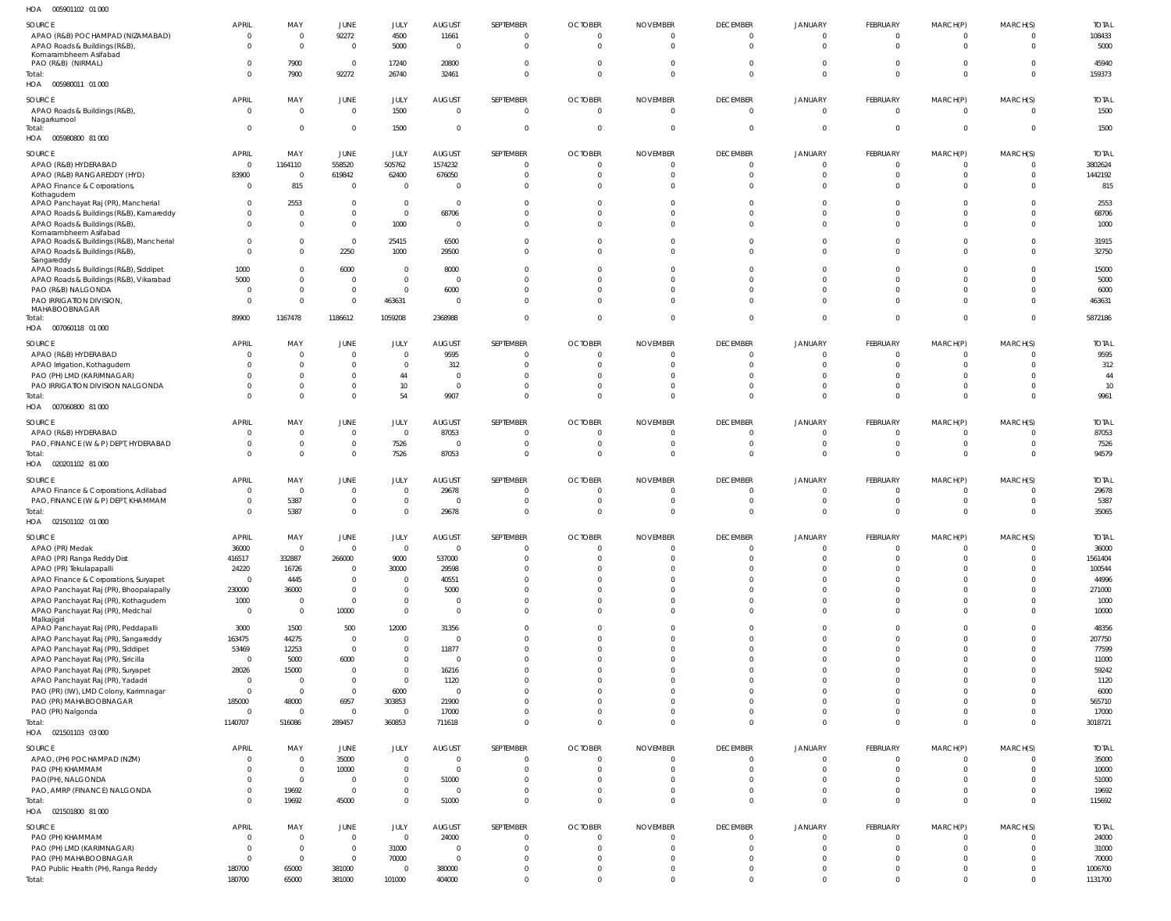| HOA | 005901102 01 000 |  |
|-----|------------------|--|

| SOURCE                                        | <b>APRIL</b>     | MAY            | JUNE             | JULY                     | <b>AUGUST</b>    | SEPTEMBER                  | <b>OCTOBER</b>             | <b>NOVEMBER</b>                | <b>DECEMBER</b>            | <b>JANUARY</b>             | FEBRUARY                   | MARCH(P)                       | MARCH(S)     | <b>TOTAL</b>       |
|-----------------------------------------------|------------------|----------------|------------------|--------------------------|------------------|----------------------------|----------------------------|--------------------------------|----------------------------|----------------------------|----------------------------|--------------------------------|--------------|--------------------|
| APAO (R&B) POCHAMPAD (NIZAMABAD)              | $\overline{0}$   | $\Omega$       | 92272            | 4500                     | 11661            | $\overline{0}$             | $\mathbf{0}$               | $\overline{0}$                 | $\Omega$                   | $\overline{\mathbf{0}}$    | $\Omega$                   | 0                              |              | 108433             |
| APAO Roads & Buildings (R&B),                 | $\Omega$         | $\Omega$       | $\mathbf{0}$     | 5000                     | $\overline{0}$   | $\overline{0}$             | $\overline{0}$             | $\overline{0}$                 | $\Omega$                   | $\Omega$                   | $\Omega$                   | $\overline{0}$                 |              | 5000               |
| Komarambheem Asifabad                         |                  |                |                  |                          |                  |                            |                            |                                |                            |                            |                            |                                |              |                    |
| PAO (R&B) (NIRMAL)                            | $\Omega$         | 7900           | $\overline{0}$   | 17240                    | 20800            | $\overline{0}$             | $\overline{0}$             | $\overline{0}$                 | $\Omega$                   | $\overline{0}$             | $\Omega$                   | $\overline{0}$                 |              | 45940              |
| Total:                                        | $\Omega$         | 7900           | 92272            | 26740                    | 32461            | $\overline{0}$             | $\Omega$                   | $\overline{0}$                 | $\Omega$                   | $\overline{0}$             | $\Omega$                   | $\overline{0}$                 | $\Omega$     | 159373             |
| HOA  005980011  01  000                       |                  |                |                  |                          |                  |                            |                            |                                |                            |                            |                            |                                |              |                    |
|                                               |                  |                |                  |                          |                  |                            |                            |                                |                            |                            |                            |                                |              |                    |
| <b>SOURCE</b>                                 | <b>APRIL</b>     | MAY            | JUNE             | JULY                     | <b>AUGUST</b>    | SEPTEMBER                  | <b>OCTOBER</b>             | <b>NOVEMBER</b>                | <b>DECEMBER</b>            | <b>JANUARY</b>             | FEBRUARY                   | MARCH(P)                       | MARCH(S)     | <b>TOTAL</b>       |
| APAO Roads & Buildings (R&B)                  | $\overline{0}$   | $\overline{0}$ | $\overline{0}$   | 1500                     | $\overline{0}$   | $\overline{0}$             | $\mathbf{0}$               | $\overline{0}$                 | $\overline{0}$             | $\overline{0}$             | $\overline{0}$             | $\overline{0}$                 | 0            | 1500               |
| Nagarkurnool                                  |                  |                |                  |                          |                  |                            |                            |                                |                            |                            |                            |                                |              |                    |
| Total:                                        | $\Omega$         | $\Omega$       | $\mathbf 0$      | 1500                     | $\Omega$         | $\overline{0}$             | $\overline{0}$             | $\overline{0}$                 | $\overline{0}$             | $\overline{0}$             | $\Omega$                   | $\overline{0}$                 | $\mathbf{0}$ | 1500               |
| HOA   005980800   81   000                    |                  |                |                  |                          |                  |                            |                            |                                |                            |                            |                            |                                |              |                    |
|                                               |                  |                |                  |                          |                  |                            |                            |                                |                            |                            |                            |                                |              |                    |
| <b>SOURCE</b>                                 | <b>APRIL</b>     | MAY            | JUNE             | JULY                     | <b>AUGUST</b>    | SEPTEMBER                  | <b>OCTOBER</b>             | <b>NOVEMBER</b>                | <b>DECEMBER</b>            | <b>JANUARY</b>             | FEBRUARY                   | MARCH(P)                       | MARCH(S)     | <b>TOTAL</b>       |
| APAO (R&B) HYDERABAD                          | $\overline{0}$   | 1164110        | 558520           | 505762                   | 1574232          | $\overline{0}$             | $\mathbf{0}$               | $\overline{0}$                 | $\Omega$                   | $\overline{0}$             | $\overline{0}$             | $\overline{0}$                 |              | 3802624            |
| APAO (R&B) RANGAREDDY (HYD)                   | 83900            | $\Omega$       | 619842           | 62400                    | 676050           | $\overline{0}$             | $\overline{0}$             | $\overline{0}$                 | $\Omega$                   | $\Omega$                   | $\Omega$                   | 0                              | $\Omega$     | 1442192            |
| APAO Finance & Corporations,                  | $\overline{0}$   | 815            | $\overline{0}$   | $\overline{0}$           | $\Omega$         | 0                          | $\Omega$                   | $\Omega$                       | $\Omega$                   | $\Omega$                   | $\Omega$                   | $^{\circ}$                     |              | 815                |
| Kothagudem                                    |                  |                |                  |                          |                  |                            |                            |                                |                            |                            |                            |                                |              |                    |
| APAO Panchayat Raj (PR), Mancherial           | $\overline{0}$   | 2553           | $\mathbf{0}$     | $\mathbf 0$              | - 0              | $\overline{0}$             | 0                          | $\Omega$                       | $\Omega$                   | $\Omega$                   | $\Omega$                   | $^{\circ}$                     |              | 2553               |
| APAO Roads & Buildings (R&B), Kamareddy       | -0               | $\Omega$       | $\mathbf 0$      | $\overline{0}$           | 68706            | $\Omega$                   | $\Omega$                   | $\Omega$                       | $\Omega$                   | $\Omega$                   | $\Omega$                   | 0                              |              | 68706              |
| APAO Roads & Buildings (R&B)                  | $\Omega$         | $\Omega$       | $\mathbf{0}$     | 1000                     | $\overline{0}$   | $\Omega$                   | $\Omega$                   | $\Omega$                       | $\Omega$                   | $\Omega$                   | $\Omega$                   | $\overline{0}$                 |              | 1000               |
| Komarambheem Asifabad                         |                  |                |                  |                          |                  |                            |                            |                                |                            |                            |                            |                                |              |                    |
| APAO Roads & Buildings (R&B), Mancherial      | $\Omega$         | $\Omega$       | $\mathbf 0$      | 25415                    | 6500             | $\overline{0}$             | $\mathbf 0$                | $\mathbf{0}$                   | $\Omega$                   | $\overline{0}$             | $\Omega$                   | $\mathbf 0$                    |              | 31915              |
| APAO Roads & Buildings (R&B)                  | $\Omega$         | $\Omega$       | 2250             | 1000                     | 29500            | $\Omega$                   | $\Omega$                   | $\Omega$                       | $\Omega$                   | $\Omega$                   | $\Omega$                   | $\overline{0}$                 |              | 32750              |
| Sangareddy                                    |                  | $\Omega$       |                  |                          |                  | $\Omega$                   | $\Omega$                   | $\Omega$                       | $\Omega$                   | $\Omega$                   | $\Omega$                   | $\Omega$                       |              |                    |
| APAO Roads & Buildings (R&B), Siddipet        | 1000             |                | 6000             | $\overline{0}$           | 8000             |                            |                            |                                |                            |                            |                            |                                |              | 15000              |
| APAO Roads & Buildings (R&B), Vikarabad       | 5000             | $\Omega$       | $\mathbf{0}$     | $\overline{0}$           | $\overline{0}$   | $\Omega$                   | $\Omega$                   | $\Omega$                       | $\Omega$                   | $\Omega$                   | $\Omega$                   | $\Omega$                       |              | 5000               |
| PAO (R&B) NALGONDA                            | $\Omega$         | $\Omega$       | $\mathbf 0$      | $\mathbf{0}$             | 6000             | $\Omega$                   | $\Omega$                   | $\Omega$                       | $\Omega$                   | $\Omega$                   | $\Omega$                   | 0                              |              | 6000               |
| PAO IRRIGATION DIVISION,                      | $\Omega$         | $\Omega$       | $\mathbf 0$      | 463631                   | $\overline{0}$   | $\Omega$                   | $\Omega$                   | $\Omega$                       | $\Omega$                   | $\Omega$                   | $\Omega$                   | $\overline{0}$                 |              | 463631             |
| MAHABOOBNAGAR                                 |                  |                |                  |                          |                  |                            |                            |                                |                            |                            |                            |                                |              |                    |
| Total:                                        | 89900            | 1167478        | 1186612          | 1059208                  | 2368988          | $\overline{0}$             | $\overline{0}$             | $\overline{0}$                 | $\Omega$                   | $\overline{0}$             | $\Omega$                   | $\overline{0}$                 | $\Omega$     | 5872186            |
| HOA  007060118  01  000                       |                  |                |                  |                          |                  |                            |                            |                                |                            |                            |                            |                                |              |                    |
| SOURCE                                        | <b>APRIL</b>     | MAY            | JUNE             | JULY                     | <b>AUGUST</b>    | SEPTEMBER                  | <b>OCTOBER</b>             | <b>NOVEMBER</b>                | <b>DECEMBER</b>            | <b>JANUARY</b>             | FEBRUARY                   | MARCH(P)                       | MARCH(S)     | <b>TOTAL</b>       |
| APAO (R&B) HYDERABAD                          | - 0              |                | $\mathbf{0}$     | $\overline{0}$           | 9595             | 0                          | 0                          | 0                              | $\Omega$                   | $\Omega$                   | $\Omega$                   | 0                              |              | 9595               |
|                                               |                  | $\Omega$       | $\mathbf{0}$     | $\overline{0}$           | 312              | $\overline{0}$             | 0                          | $\overline{0}$                 | $\Omega$                   | $\Omega$                   | $\Omega$                   | 0                              | $\Omega$     | 312                |
| APAO Irrigation, Kothagudem                   |                  |                |                  |                          |                  |                            |                            |                                |                            |                            |                            |                                |              |                    |
| PAO (PH) LMD (KARIMNAGAR)                     |                  | $\Omega$       | $\mathbf{0}$     | 44                       | $\overline{0}$   | $\Omega$                   | $\Omega$                   | $\Omega$                       | $\Omega$                   | $\Omega$                   | $\Omega$                   | -0                             |              | 44                 |
| PAO IRRIGATION DIVISION NALGONDA              |                  |                | $\mathbf 0$      | 10                       | $\overline{0}$   | $\Omega$                   | 0                          | $\Omega$                       | $\Omega$                   | $\overline{0}$             | $\Omega$                   | 0                              |              | 10                 |
| Total:                                        |                  | $\Omega$       | $\mathbf 0$      | 54                       | 9907             | $\overline{0}$             | $\Omega$                   | $\Omega$                       | $\Omega$                   | $\Omega$                   | $\Omega$                   | $\overline{0}$                 |              | 9961               |
| HOA  007060800  81  000                       |                  |                |                  |                          |                  |                            |                            |                                |                            |                            |                            |                                |              |                    |
| SOURCE                                        | <b>APRIL</b>     | MAY            | JUNE             | JULY                     | <b>AUGUST</b>    | SEPTEMBER                  | <b>OCTOBER</b>             | <b>NOVEMBER</b>                | <b>DECEMBER</b>            | JANUARY                    | FEBRUARY                   | MARCH(P)                       | MARCH(S)     | <b>TOTAL</b>       |
|                                               |                  |                |                  |                          |                  |                            |                            |                                |                            |                            |                            |                                |              |                    |
| APAO (R&B) HYDERABAD                          | -0               | $\Omega$       | $\mathbf{0}$     | 0                        | 87053            | $\overline{0}$             | 0                          | 0                              | $\Omega$                   | $\Omega$                   | $\Omega$                   | 0                              |              | 87053              |
| PAO, FINANCE (W & P) DEPT, HYDERABAD          | -0               | $\Omega$       | $\mathbf 0$      | 7526                     | $\Omega$         | $\overline{0}$             | $\overline{0}$             | 0                              | $\Omega$                   | $\overline{0}$             | $\Omega$                   | 0                              |              | 7526               |
| Total:                                        | $\Omega$         | $\Omega$       | $\mathbf 0$      | 7526                     | 87053            | $\overline{0}$             | $\Omega$                   | $\Omega$                       | $\Omega$                   | $\Omega$                   | $\Omega$                   | $\overline{0}$                 | $\Omega$     | 94579              |
| HOA  020201102  81 000                        |                  |                |                  |                          |                  |                            |                            |                                |                            |                            |                            |                                |              |                    |
|                                               |                  |                |                  |                          |                  |                            |                            |                                |                            |                            |                            |                                |              |                    |
|                                               |                  |                |                  |                          |                  |                            |                            |                                |                            |                            |                            |                                |              |                    |
| SOURCE                                        | <b>APRIL</b>     | MAY            | JUNE             | JULY                     | <b>AUGUST</b>    | SEPTEMBER                  | <b>OCTOBER</b>             | <b>NOVEMBER</b>                | <b>DECEMBER</b>            | <b>JANUARY</b>             | FEBRUARY                   | MARCH(P)                       | MARCH(S)     | <b>TOTAL</b>       |
| APAO Finance & Corporations, Adilabad         | $\mathbf{0}$     | $\Omega$       | $\mathbf 0$      | $\overline{0}$           | 29678            | 0                          | 0                          | 0                              | $\Omega$                   | $\Omega$                   | $\Omega$                   | 0                              |              | 29678              |
| PAO, FINANCE (W & P) DEPT, KHAMMAM            | -0               | 5387           | $\mathbf{0}$     | $\overline{0}$           | $\overline{0}$   | C                          | 0                          | 0                              | $\overline{0}$             | $\overline{0}$             | $\overline{0}$             | 0                              |              | 5387               |
| Total:                                        |                  | 5387           | $\mathbf 0$      | $\mathbf 0$              | 29678            | $\Omega$                   | $\Omega$                   | $\Omega$                       | $\Omega$                   | $\Omega$                   | $\Omega$                   | $\Omega$                       |              | 35065              |
| HOA  021501102  01  000                       |                  |                |                  |                          |                  |                            |                            |                                |                            |                            |                            |                                |              |                    |
|                                               |                  |                |                  |                          |                  |                            |                            |                                |                            |                            |                            |                                |              |                    |
| <b>SOURCE</b>                                 | <b>APRIL</b>     | MAY            | JUNE             | JULY                     | <b>AUGUST</b>    | SEPTEMBER                  | <b>OCTOBER</b>             | <b>NOVEMBER</b>                | <b>DECEMBER</b>            | <b>JANUARY</b>             | FEBRUARY                   | MARCH(P)                       | MARCH(S)     | <b>TOTAL</b>       |
| APAO (PR) Medak                               | 36000            | $\Omega$       | $\mathbf 0$      | $\overline{0}$           | $\overline{0}$   | $\overline{0}$             | $\overline{0}$             | $\overline{0}$                 | $\Omega$                   | $\overline{0}$             | $\overline{0}$             | $\overline{0}$                 |              | 36000              |
| APAO (PR) Ranga Reddy Dist                    | 416517           | 332887         | 266000           | 9000                     | 537000           | $\overline{0}$             | $\overline{0}$             | $\overline{0}$                 | $\Omega$                   | $\overline{0}$             | $\Omega$                   | $\overline{0}$                 | $\Omega$     | 1561404            |
| APAO (PR) Tekulapapalli                       | 24220            | 16726          | $\mathbf 0$      | 30000                    | 29598            | $\mathbf 0$                | $\Omega$                   | $\Omega$                       | $\Omega$                   | $\Omega$                   | $\Omega$                   | 0                              |              | 100544             |
| APAO Finance & Corporations, Suryapet         | $\overline{0}$   | 4445           | $\mathbf 0$      | $\overline{0}$           | 40551            | $\Omega$                   | $\Omega$                   | $\Omega$                       | $\Omega$                   | $\Omega$                   | $\Omega$                   | $\Omega$                       |              | 44996              |
| APAO Panchayat Raj (PR), Bhoopalapally        | 230000           | 36000          | $\mathbf 0$      | $\mathbf{0}$             | 5000             | $\Omega$                   | $\Omega$                   | $\Omega$                       | $\Omega$                   | $\Omega$                   | $\Omega$                   | $\Omega$                       |              | 271000             |
| APAO Panchayat Raj (PR), Kothagudem           | 1000             | $\Omega$       | $\mathbf{0}$     | $\overline{0}$           | $\overline{0}$   | $\Omega$                   | $\Omega$                   | $\Omega$                       | $\Omega$                   | $\Omega$                   | $\Omega$                   | $\Omega$                       |              | 1000               |
| APAO Panchayat Raj (PR), Medchal              | $\overline{0}$   | $\Omega$       | 10000            | $\overline{0}$           | $\overline{0}$   | $\mathbf 0$                | $\Omega$                   | $\Omega$                       | $\Omega$                   | $\Omega$                   | $\Omega$                   | $\overline{0}$                 | $\Omega$     | 10000              |
| Malkajigiri                                   |                  |                |                  |                          |                  |                            |                            |                                |                            |                            |                            |                                |              |                    |
| APAO Panchayat Raj (PR), Peddapalli           | 3000             | 1500           | 500              | 12000                    | 31356            | $\mathbf{0}$               | $\Omega$                   | $\overline{0}$                 | $\Omega$                   | $\Omega$                   | $\Omega$                   | $\overline{0}$                 |              | 48356              |
| APAO Panchayat Raj (PR), Sangareddy           | 163475           | 44275          | $\overline{0}$   | $\overline{0}$           | $\overline{0}$   | $\Omega$                   | $\Omega$                   | $\Omega$                       | $\Omega$                   | $\Omega$                   | $\Omega$                   | $\Omega$                       |              | 207750             |
| APAO Panchayat Raj (PR), Siddipet             | 53469            | 12253          | $\mathbf{0}$     | $\mathbf{0}$             | 11877            | $\overline{0}$             | $\Omega$                   | $\Omega$                       | $\Omega$                   | $\Omega$                   | $\Omega$                   | $\mathbf 0$                    |              | 77599              |
| APAO Panchayat Raj (PR), Siricilla            | $\overline{0}$   | 5000           | 6000             | $\overline{0}$           | $\overline{0}$   | $\Omega$                   | $\Omega$                   | $\Omega$                       | $\Omega$                   | $\Omega$                   | $\Omega$                   | $\Omega$                       |              | 11000              |
| APAO Panchayat Raj (PR), Suryapet             | 28026            | 15000          | $\mathbf{0}$     | $\overline{0}$           | 16216            | $\Omega$                   | $\Omega$                   | $\Omega$                       | $\Omega$                   | $\Omega$                   | $\Omega$                   | $\Omega$                       |              | 59242              |
| APAO Panchayat Raj (PR), Yadadri              | $\overline{0}$   | $\Omega$       | $\mathbf{0}$     | $\overline{0}$           | 1120             | $\Omega$                   | $\Omega$                   | $\Omega$                       | $\Omega$                   | $\Omega$                   | $\Omega$                   | $\Omega$                       |              | 1120               |
| PAO (PR) (IW), LMD Colony, Karimnagar         | $\overline{0}$   | $\Omega$       | $\overline{0}$   | 6000                     | - 0              | $\Omega$                   | $\Omega$                   | $\Omega$                       | $\Omega$                   | $\Omega$                   | $\Omega$                   | $\Omega$                       |              | 6000               |
| PAO (PR) MAHABOOBNAGAR                        | 185000           | 48000          | 6957             | 303853                   | 21900            | $\Omega$                   | $\Omega$                   | $\Omega$                       | $\Omega$                   | $\Omega$                   | $\Omega$                   | $\Omega$                       |              | 565710             |
|                                               |                  | $\Omega$       |                  |                          |                  | $\Omega$                   | $\Omega$                   | $\Omega$                       | $\Omega$                   | $\Omega$                   | $\Omega$                   |                                |              |                    |
| PAO (PR) Nalgonda                             | $\overline{0}$   |                | $\mathbf{0}$     | $\overline{0}$           | 17000            | $\overline{0}$             | $\Omega$                   | $\overline{0}$                 | $\Omega$                   | $\Omega$                   | $\Omega$                   | $\overline{0}$<br>$\mathbf{0}$ | $\Omega$     | 17000              |
| Total:                                        | 1140707          | 516086         | 289457           | 360853                   | 711618           |                            |                            |                                |                            |                            |                            |                                |              | 3018721            |
| HOA  021501103  03  000                       |                  |                |                  |                          |                  |                            |                            |                                |                            |                            |                            |                                |              |                    |
| SOURCE                                        | <b>APRIL</b>     | MAY            | JUNE             | JULY                     | <b>AUGUST</b>    | SEPTEMBER                  | <b>OCTOBER</b>             | <b>NOVEMBER</b>                | <b>DECEMBER</b>            | <b>JANUARY</b>             | FEBRUARY                   | MARCH(P)                       | MARCH(S)     | <b>TOTAL</b>       |
| APAO, (PH) POCHAMPAD (NZM)                    | - 0              | $\overline{0}$ | 35000            | $\overline{0}$           | $\overline{0}$   | $\overline{0}$             | $\overline{0}$             | $\overline{0}$                 | $\mathbf 0$                | 0                          | $\overline{0}$             | $\mathbf 0$                    |              | 35000              |
|                                               | -0               | $\Omega$       | 10000            | $\overline{0}$           | $\overline{0}$   | $\overline{0}$             | $\overline{0}$             | $\overline{0}$                 | $\Omega$                   | $\Omega$                   | $\Omega$                   | 0                              |              | 10000              |
| PAO (PH) KHAMMAM                              | $\Omega$         |                |                  |                          |                  |                            |                            |                                | $\Omega$                   | $\Omega$                   | $\Omega$                   |                                | 0            |                    |
| PAO(PH), NALGONDA                             |                  | $\overline{0}$ | $\mathbf{0}$     | $\overline{0}$           | 51000            | $\overline{0}$             | 0                          | 0                              |                            |                            |                            | 0                              |              | 51000              |
| PAO, AMRP (FINANCE) NALGONDA                  | $\Omega$         | 19692          | $\mathbf 0$      | $\overline{0}$           | $\overline{0}$   | $\overline{0}$             | $\overline{0}$             | $\overline{0}$                 | $\overline{0}$             | $\overline{0}$             | $\overline{0}$             | $\overline{0}$                 | 0            | 19692              |
| Total:                                        | $\Omega$         | 19692          | 45000            | $\overline{0}$           | 51000            | $\overline{0}$             | $\Omega$                   | $\mathbf{0}$                   | $\Omega$                   | $\overline{0}$             | $\overline{0}$             | $\mathbf{0}$                   | $\Omega$     | 115692             |
| HOA  021501800  81  000                       |                  |                |                  |                          |                  |                            |                            |                                |                            |                            |                            |                                |              |                    |
| SOURCE                                        | <b>APRIL</b>     | MAY            | JUNE             | JULY                     | <b>AUGUST</b>    | SEPTEMBER                  | <b>OCTOBER</b>             | <b>NOVEMBER</b>                | <b>DECEMBER</b>            | <b>JANUARY</b>             | FEBRUARY                   | MARCH(P)                       | MARCH(S)     | <b>TOTAL</b>       |
|                                               | $\overline{0}$   | $\Omega$       | $\mathbf{0}$     | $\overline{0}$           | 24000            | $\overline{0}$             | $\mathbf{0}$               | $\overline{0}$                 | $\Omega$                   | $\Omega$                   | $\Omega$                   | $\overline{0}$                 |              | 24000              |
| PAO (PH) KHAMMAM                              | $\overline{0}$   | $\overline{0}$ | $\mathbf 0$      |                          | $\overline{0}$   | $\overline{0}$             | $\overline{0}$             | $\overline{0}$                 | $\Omega$                   | $\Omega$                   | $\Omega$                   | $\overline{0}$                 |              |                    |
| PAO (PH) LMD (KARIMNAGAR)                     |                  | $\Omega$       |                  | 31000                    |                  |                            | $\Omega$                   | $\Omega$                       | $\Omega$                   | $\Omega$                   | $\Omega$                   |                                |              | 31000              |
| PAO (PH) MAHABOOBNAGAR                        | $\overline{0}$   |                | $\mathbf 0$      | 70000                    | $\overline{0}$   | $\overline{0}$             |                            |                                |                            |                            |                            | 0                              |              | 70000              |
| PAO Public Health (PH), Ranga Reddy<br>Total: | 180700<br>180700 | 65000<br>65000 | 381000<br>381000 | $\overline{0}$<br>101000 | 380000<br>404000 | $\mathbf 0$<br>$\mathbf 0$ | $\mathbf 0$<br>$\mathbf 0$ | $\overline{0}$<br>$\mathbf{0}$ | $\overline{0}$<br>$\Omega$ | $\overline{0}$<br>$\Omega$ | $\overline{0}$<br>$\Omega$ | 0<br>$\overline{0}$            | $\Omega$     | 1006700<br>1131700 |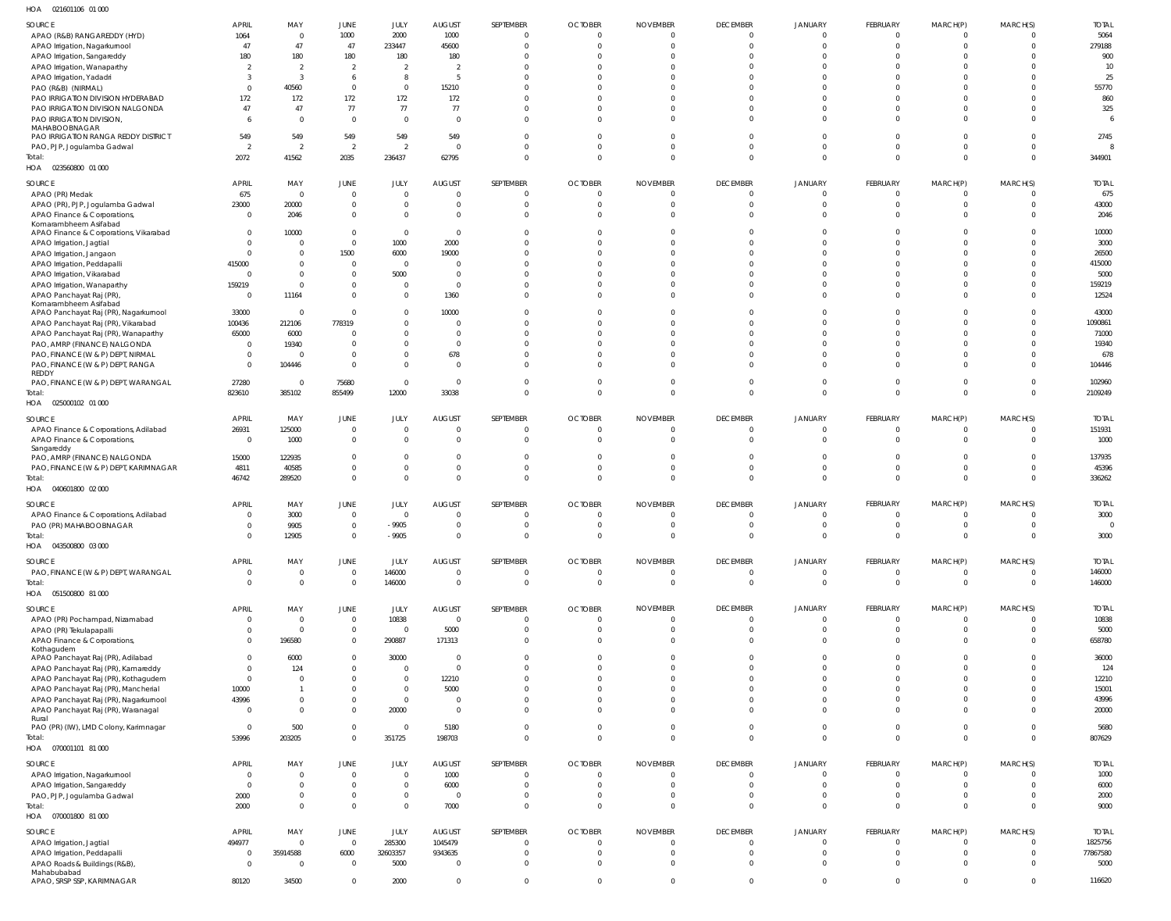| HOA 021601106 01 000                      |                |                |                |                |                        |                |                |                 |                 |                            |                 |                |              |              |
|-------------------------------------------|----------------|----------------|----------------|----------------|------------------------|----------------|----------------|-----------------|-----------------|----------------------------|-----------------|----------------|--------------|--------------|
| SOURCE                                    | <b>APRIL</b>   | MAY            | JUNE           | JULY           | <b>AUGUST</b>          | SEPTEMBER      | <b>OCTOBER</b> | <b>NOVEMBER</b> | <b>DECEMBER</b> | <b>JANUARY</b>             | <b>FEBRUARY</b> | MARCH(P)       | MARCH(S)     | <b>TOTAL</b> |
| APAO (R&B) RANGAREDDY (HYD)               | 1064           | $\overline{0}$ | 1000           | 2000           | 1000                   | $\overline{0}$ | $\overline{0}$ | $\overline{0}$  | $\overline{0}$  | $\overline{0}$             | $\overline{0}$  | $\Omega$       | $\Omega$     | 5064         |
| APAO Irrigation, Nagarkurnool             | 47             | 47             | 47             | 233447         | 45600                  | $\overline{0}$ | $\overline{0}$ | $\mathbf 0$     | $\Omega$        | $\Omega$                   | $\Omega$        | $\Omega$       | $\Omega$     | 279188       |
| APAO Irrigation, Sangareddy               | 180            | 180            | 180            | 180            | 180                    | 0              | $\Omega$       | $\Omega$        | $\Omega$        | $\Omega$                   | $\Omega$        | $\Omega$       |              | 900          |
| APAO Irrigation, Wanaparthy               |                | $\overline{2}$ | $\overline{2}$ | -2             | 2                      | $\Omega$       | $\Omega$       | $\Omega$        | $\Omega$        | $\Omega$                   | $\Omega$        | $\Omega$       |              | 10           |
| APAO Irrigation, Yadadri                  | -3             | $\overline{3}$ | 6              | 8              | - 5                    | $\Omega$       | $\Omega$       | $\Omega$        | $\Omega$        | $\Omega$                   | $\Omega$        | - 0            |              | 25           |
| PAO (R&B) (NIRMAL)                        | $\Omega$       | 40560          | $\mathbf 0$    | $\mathbf{0}$   | 15210                  | $\Omega$       | $\Omega$       | $\Omega$        | $\Omega$        | $\Omega$                   | $\Omega$        | - 0            |              | 55770        |
| PAO IRRIGATION DIVISION HYDERABAD         | 172            | 172            | 172            | 172            | 172                    | $\Omega$       | $\Omega$       | $\Omega$        | $\Omega$        | $\Omega$                   | $\Omega$        | - 0            |              | 860          |
| PAO IRRIGATION DIVISION NALGONDA          | 47             | 47             | 77             | 77             | 77                     | $\Omega$       | $\Omega$       | $\Omega$        | $\Omega$        | $\Omega$                   | $\Omega$        | $\Omega$       |              | 325          |
| PAO IRRIGATION DIVISION,                  |                | $\Omega$       | $\overline{0}$ | $\Omega$       | $\Omega$               | $\mathbf 0$    | $\Omega$       | $\Omega$        | $\Omega$        | $\Omega$                   | $\Omega$        | $\Omega$       |              |              |
| MAHABOOBNAGAR                             |                |                |                |                |                        |                |                |                 |                 |                            |                 |                |              |              |
| PAO IRRIGATION RANGA REDDY DISTRICT       | 549            | 549            | 549            | 549            | 549                    | $\overline{0}$ | $\Omega$       | $\Omega$        | $\Omega$        | $\Omega$                   | $\Omega$        | $\Omega$       | U            | 2745         |
| PAO, PJP, Jogulamba Gadwal                | $\overline{2}$ | $\overline{2}$ | $\overline{2}$ | - 2            | $\overline{0}$         | $\overline{0}$ | $\mathbf 0$    | $\Omega$        | $\Omega$        | $\overline{0}$             | $\Omega$        | $\Omega$       | $\Omega$     |              |
| Total:                                    | 2072           | 41562          | 2035           | 236437         | 62795                  | $\mathbf{0}$   | $\Omega$       | $\Omega$        | $\Omega$        | $\Omega$                   | $\Omega$        | $\Omega$       | $\Omega$     | 344901       |
| HOA  023560800  01  000                   |                |                |                |                |                        |                |                |                 |                 |                            |                 |                |              |              |
|                                           |                |                |                |                |                        |                |                |                 |                 |                            |                 |                |              |              |
| SOURCE                                    | <b>APRIL</b>   | MAY            | JUNE           | JULY           | <b>AUGUST</b>          | SEPTEMBER      | <b>OCTOBER</b> | <b>NOVEMBER</b> | <b>DECEMBER</b> | <b>JANUARY</b>             | <b>FEBRUARY</b> | MARCH(P)       | MARCH(S)     | <b>TOTAL</b> |
| APAO (PR) Medak                           | 675            | $\overline{0}$ | $\mathbf 0$    | $\Omega$       | $\overline{0}$         | $\overline{0}$ | $\overline{0}$ | $\overline{0}$  | $\overline{0}$  | $\overline{0}$             | $\overline{0}$  | $\overline{0}$ | $\mathbf 0$  | 675          |
| APAO (PR), PJP, Jogulamba Gadwal          | 23000          | 20000          | $\mathbf 0$    | $\mathbf{0}$   | $\overline{0}$         | 0              | $\overline{0}$ | $\mathbf 0$     | $\overline{0}$  | $\overline{0}$             | $\overline{0}$  | - 0            | $\Omega$     | 43000        |
| APAO Finance & Corporations,              | $\Omega$       | 2046           | $\mathbf 0$    | $\mathbf{0}$   | $\overline{0}$         | $\overline{0}$ | $\mathbf 0$    | $\mathbf 0$     | $\Omega$        | $\overline{0}$             | $\Omega$        | $\Omega$       | $\Omega$     | 2046         |
| Komarambheem Asifabad                     |                |                |                |                |                        |                |                |                 |                 |                            |                 |                |              |              |
| APAO Finance & Corporations, Vikarabad    | $\Omega$       | 10000          | $\mathbf 0$    | $\Omega$       | $\overline{0}$         | $\Omega$       | $\Omega$       | $\Omega$        | $\Omega$        | $\overline{0}$             | $\Omega$        | $\Omega$       | 0            | 10000        |
| APAO Irrigation, Jagtial                  | $\Omega$       | $\Omega$       | $\mathbf 0$    | 1000           | 2000                   | $\Omega$       | $\Omega$       | $\Omega$        | $\Omega$        | $\Omega$                   | $\Omega$        | $\Omega$       | $\Omega$     | 3000         |
| APAO Irrigation, Jangaon                  | $\Omega$       | 0              | 1500           | 6000           | 19000                  | -0             | $\Omega$       | $\Omega$        | $\Omega$        | $\Omega$                   | $\Omega$        | $\Omega$       | U            | 26500        |
| APAO Irrigation, Peddapalli               | 415000         | $\Omega$       | $\mathbf 0$    | $\Omega$       | $\overline{0}$         | $\Omega$       | $\Omega$       | $\Omega$        | $\Omega$        | $\Omega$                   | $\Omega$        | $\Omega$       | U            | 415000       |
| APAO Irrigation, Vikarabad                | - 0            | $\Omega$       | $\mathbf 0$    | 5000           | $\overline{0}$         | $\Omega$       | $\Omega$       | $\Omega$        | $\Omega$        | $\Omega$                   | $\Omega$        | - 0            | U            | 5000         |
| APAO Irrigation, Wanaparthy               | 159219         | $\Omega$       | $\mathbf 0$    | $\Omega$       | $\overline{0}$         | $\Omega$       | $\Omega$       | $\Omega$        | $\Omega$        | $\Omega$                   | $\Omega$        | $\Omega$       | $\Omega$     | 159219       |
| APAO Panchayat Raj (PR)                   | - 0            | 11164          | $\mathbf 0$    | $\Omega$       | 1360                   | $\Omega$       | $\Omega$       | $\Omega$        | $\Omega$        | $\Omega$                   | $\Omega$        | $\Omega$       | $\Omega$     | 12524        |
| Komarambheem Asifabad                     |                |                | $\overline{0}$ | $\Omega$       |                        | $\Omega$       | $\Omega$       | $\Omega$        | $\Omega$        | $\Omega$                   | $\Omega$        | $\Omega$       | U            | 43000        |
| APAO Panchayat Raj (PR), Nagarkurnool     | 33000          | $\Omega$       |                |                | 10000                  |                |                |                 |                 |                            |                 |                |              |              |
| APAO Panchayat Raj (PR), Vikarabad        | 100436         | 212106         | 778319         | $\Omega$       | $\overline{0}$         | $\Omega$       | $\Omega$       | $\Omega$        | $\Omega$        | $\Omega$                   | $\Omega$        | $\Omega$       | U            | 1090861      |
| APAO Panchayat Raj (PR), Wanaparthy       | 65000          | 6000           | $\overline{0}$ | $\Omega$       | $\overline{0}$         | $\Omega$       | $\Omega$       | $\Omega$        | $\Omega$        | $\Omega$                   | $\Omega$        | $\Omega$       | $\Omega$     | 71000        |
| PAO, AMRP (FINANCE) NALGONDA              | $\Omega$       | 19340          | $\overline{0}$ | $\Omega$       | $\overline{0}$         | $\Omega$       | $\Omega$       | $\Omega$        | $\Omega$        | $\Omega$                   | $\Omega$        | $\Omega$       | <sup>0</sup> | 19340        |
| PAO, FINANCE (W & P) DEPT, NIRMAL         | $\Omega$       |                | $\overline{0}$ | $\Omega$       | 678                    | $\Omega$       | $\Omega$       | $\Omega$        | $\Omega$        | $\Omega$                   | $\Omega$        | $\Omega$       | 0            | 678          |
| PAO, FINANCE (W & P) DEPT, RANGA          | $\Omega$       | 104446         | $\mathbf 0$    | $\Omega$       | $\overline{0}$         | $\Omega$       | $\Omega$       | $\Omega$        | $\Omega$        | $\Omega$                   | $\Omega$        | $\Omega$       | <sup>0</sup> | 104446       |
| <b>REDDY</b>                              |                |                |                | $\Omega$       | $\overline{0}$         | $\overline{0}$ | $\Omega$       | $\Omega$        | $\Omega$        | $\overline{0}$             | $\Omega$        | $\overline{0}$ | $\Omega$     |              |
| PAO, FINANCE (W & P) DEPT, WARANGAL       | 27280          | $\overline{0}$ | 75680          |                |                        |                |                |                 |                 |                            |                 |                |              | 102960       |
| Total:                                    | 823610         | 385102         | 855499         | 12000          | 33038                  | $\mathbf{0}$   | $\Omega$       | $\Omega$        | $\Omega$        | $\Omega$                   | $\Omega$        | $\Omega$       | $\Omega$     | 2109249      |
| HOA  025000102  01 000                    |                |                |                |                |                        |                |                |                 |                 |                            |                 |                |              |              |
| SOURCE                                    | <b>APRIL</b>   | MAY            | <b>JUNE</b>    | JULY           | <b>AUGUST</b>          | SEPTEMBER      | <b>OCTOBER</b> | <b>NOVEMBER</b> | <b>DECEMBER</b> | <b>JANUARY</b>             | FEBRUARY        | MARCH(P)       | MARCH(S)     | <b>TOTAL</b> |
| APAO Finance & Corporations, Adilabad     | 26931          | 125000         | $\mathbf 0$    | - 0            | $\overline{0}$         | 0              | $\overline{0}$ | $\overline{0}$  | $\Omega$        | $\overline{0}$             | $\overline{0}$  | - 0            | U            | 151931       |
| APAO Finance & Corporations,              | $\overline{0}$ | 1000           | $\mathbf{0}$   | $\Omega$       | $\Omega$               | 0              | 0              | $\Omega$        | $\Omega$        | $\Omega$                   | $\Omega$        | $\Omega$       |              | 1000         |
| Sangareddy                                |                |                |                |                |                        |                |                |                 |                 |                            |                 |                |              |              |
| PAO, AMRP (FINANCE) NALGONDA              | 15000          | 122935         | $\overline{0}$ |                | $\Omega$               | $\overline{0}$ | $\Omega$       | $\Omega$        | $\Omega$        | $\Omega$                   | $\Omega$        | $\Omega$       | $\Omega$     | 137935       |
| PAO, FINANCE (W & P) DEPT, KARIMNAGAR     | 4811           | 40585          | $\mathbf 0$    | $\Omega$       | $\overline{0}$         | $\overline{0}$ | $\overline{0}$ | $\Omega$        | $\overline{0}$  | $\overline{0}$             | $\Omega$        | $\overline{0}$ | $\Omega$     | 45396        |
| Total:                                    | 46742          | 289520         | $\mathbf 0$    | $\Omega$       | $\overline{0}$         | $\overline{0}$ | $\Omega$       | $\mathbf 0$     | $\Omega$        | $\Omega$                   | $\Omega$        | $\overline{0}$ | $\Omega$     | 336262       |
| HOA  040601800  02  000                   |                |                |                |                |                        |                |                |                 |                 |                            |                 |                |              |              |
|                                           |                |                |                |                |                        |                |                |                 |                 |                            |                 |                |              |              |
| SOURCE                                    | <b>APRIL</b>   | MAY            | JUNE           | JULY           | <b>AUGUST</b>          | SEPTEMBER      | <b>OCTOBER</b> | <b>NOVEMBER</b> | <b>DECEMBER</b> | <b>JANUARY</b>             | <b>FEBRUARY</b> | MARCH(P)       | MARCH(S)     | <b>TOTAL</b> |
| APAO Finance & Corporations, Adilabad     | $\Omega$       | 3000           | $\overline{0}$ | $\Omega$       | $\overline{0}$         | 0              | $\overline{0}$ | 0               | $\Omega$        | $\overline{0}$             | $\overline{0}$  | $\overline{0}$ | $\mathbf 0$  | 3000         |
| PAO (PR) MAHABOOBNAGAR                    | $\cap$         | 9905           | $\Omega$       | $-9905$        | $\Omega$               | $\Omega$       | $\Omega$       | $\Omega$        | $\Omega$        | $\Omega$                   | $\Omega$        | $\Omega$       | $\Omega$     | $\Omega$     |
| Total:                                    | $\Omega$       | 12905          | $\mathbf 0$    | $-9905$        | $\overline{0}$         | $\mathbf{0}$   | $\overline{0}$ | $\mathbf{0}$    | $\overline{0}$  | $\overline{0}$             | $\overline{0}$  | $\overline{0}$ | $\mathbf 0$  | 3000         |
| HOA<br>043500800 03 000                   |                |                |                |                |                        |                |                |                 |                 |                            |                 |                |              |              |
| SOURCE                                    | <b>APRIL</b>   | MAY            | JUNE           | JULY           | <b>AUGUST</b>          | SEPTEMBER      | <b>OCTOBER</b> | <b>NOVEMBER</b> | <b>DECEMBER</b> | <b>JANUARY</b>             | <b>FEBRUARY</b> | MARCH(P)       | MARCH(S)     | <b>TOTAL</b> |
| PAO, FINANCE (W & P) DEPT, WARANGAL       | - 0            | $\mathbf 0$    | $\mathbf 0$    | 146000         | $\overline{0}$         | $\overline{0}$ | $\mathbf 0$    | $\overline{0}$  | $\overline{0}$  | $\overline{0}$             | $\overline{0}$  | $\overline{0}$ | $\Omega$     | 146000       |
| Total:                                    | $\Omega$       | $\Omega$       | $\overline{0}$ | 146000         | $\overline{0}$         | $\overline{0}$ | $\mathbf{0}$   | $\overline{0}$  | $\overline{0}$  | $\overline{0}$             | $\Omega$        | $\overline{0}$ | $\mathbf 0$  | 146000       |
| HOA  051500800  81 000                    |                |                |                |                |                        |                |                |                 |                 |                            |                 |                |              |              |
|                                           |                |                |                |                |                        |                |                |                 |                 |                            |                 |                |              |              |
| SOURCE                                    | <b>APRIL</b>   | MAY            |                |                |                        |                |                |                 |                 |                            |                 |                |              |              |
| APAO (PR) Pochampad, Nizamabad            |                |                | JUNE           | JULY           | <b>AUGUST</b>          | SEPTEMBER      | <b>OCTOBER</b> | <b>NOVEMBER</b> | <b>DECEMBER</b> | <b>JANUARY</b>             | <b>FEBRUARY</b> | MARCH(P)       | MARCH(S)     | <b>TOTAL</b> |
| APAO (PR) Tekulapapalli                   | $\Omega$       | $\overline{0}$ | $\overline{0}$ | 10838          | $\overline{0}$         | 0              | $\overline{0}$ | $\overline{0}$  | $\overline{0}$  | $\overline{0}$             | $\overline{0}$  | $\overline{0}$ | 0            | 10838        |
|                                           | $\Omega$       | $\overline{0}$ | $\mathbf 0$    | $\mathbf{0}$   | 5000                   | 0              | $\overline{0}$ | 0               | $\overline{0}$  | $\overline{0}$             | $\overline{0}$  | - 0            | 0            | 5000         |
| APAO Finance & Corporations,              | $\Omega$       | 196580         | $\mathbf 0$    | 290887         | 171313                 | $\overline{0}$ | $\overline{0}$ | $\overline{0}$  | $\overline{0}$  | $\overline{0}$             | $\overline{0}$  | $\overline{0}$ | $\mathbf 0$  | 658780       |
| Kothagudem                                |                |                |                |                |                        |                |                |                 |                 |                            |                 |                |              |              |
| APAO Panchayat Raj (PR), Adilabad         | $\Omega$       | 6000           | $\mathbf 0$    | 30000          | $\overline{0}$         | $\overline{0}$ | $\overline{0}$ | $\mathbf 0$     | $\overline{0}$  | $\overline{0}$             | $\overline{0}$  | $\overline{0}$ | $\mathbf 0$  | 36000        |
| APAO Panchayat Raj (PR), Kamareddy        |                | 124            | $\mathbf 0$    | $\Omega$       | $\overline{0}$         | $\Omega$       | $\Omega$       | $\Omega$        | $\Omega$        | $\overline{0}$             | $\Omega$        | $\Omega$       | $\Omega$     | 124          |
| APAO Panchayat Raj (PR), Kothagudem       | - 0            | $\Omega$       | $\mathbf 0$    | $\mathbf{0}$   | 12210                  | $\Omega$       | $\Omega$       | $\Omega$        | $\Omega$        | $\Omega$                   | $\Omega$        | $\Omega$       | 0            | 12210        |
| APAO Panchayat Raj (PR), Mancherial       | 10000          |                | $\mathbf 0$    | $\mathbf{0}$   | 5000                   | $\Omega$       | $\Omega$       | $\Omega$        | $\Omega$        | $\Omega$                   | $\Omega$        | $\Omega$       | 0            | 15001        |
| APAO Panchayat Raj (PR), Nagarkurnool     | 43996          | 0              | $\mathbf 0$    | $\overline{0}$ | $\overline{0}$         | 0              | $\Omega$       | 0               | $\Omega$        | $\overline{0}$             | $\overline{0}$  | $\mathbf 0$    | 0            | 43996        |
| APAO Panchayat Raj (PR), Waranagal        | - 0            | $\mathbf 0$    | $\mathbf 0$    | 20000          | $\overline{0}$         | $\overline{0}$ | $\Omega$       | $\Omega$        | $\Omega$        | $\overline{0}$             | $\Omega$        | $\mathbf 0$    | 0            | 20000        |
| Rural                                     |                |                |                |                |                        |                |                |                 |                 |                            |                 |                |              |              |
| PAO (PR) (IW), LMD Colony, Karimnagar     | $\overline{0}$ | 500            | $\mathbf 0$    | $\Omega$       | 5180                   | $\overline{0}$ | $\overline{0}$ | $\overline{0}$  | $\overline{0}$  | $\overline{0}$             | $\overline{0}$  | $\overline{0}$ | 0            | 5680         |
| Total:                                    | 53996          | 203205         | $\mathbf 0$    | 351725         | 198703                 | $\mathbf{0}$   | $\overline{0}$ | $\overline{0}$  | $\overline{0}$  | $\overline{0}$             | $\overline{0}$  | $\overline{0}$ | $\mathbf 0$  | 807629       |
| HOA  070001101  81 000                    |                |                |                |                |                        |                |                |                 |                 |                            |                 |                |              |              |
| SOURCE                                    | <b>APRIL</b>   | MAY            | JUNE           | JULY           | <b>AUGUST</b>          | SEPTEMBER      | <b>OCTOBER</b> | <b>NOVEMBER</b> | <b>DECEMBER</b> | <b>JANUARY</b>             | <b>FEBRUARY</b> | MARCH(P)       | MARCH(S)     | <b>TOTAL</b> |
|                                           | $\Omega$       | $\Omega$       | $\overline{0}$ | $\Omega$       | 1000                   | $\overline{0}$ | $\overline{0}$ | $\overline{0}$  | $\Omega$        | $\Omega$                   | $\Omega$        | $\overline{0}$ |              | 1000         |
| APAO Irrigation, Nagarkurnool             | - 0            | $\Omega$       | $\mathbf 0$    | $\Omega$       |                        | 0              | 0              | $\mathbf 0$     | $\overline{0}$  | $\overline{0}$             | $\overline{0}$  | $\overline{0}$ | 0            |              |
| APAO Irrigation, Sangareddy               |                | $\mathbf 0$    |                | $\Omega$       | 6000<br>$\overline{0}$ | $\overline{0}$ | 0              | 0               | $\overline{0}$  |                            | $\overline{0}$  | $\overline{0}$ | $\Omega$     | 6000         |
| PAO, PJP, Jogulamba Gadwal                | 2000           | $\Omega$       | $\mathbf 0$    |                |                        |                | $\Omega$       | $\Omega$        | $\Omega$        | $\overline{0}$<br>$\Omega$ | $\Omega$        | $\Omega$       | $\Omega$     | 2000         |
| Total:                                    | 2000           |                | $\mathbf{0}$   | $\mathbf 0$    | 7000                   | $\mathbf{0}$   |                |                 |                 |                            |                 |                |              | 9000         |
| HOA  070001800  81 000                    |                |                |                |                |                        |                |                |                 |                 |                            |                 |                |              |              |
| SOURCE                                    | <b>APRIL</b>   | MAY            | <b>JUNE</b>    | JULY           | <b>AUGUST</b>          | SEPTEMBER      | <b>OCTOBER</b> | <b>NOVEMBER</b> | <b>DECEMBER</b> | <b>JANUARY</b>             | <b>FEBRUARY</b> | MARCH(P)       | MARCH(S)     | <b>TOTAL</b> |
| APAO Irrigation, Jagtial                  | 494977         | $\overline{0}$ | $\overline{0}$ | 285300         | 1045479                | 0              | $\overline{0}$ | $\overline{0}$  | $\overline{0}$  | $\overline{0}$             | $\overline{0}$  | - 0            | 0            | 1825756      |
| APAO Irrigation, Peddapalli               | - 0            | 35914588       | 6000           | 32603357       | 9343635                | 0              | $\overline{0}$ | 0               | $\overline{0}$  | $\overline{0}$             | $\overline{0}$  | - 0            | 0            | 77867580     |
| APAO Roads & Buildings (R&B),             | $\Omega$       | $\overline{0}$ | $\overline{0}$ | 5000           | $\overline{0}$         | $\overline{0}$ | $\overline{0}$ | $\overline{0}$  | $\overline{0}$  | $\overline{0}$             | $\overline{0}$  | $\overline{0}$ | $\mathbf 0$  | 5000         |
| Mahabubabad<br>APAO, SRSP SSP, KARIMNAGAR | 80120          | 34500          | $\mathbf 0$    | 2000           | $\overline{0}$         | $\mathbf 0$    | $\overline{0}$ | $\mathbf 0$     | $\overline{0}$  | $\overline{0}$             | $\overline{0}$  | $\overline{0}$ | $\mathbf 0$  | 116620       |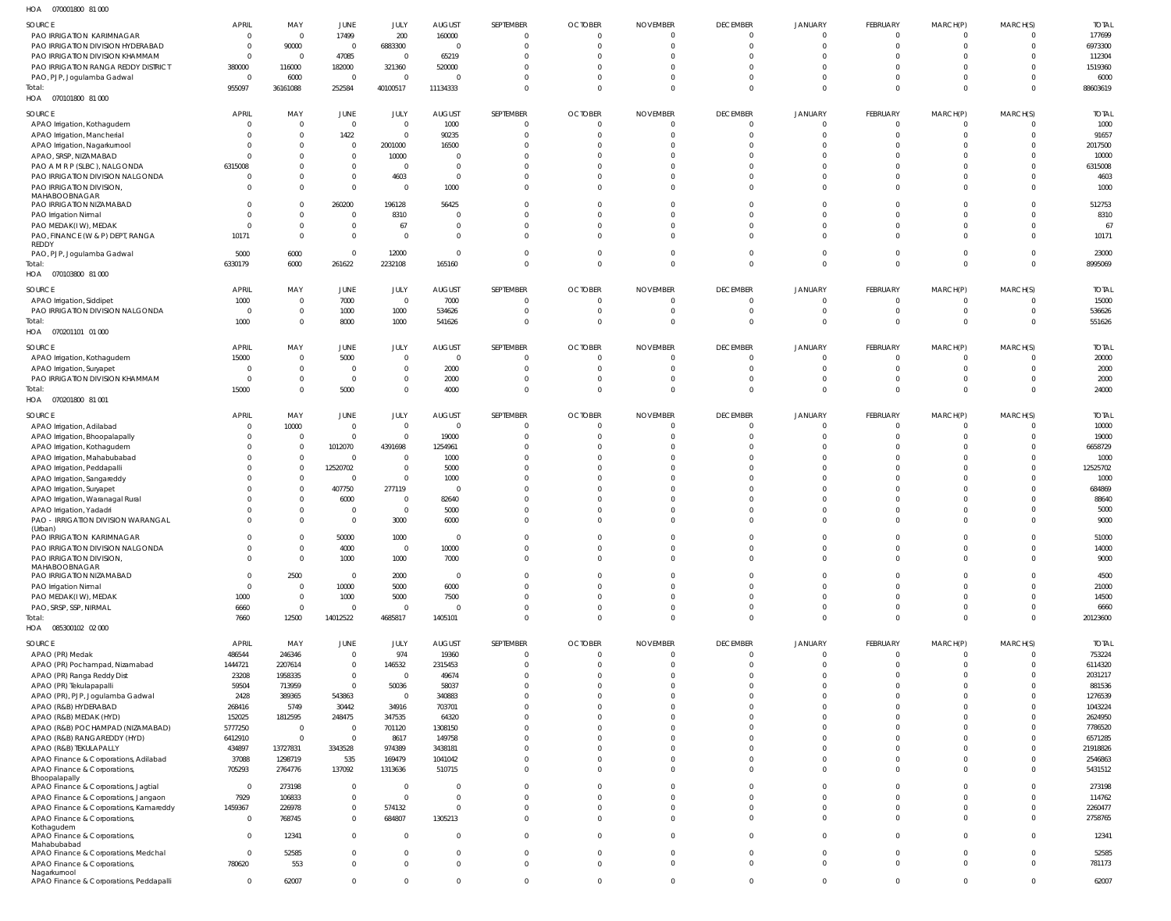| HOA<br>070001800 81 000                                      |                |                                |                |                        |                          |                |                |                 |                            |                            |                 |                |                |                |
|--------------------------------------------------------------|----------------|--------------------------------|----------------|------------------------|--------------------------|----------------|----------------|-----------------|----------------------------|----------------------------|-----------------|----------------|----------------|----------------|
| SOURCE                                                       | <b>APRIL</b>   | MAY                            | JUNE           | JULY                   | <b>AUGUST</b>            | SEPTEMBER      | <b>OCTOBER</b> | <b>NOVEMBER</b> | <b>DECEMBER</b>            | <b>JANUARY</b>             | FEBRUARY        | MARCH(P)       | MARCH(S)       | <b>TOTAL</b>   |
| PAO IRRIGATION KARIMNAGAR                                    | $\mathbf{0}$   | $\mathbf{0}$                   | 17499          | 200                    | 160000                   | $\Omega$       | $\Omega$       | $\Omega$        | $\overline{0}$             | $\Omega$                   | $\overline{0}$  | $\overline{0}$ | $\Omega$       | 177699         |
| PAO IRRIGATION DIVISION HYDERABAD                            | $\mathbf{0}$   | 90000                          | $\overline{0}$ | 6883300                | $\overline{\phantom{0}}$ | $\Omega$       | $\Omega$       | $\Omega$        | $\overline{0}$             | $\Omega$                   | $\Omega$        | $\overline{0}$ | $\Omega$       | 6973300        |
| PAO IRRIGATION DIVISION KHAMMAM                              | $\mathbf{0}$   | $\overline{0}$                 | 47085          | $\overline{0}$         | 65219                    | $\Omega$       |                |                 | $\Omega$                   | $\Omega$                   |                 | $\Omega$       | $\Omega$       | 112304         |
| PAO IRRIGATION RANGA REDDY DISTRICT                          | 380000         | 116000                         | 182000         | 321360                 | 520000                   |                |                |                 | $\Omega$                   | $\Omega$                   | $\Omega$        | $\Omega$       | $\Omega$       | 1519360        |
| PAO, PJP, Jogulamba Gadwal                                   | $\mathbf{0}$   | 6000                           | $\overline{0}$ | $\Omega$               | - 0                      |                |                |                 | $\Omega$                   | $\Omega$                   | $\Omega$        | 0              | $\Omega$       | 6000           |
| Total:                                                       | 955097         | 36161088                       | 252584         | 40100517               | 11134333                 | $\Omega$       |                | $\Omega$        | $\Omega$                   | $\Omega$                   | $\Omega$        | $\Omega$       | $\Omega$       | 88603619       |
| HOA  070101800  81 000                                       |                |                                |                |                        |                          |                |                |                 |                            |                            |                 |                |                |                |
| SOURCE                                                       | <b>APRIL</b>   | MAY                            | JUNE           | JULY                   | <b>AUGUST</b>            | SEPTEMBER      | <b>OCTOBER</b> | <b>NOVEMBER</b> | <b>DECEMBER</b>            | <b>JANUARY</b>             | FEBRUARY        | MARCH(P)       | MARCH(S)       | <b>TOTAL</b>   |
| APAO Irrigation, Kothagudem                                  | $\mathbf{0}$   | $\overline{0}$                 | $\overline{0}$ | $\overline{0}$         | 1000                     | - 0            | - 0            |                 | $\overline{0}$             | $\overline{0}$             | $\Omega$        | 0              | $\overline{0}$ | 1000           |
| APAO Irrigation, Mancherial                                  | $\Omega$       | $\overline{0}$                 | 1422           | $\overline{0}$         | 90235                    |                |                |                 | $\Omega$                   | $\Omega$                   | $\Omega$        | 0              | $\Omega$       | 91657          |
| APAO Irrigation, Nagarkurnool                                | $\Omega$       | $\overline{0}$                 | $\overline{0}$ | 2001000                | 16500                    |                |                |                 | $\Omega$                   | $\Omega$                   | $\Omega$        | $\Omega$       | $\Omega$       | 2017500        |
| APAO, SRSP, NIZAMABAD                                        | $\Omega$       | $\mathbf 0$                    | $\overline{0}$ | 10000                  | $\overline{0}$           |                |                |                 | $\Omega$                   | $\Omega$                   |                 | $\Omega$       | <sup>0</sup>   | 10000          |
| PAO A M R P (SLBC), NALGONDA                                 | 6315008        | $\mathbf 0$                    | $\mathbf{0}$   | $\overline{0}$         | $\overline{0}$           |                |                |                 | $\Omega$                   | $\Omega$                   | $\Omega$        | $\Omega$       | $\Omega$       | 6315008        |
| PAO IRRIGATION DIVISION NALGONDA                             | 0              | $\mathbf 0$                    | $\overline{0}$ | 4603                   | $\overline{0}$           |                |                |                 | $\Omega$                   | $\Omega$                   | $\Omega$        | $\Omega$       | $\Omega$       | 4603           |
| PAO IRRIGATION DIVISION,                                     | $\Omega$       | $\overline{0}$                 | $\mathbf{0}$   | $\overline{0}$         | 1000                     |                |                |                 | $\Omega$                   | $\Omega$                   | $\Omega$        | $\mathbf{0}$   | $\Omega$       | 1000           |
| MAHABOOBNAGAR<br>PAO IRRIGATION NIZAMABAD                    | $\mathbf{0}$   | $\overline{0}$                 | 260200         | 196128                 | 56425                    |                |                |                 | $\Omega$                   | $\Omega$                   | $\Omega$        | $\Omega$       | $\Omega$       | 512753         |
| PAO Irrigation Nirmal                                        | $\Omega$       | $\mathbf{0}$                   | $\overline{0}$ | 8310                   | $\overline{0}$           |                |                |                 | $\Omega$                   | $\Omega$                   | $\Omega$        | $\Omega$       | $\Omega$       | 8310           |
| PAO MEDAK(IW), MEDAK                                         | $\Omega$       | $\overline{0}$                 | $\mathbf{0}$   | 67                     | $\overline{0}$           |                |                |                 | $\Omega$                   | $\Omega$                   | $\Omega$        | $\Omega$       | <sup>0</sup>   | 67             |
| PAO, FINANCE (W & P) DEPT, RANGA                             | 10171          | $\mathbf{0}$                   | $\overline{0}$ | $\overline{0}$         | $\overline{0}$           | $\Omega$       |                |                 | $\Omega$                   | $\Omega$                   | $\Omega$        | $\mathbf{0}$   | $\Omega$       | 10171          |
| <b>REDDY</b>                                                 |                |                                |                |                        |                          |                |                |                 |                            |                            |                 |                |                |                |
| PAO, PJP, Jogulamba Gadwal                                   | 5000           | 6000                           | $\overline{0}$ | 12000                  | $\overline{0}$           | $\Omega$       |                |                 | $\mathbf{0}$               | $\overline{0}$             | $\Omega$        | $\overline{0}$ | $\Omega$       | 23000          |
| Total:                                                       | 6330179        | 6000                           | 261622         | 2232108                | 165160                   | $\Omega$       | $\Omega$       |                 | $\overline{0}$             | $\overline{0}$             | $\Omega$        | $\overline{0}$ | $\overline{0}$ | 8995069        |
| HOA  070103800  81 000                                       |                |                                |                |                        |                          |                |                |                 |                            |                            |                 |                |                |                |
| SOURCE                                                       | <b>APRIL</b>   | MAY                            | JUNE           | JULY                   | <b>AUGUST</b>            | SEPTEMBER      | <b>OCTOBER</b> | <b>NOVEMBER</b> | <b>DECEMBER</b>            | <b>JANUARY</b>             | FEBRUARY        | MARCH(P)       | MARCH(S)       | <b>TOTAL</b>   |
| APAO Irrigation, Siddipet                                    | 1000           | $\overline{0}$                 | 7000           | $\overline{0}$         | 7000                     | $\Omega$       | $\Omega$       | - 0             | $\mathbf{0}$               | $\overline{0}$             | $\Omega$        | $\overline{0}$ | $\Omega$       | 15000          |
| PAO IRRIGATION DIVISION NALGONDA                             | $\mathbf{0}$   | $\overline{0}$                 | 1000           | 1000                   | 534626                   | $\Omega$       | $\Omega$       | $\Omega$        | $\overline{0}$             | $\overline{0}$             | $\Omega$        | $\overline{0}$ | $\Omega$       | 536626         |
| Total:                                                       | 1000           | $\mathbf{0}$                   | 8000           | 1000                   | 541626                   | $\Omega$       | $\Omega$       | $\Omega$        | $\overline{0}$             | $\overline{0}$             | $\Omega$        | $\overline{0}$ | $\Omega$       | 551626         |
| HOA  070201101  01  000                                      |                |                                |                |                        |                          |                |                |                 |                            |                            |                 |                |                |                |
| SOURCE                                                       | <b>APRIL</b>   | MAY                            | JUNE           | JULY                   | <b>AUGUST</b>            | SEPTEMBER      | <b>OCTOBER</b> | <b>NOVEMBER</b> | <b>DECEMBER</b>            | <b>JANUARY</b>             | FEBRUARY        | MARCH(P)       | MARCH(S)       | <b>TOTAL</b>   |
| APAO Irrigation, Kothagudem                                  | 15000          | $\overline{0}$                 | 5000           | $\overline{0}$         | $\overline{0}$           |                |                |                 | $\mathbf{0}$               | $\Omega$                   | $\Omega$        | 0              | $\Omega$       | 20000          |
| APAO Irrigation, Suryapet                                    | $\overline{0}$ | $\overline{0}$                 | $\overline{0}$ | $\overline{0}$         | 2000                     | $\Omega$       |                |                 | $\Omega$                   | $\Omega$                   | $\Omega$        | $\overline{0}$ | $\Omega$       | 2000           |
| PAO IRRIGATION DIVISION KHAMMAM                              | $\mathbf{0}$   | $\overline{0}$                 | $\overline{0}$ | $\overline{0}$         | 2000                     |                |                |                 | $\overline{0}$             | $\overline{0}$             | $\Omega$        | 0              | $\Omega$       | 2000           |
| Total:                                                       | 15000          | $\overline{0}$                 | 5000           | $\overline{0}$         | 4000                     | $\Omega$       |                |                 | $\overline{0}$             | $\overline{0}$             | $\Omega$        | $\overline{0}$ | $\overline{0}$ | 24000          |
| HOA  070201800  81  001                                      |                |                                |                |                        |                          |                |                |                 |                            |                            |                 |                |                |                |
| SOURCE                                                       | <b>APRIL</b>   | MAY                            | JUNE           | JULY                   | <b>AUGUST</b>            | SEPTEMBER      | <b>OCTOBER</b> | <b>NOVEMBER</b> | <b>DECEMBER</b>            | <b>JANUARY</b>             | FEBRUARY        | MARCH(P)       | MARCH(S)       | <b>TOTAL</b>   |
| APAO Irrigation, Adilabad                                    | 0              | 10000                          | $\overline{0}$ | $\overline{0}$         | $\overline{0}$           | $\Omega$       | - 0            |                 | $\mathbf{0}$               | $\Omega$                   | $\Omega$        | $\overline{0}$ | $\Omega$       | 10000          |
| APAO Irrigation, Bhoopalapally                               | $\Omega$       | $\overline{0}$                 | $\overline{0}$ | $\overline{0}$         | 19000                    | $\Omega$       | $\Omega$       |                 | $\Omega$                   | $\Omega$                   | $\Omega$        | $\mathbf{0}$   | $\Omega$       | 19000          |
| APAO Irrigation, Kothagudem                                  |                | $\overline{0}$                 | 1012070        | 4391698                | 1254961                  |                |                |                 | $\Omega$                   | $\Omega$                   |                 | $\Omega$       | $\Omega$       | 6658729        |
| APAO Irrigation, Mahabubabad                                 |                | $\overline{0}$                 | $\overline{0}$ | $\overline{0}$         | 1000                     |                |                |                 | $\Omega$                   | $\Omega$                   | $\Omega$        | $\Omega$       | $\Omega$       | 1000           |
| APAO Irrigation, Peddapalli                                  |                | $\mathbf 0$                    | 12520702       | $\overline{0}$         | 5000                     |                |                |                 | $\Omega$                   | $\Omega$                   | $\Omega$        | 0              | <sup>0</sup>   | 12525702       |
| APAO Irrigation, Sangareddy                                  |                | $\mathbf{0}$                   | - 0            | $\overline{0}$         | 1000                     |                |                |                 | $\Omega$                   | $\Omega$                   |                 | $\Omega$       | <sup>0</sup>   | 1000           |
| APAO Irrigation, Suryapet                                    |                | $\mathbf 0$                    | 407750         | 277119                 | $\overline{0}$           |                |                |                 | $\Omega$                   | $\Omega$                   |                 | $\Omega$       | <sup>0</sup>   | 684869         |
| APAO Irrigation, Waranagal Rural                             |                | $\overline{0}$                 | 6000           | $\overline{0}$         | 82640                    |                |                |                 | $\Omega$                   | $\Omega$                   |                 | 0              | <sup>0</sup>   | 88640          |
| APAO Irrigation, Yadadri                                     |                | $\mathbf{0}$                   | $\overline{0}$ | $\overline{0}$         | 5000                     |                |                |                 | $\Omega$                   | $\Omega$                   | $\Omega$        | $\Omega$       |                | 5000           |
| PAO - IRRIGATION DIVISION WARANGAL                           | $\Omega$       | $\Omega$                       | $\Omega$       | 3000                   | 6000                     |                |                |                 | $\Omega$                   | $\Omega$                   | $\Omega$        | $\Omega$       | $\Omega$       | 9000           |
| (Urban)                                                      |                |                                |                |                        |                          |                |                |                 |                            |                            | $\Omega$        | $\Omega$       | $\Omega$       |                |
| PAO IRRIGATION KARIMNAGAR                                    | $\Omega$       | $\overline{0}$<br>$\mathbf{0}$ | 50000<br>4000  | 1000<br>$\overline{0}$ | $\overline{0}$<br>10000  | $\Omega$       | $\Omega$       | $\Omega$        | $\Omega$<br>$\overline{0}$ | $\Omega$<br>$\overline{0}$ | $\overline{0}$  | $\overline{0}$ | $\Omega$       | 51000<br>14000 |
| PAO IRRIGATION DIVISION NALGONDA<br>PAO IRRIGATION DIVISION, | $\Omega$       | $\overline{0}$                 | 1000           | 1000                   | 7000                     | $\Omega$       | $\Omega$       | $\Omega$        | $\overline{0}$             | $\overline{0}$             | $\Omega$        | $\Omega$       | $\Omega$       | 9000           |
| MAHABOOBNAGAR                                                |                |                                |                |                        |                          |                |                |                 |                            |                            |                 |                |                |                |
| PAO IRRIGATION NIZAMABAD                                     | $\Omega$       | 2500                           | $\overline{0}$ | 2000                   |                          |                |                |                 |                            |                            |                 |                |                |                |
| PAO Irrigation Nirmal                                        | $\mathbf 0$    |                                |                |                        | $\overline{0}$           | $\Omega$       | $\Omega$       | - 0             | $\Omega$                   | $\Omega$                   | $\Omega$        | $\Omega$       | $\Omega$       | 4500           |
| PAO MEDAK(IW), MEDAK                                         |                | $\mathbf{0}$                   | 10000          | 5000                   | 6000                     | $\Omega$       |                |                 | $\Omega$                   | $\Omega$                   | $\Omega$        | $\Omega$       | $\Omega$       | 21000          |
|                                                              | 1000           | $\mathbf{0}$                   | 1000           | 5000                   | 7500                     | $\Omega$       | $\Omega$       | $\Omega$        | $\Omega$                   | $\Omega$                   | $\Omega$        | $\Omega$       | $\Omega$       | 14500          |
| PAO, SRSP, SSP, NIRMAL                                       | 6660           | $\mathbf{0}$                   | $\overline{0}$ | $\overline{0}$         | $\overline{0}$           | $\Omega$       | $\Omega$       | $\Omega$        | $\overline{0}$             | $\overline{0}$             | $\Omega$        | $\Omega$       | $\Omega$       | 6660           |
| Total:                                                       | 7660           | 12500                          | 14012522       | 4685817                | 1405101                  | $\Omega$       | $\Omega$       | $\Omega$        | $\overline{0}$             | $\overline{0}$             | $\Omega$        | $\mathbf{0}$   | $\Omega$       | 20123600       |
| HOA  085300102  02  000                                      |                |                                |                |                        |                          |                |                |                 |                            |                            |                 |                |                |                |
| SOURCE                                                       | <b>APRIL</b>   | MAY                            | JUNE           | JULY                   | AUGUST                   | SEPTEMBER      | <b>OCTOBER</b> | <b>NOVEMBER</b> | <b>DECEMBER</b>            | <b>JANUARY</b>             | <b>FEBRUARY</b> | MARCH(P)       | MARCH(S)       | <b>TOTAL</b>   |
| APAO (PR) Medak                                              | 486544         | 246346                         | $\overline{0}$ | 974                    | 19360                    | $\Omega$       | $\Omega$       |                 | $\overline{0}$             | $\overline{0}$             | $\overline{0}$  | $\overline{0}$ | $\overline{0}$ | 753224         |
| APAO (PR) Pochampad, Nizamabad                               | 1444721        | 2207614                        | $\overline{0}$ | 146532                 | 2315453                  | $\Omega$       |                |                 | $\overline{0}$             | $\overline{0}$             | $\Omega$        | $\overline{0}$ | $\Omega$       | 6114320        |
| APAO (PR) Ranga Reddy Dist                                   | 23208          | 1958335                        | $\overline{0}$ | $\overline{0}$         | 49674                    | $\Omega$       |                |                 | $\mathbf{0}$               | $\Omega$                   | $\Omega$        | $\Omega$       | $\Omega$       | 2031217        |
| APAO (PR) Tekulapapalli                                      | 59504          | 713959                         | $\overline{0}$ | 50036                  | 58037                    |                |                |                 | $\Omega$                   | $\Omega$                   | $\Omega$        | $\Omega$       | <sup>0</sup>   | 881536         |
| APAO (PR), PJP, Jogulamba Gadwal                             | 2428           | 389365                         | 543863         | $\overline{0}$         | 340883                   |                |                |                 | $\Omega$                   | $\Omega$                   | $\Omega$        | $\Omega$       | $\Omega$       | 1276539        |
| APAO (R&B) HYDERABAD                                         | 268416         | 5749                           | 30442          | 34916                  | 703701                   |                |                |                 | $\Omega$                   | $\Omega$                   | $\Omega$        | $\Omega$       | <sup>0</sup>   | 1043224        |
| APAO (R&B) MEDAK (HYD)                                       | 152025         | 1812595                        | 248475         | 347535                 | 64320                    |                |                |                 | $\Omega$                   | $\Omega$                   | $\Omega$        | $\Omega$       | <sup>0</sup>   | 2624950        |
| APAO (R&B) POCHAMPAD (NIZAMABAD)                             | 5777250        | $\mathbf 0$                    | $\overline{0}$ | 701120                 | 1308150                  |                |                |                 | $\Omega$                   | $\Omega$                   | $\Omega$        | $\Omega$       | <sup>0</sup>   | 7786520        |
| APAO (R&B) RANGAREDDY (HYD)                                  | 6412910        | $\mathbf{0}$                   | $\overline{0}$ | 8617                   | 149758                   |                |                |                 | $\Omega$                   | $\Omega$                   | $\Omega$        | $\Omega$       | $\Omega$       | 6571285        |
| APAO (R&B) TEKULAPALLY                                       | 434897         | 13727831                       | 3343528        | 974389                 | 3438181                  |                |                |                 | $\Omega$                   | $\Omega$                   | $\Omega$        | $\Omega$       | $\Omega$       | 21918826       |
| APAO Finance & Corporations, Adilabad                        | 37088          | 1298719                        | 535            | 169479                 | 1041042                  |                |                |                 | $\overline{0}$             | $\Omega$                   | $\Omega$        | $\Omega$       | $\Omega$       | 2546863        |
| APAO Finance & Corporations,                                 | 705293         | 2764776                        | 137092         | 1313636                | 510715                   | $\Omega$       |                |                 | $\Omega$                   | $\Omega$                   | $\Omega$        | $\Omega$       | $\Omega$       | 5431512        |
| Bhoopalapally<br>APAO Finance & Corporations, Jagtial        | $\overline{0}$ | 273198                         | $\overline{0}$ | $\Omega$               | $\overline{0}$           | $\Omega$       | $\Omega$       | $\Omega$        | $\Omega$                   | $\Omega$                   | $\Omega$        | $\Omega$       | $\Omega$       | 273198         |
| APAO Finance & Corporations, Jangaon                         | 7929           | 106833                         | $\overline{0}$ | $\overline{0}$         | $\mathbf 0$              | $\Omega$       | $\Omega$       |                 | $\overline{0}$             | $\overline{0}$             | $\Omega$        | $\Omega$       | $\Omega$       | 114762         |
| APAO Finance & Corporations, Kamareddy                       | 1459367        | 226978                         | $\mathbf{0}$   | 574132                 | $\overline{0}$           | $\Omega$       | $\Omega$       | $\Omega$        | $\mathbf 0$                | $\overline{0}$             | $\Omega$        | $\Omega$       | $\Omega$       | 2260477        |
| APAO Finance & Corporations,                                 | $\overline{0}$ | 768745                         | $\mathbf{0}$   | 684807                 | 1305213                  | $\Omega$       | $\Omega$       | $\Omega$        | $\Omega$                   | $\overline{0}$             | $\Omega$        | $\Omega$       | $\Omega$       | 2758765        |
| Kothagudem                                                   |                |                                |                |                        |                          |                |                |                 |                            |                            |                 |                |                |                |
| APAO Finance & Corporations,                                 | $\mathbf{0}$   | 12341                          | $\overline{0}$ | $\overline{0}$         | $\overline{0}$           | $\Omega$       | $\Omega$       | $\Omega$        | $\Omega$                   | $\Omega$                   | $\Omega$        | $\overline{0}$ | $\Omega$       | 12341          |
| Mahabubabad<br>APAO Finance & Corporations, Medchal          | $\mathbf 0$    | 52585                          | $\overline{0}$ | $\overline{0}$         | $\mathbf 0$              | $\Omega$       | $\Omega$       | $\Omega$        | $\overline{0}$             | $\overline{0}$             | $\overline{0}$  | $\overline{0}$ | $\Omega$       | 52585          |
| APAO Finance & Corporations,                                 | 780620         | 553                            | $\overline{0}$ | $\overline{0}$         | $\mathbf{0}$             | $\Omega$       | $\Omega$       | $\Omega$        | $\overline{0}$             | $\overline{0}$             | $\overline{0}$  | $\overline{0}$ | $\Omega$       | 781173         |
| Nagarkurnool<br>APAO Finance & Corporations, Peddapalli      | $\mathbf{0}$   | 62007                          | $\overline{0}$ | $\mathbf{0}$           | $\mathbf 0$              | $\overline{0}$ | $\Omega$       | $\Omega$        | $\overline{0}$             | $\overline{0}$             | $\overline{0}$  | $\mathbf{0}$   | $\mathbf 0$    | 62007          |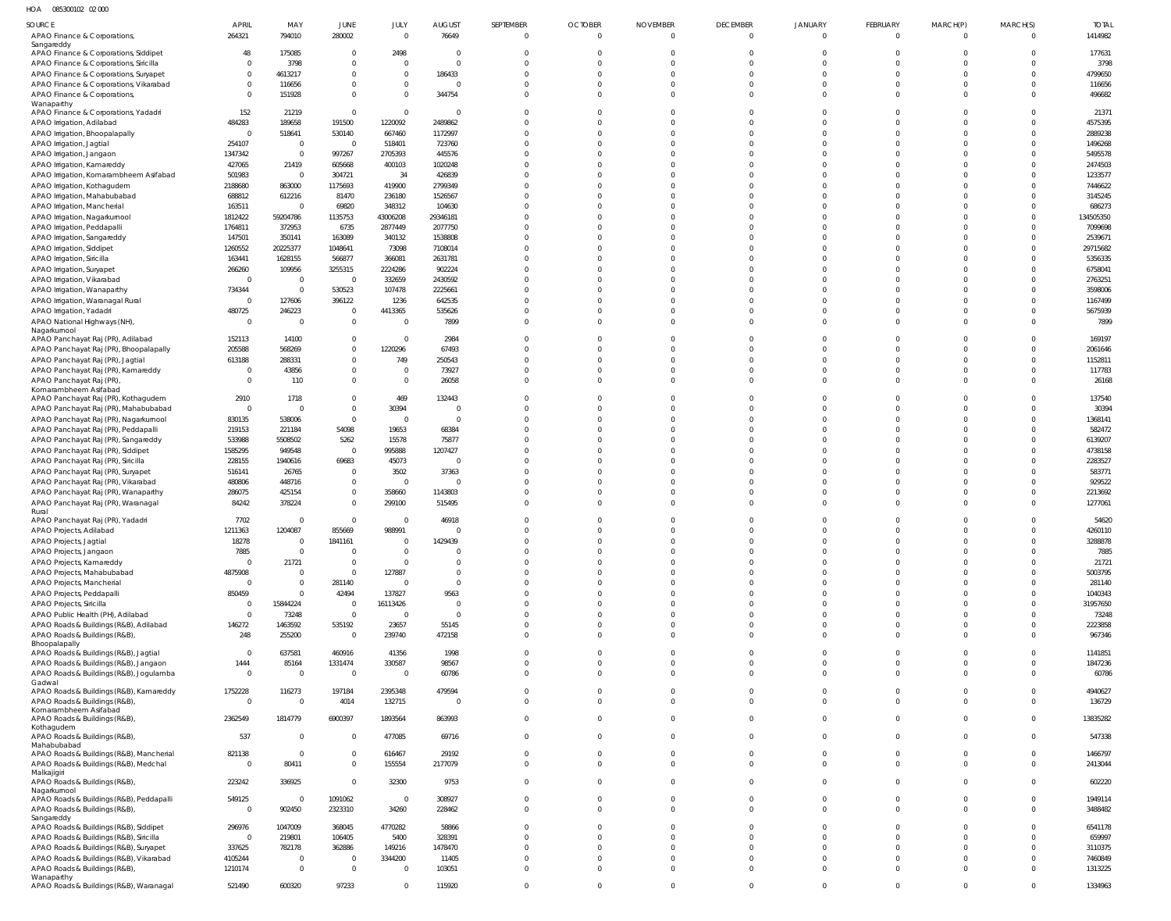HOA 085300102 02 000

| SOURCE                                                                         | <b>APRIL</b>        | MAY                     | JUNE                             | JULY                     | <b>AUGUST</b>              | SEPTEMBER                  | <b>OCTOBER</b>       | <b>NOVEMBER</b>      | <b>DECEMBER</b>      | JANUARY              | FEBRUARY                | MARCH(P)                       | MARCH(S)                         | <b>TOTAL</b>        |
|--------------------------------------------------------------------------------|---------------------|-------------------------|----------------------------------|--------------------------|----------------------------|----------------------------|----------------------|----------------------|----------------------|----------------------|-------------------------|--------------------------------|----------------------------------|---------------------|
| APAO Finance & Corporations,                                                   | 264321              | 794010                  | 280002                           | $\mathbf 0$              | 76649                      | $\overline{0}$             | $\overline{0}$       | $\Omega$             | $\mathbf 0$          | $\mathbf 0$          | $\overline{0}$          | $\overline{0}$                 | $\overline{0}$                   | 1414982             |
| Sangareddy<br>APAO Finance & Corporations, Siddipet                            | 48                  | 175085                  | $\mathbf{0}$                     | 2498                     | $\overline{0}$             | $\Omega$                   | $\Omega$             | $\Omega$             | $\Omega$             |                      | $\overline{0}$          | $\mathbf 0$                    | $\overline{0}$                   | 177631              |
| APAO Finance & Corporations, Siricilla                                         | $\overline{0}$      | 3798                    | $\mathbf{0}$                     | $\Omega$                 | $\mathbf{0}$               | $\Omega$                   | $\Omega$             | $\Omega$             | $\Omega$             |                      | $\Omega$                | $\Omega$                       | $\overline{0}$                   | 3798                |
| APAO Finance & Corporations, Suryapet                                          | $\overline{0}$      | 4613217                 | $\mathbf 0$                      | $\mathbf 0$              | 186433                     | $\Omega$                   | $\Omega$             | $\Omega$             | $\Omega$             |                      | $\Omega$                | $\mathbf 0$                    | $\overline{0}$                   | 4799650             |
| APAO Finance & Corporations, Vikarabad                                         | $\mathbf 0$         | 116656                  | $\mathbf 0$                      | $\mathbf 0$              | $\overline{0}$             | $\Omega$                   | $\Omega$             | $\Omega$             | $\Omega$             |                      | $\Omega$                | $\mathbf{0}$                   | $\overline{0}$                   | 116656              |
| APAO Finance & Corporations,                                                   | $\Omega$            | 151928                  | $\mathbf 0$                      | $\Omega$                 | 344754                     | $\Omega$                   | $\Omega$             | $\Omega$             | $\Omega$             | $\Omega$             | $\Omega$                | $\mathbf 0$                    | $\overline{0}$                   | 496682              |
| Wanaparthy<br>APAO Finance & Corporations, Yadadri                             | 152                 | 21219                   | $\overline{0}$                   | $\mathbf 0$              | $\overline{0}$             | $\Omega$                   | $\Omega$             | $\Omega$             | $\Omega$             |                      | $\Omega$                | $\Omega$                       | $\overline{0}$                   | 21371               |
| APAO Irrigation, Adilabad                                                      | 484283              | 189658                  | 191500                           | 1220092                  | 2489862                    | $\Omega$                   | $\Omega$             | $\Omega$             | $\Omega$             |                      | $\Omega$                | $\mathbf 0$                    | $\overline{0}$                   | 4575395             |
| APAO Irrigation, Bhoopalapally                                                 | $\overline{0}$      | 518641                  | 530140                           | 667460                   | 1172997                    | $\Omega$                   | $\Omega$             | $\Omega$             | $\Omega$             |                      | $\Omega$                | $\Omega$                       | $\overline{0}$                   | 2889238             |
| APAO Irrigation, Jagtial                                                       | 254107              | $\overline{0}$          | $\overline{0}$                   | 518401                   | 723760                     | $\Omega$                   | $\Omega$             | $\Omega$             | $\Omega$             |                      | $\Omega$                | $\mathbf 0$                    | $\overline{0}$                   | 1496268             |
| APAO Irrigation, Jangaon                                                       | 1347342             | $\overline{0}$          | 997267                           | 2705393                  | 445576                     | $\Omega$                   | $\Omega$             | $\Omega$             |                      |                      | $\Omega$                | $\Omega$                       | $\overline{0}$                   | 5495578             |
| APAO Irrigation, Kamareddy<br>APAO Irrigation, Komarambheem Asifabad           | 427065<br>501983    | 21419<br>$\overline{0}$ | 605668<br>304721                 | 400103<br>34             | 1020248<br>426839          | $\Omega$<br>$\Omega$       | $\Omega$<br>$\Omega$ | $\Omega$<br>$\Omega$ |                      |                      | $\Omega$<br>$\Omega$    | $\Omega$<br>$\Omega$           | $\overline{0}$<br>$\overline{0}$ | 2474503<br>1233577  |
| APAO Irrigation, Kothagudem                                                    | 2188680             | 863000                  | 1175693                          | 419900                   | 2799349                    | $\Omega$                   | $\Omega$             | $\Omega$             |                      |                      | $\Omega$                | $\Omega$                       | $\overline{0}$                   | 7446622             |
| APAO Irrigation, Mahabubabad                                                   | 688812              | 612216                  | 81470                            | 236180                   | 1526567                    | $\Omega$                   | $\Omega$             | $\Omega$             |                      |                      | $\Omega$                | $\Omega$                       | $\overline{0}$                   | 3145245             |
| APAO Irrigation, Mancherial                                                    | 163511              | $\overline{0}$          | 69820                            | 348312                   | 104630                     | $\Omega$                   | $\Omega$             | $\Omega$             |                      |                      | $\Omega$                | $\Omega$                       | $\overline{0}$                   | 686273              |
| APAO Irrigation, Nagarkurnool                                                  | 1812422             | 59204786                | 1135753                          | 43006208                 | 29346181                   | $\Omega$                   | $\Omega$             | $\Omega$             |                      |                      | $\Omega$                | $\Omega$                       | $\overline{0}$                   | 134505350           |
| APAO Irrigation, Peddapalli                                                    | 1764811             | 372953                  | 6735                             | 2877449                  | 2077750                    | $\Omega$                   | $\Omega$             | $\Omega$             |                      |                      | $\Omega$                | $\mathbf 0$                    | $\mathbf{0}$                     | 7099698             |
| APAO Irrigation, Sangareddy                                                    | 147501              | 350141                  | 163089                           | 340132                   | 1538808                    | $\Omega$                   | $\Omega$             | $\Omega$             |                      |                      | $\Omega$                | $\Omega$                       | $\overline{0}$                   | 2539671             |
| APAO Irrigation, Siddipet<br>APAO Irrigation, Siricilla                        | 1260552<br>163441   | 20225377<br>1628155     | 1048641<br>566877                | 73098<br>366081          | 7108014<br>2631781         | $\Omega$<br>$\Omega$       | $\Omega$<br>$\Omega$ | $\Omega$<br>$\Omega$ |                      |                      | $\Omega$<br>$\Omega$    | $\Omega$<br>$\Omega$           | $\overline{0}$<br>$\overline{0}$ | 29715682<br>5356335 |
| APAO Irrigation, Suryapet                                                      | 266260              | 109956                  | 3255315                          | 2224286                  | 902224                     | $\Omega$                   | $\Omega$             | $\Omega$             |                      |                      | $\Omega$                | $\Omega$                       | $\overline{0}$                   | 6758041             |
| APAO Irrigation, Vikarabad                                                     | $\overline{0}$      | $\overline{0}$          | $\overline{0}$                   | 332659                   | 2430592                    | $\Omega$                   | $\Omega$             | $\Omega$             |                      |                      | $\Omega$                | $\Omega$                       | $\overline{0}$                   | 2763251             |
| APAO Irrigation, Wanaparthy                                                    | 734344              | $\overline{0}$          | 530523                           | 107478                   | 2225661                    | $\Omega$                   | $\Omega$             | $\Omega$             |                      |                      | $\Omega$                | $\Omega$                       | $\overline{0}$                   | 3598006             |
| APAO Irrigation, Waranagal Rural                                               | $\overline{0}$      | 127606                  | 396122                           | 1236                     | 642535                     | $\Omega$                   | $\Omega$             | $\Omega$             | U                    |                      | $\Omega$                | $\Omega$                       | $\overline{0}$                   | 1167499             |
| APAO Irrigation, Yadadri                                                       | 480725              | 246223                  | $\overline{0}$                   | 4413365                  | 535626                     | $\Omega$                   | $\Omega$             | $\Omega$             | $\Omega$             |                      | $\Omega$                | $\mathbf 0$                    | $\overline{0}$                   | 5675939             |
| APAO National Highways (NH),<br>Nagarkurnool                                   | $\overline{0}$      | $\overline{0}$          | $\overline{0}$                   | $\mathbf 0$              | 7899                       | $\Omega$                   | $\Omega$             | $\Omega$             | $\Omega$             |                      | $\Omega$                | $\Omega$                       | $\overline{0}$                   | 7899                |
| APAO Panchayat Raj (PR), Adilabad                                              | 152113              | 14100                   | $\overline{0}$                   | $\mathbf 0$              | 2984                       | $\Omega$                   | $\Omega$             | $\Omega$             | $\Omega$             |                      | $\Omega$                | $\Omega$                       | $\Omega$                         | 169197              |
| APAO Panchayat Raj (PR), Bhoopalapally                                         | 205588              | 568269                  | $\mathbf 0$                      | 1220296                  | 67493                      | $\Omega$                   | $\Omega$             | $\Omega$             | $\Omega$             |                      | $\Omega$                | $\Omega$                       | $\overline{0}$                   | 2061646             |
| APAO Panchayat Raj (PR), Jagtial                                               | 613188              | 288331                  | $\mathbf 0$                      | 749                      | 250543                     | $\Omega$                   | $\Omega$             | $\Omega$             | $\Omega$             |                      | $\Omega$                | $\mathbf 0$                    | $\overline{0}$                   | 1152811             |
| APAO Panchayat Raj (PR), Kamareddy                                             | 0                   | 43856                   | $\mathbf{0}$                     | $\mathbf 0$              | 73927                      | $\Omega$                   | $\Omega$             | $\Omega$             | $\Omega$             |                      | $\Omega$                | $\Omega$                       | $\overline{0}$                   | 117783              |
| APAO Panchayat Raj (PR)                                                        | $\overline{0}$      | 110                     | $\mathbf{0}$                     | $\mathbf 0$              | 26058                      | $\Omega$                   | $\Omega$             | $\Omega$             | $\Omega$             | $\Omega$             | $\Omega$                | $\mathbf 0$                    | $\overline{0}$                   | 26168               |
| Komarambheem Asifabad<br>APAO Panchayat Raj (PR), Kothagudem                   | 2910                | 1718                    | $\mathbf{0}$                     | 469                      | 132443                     | $\Omega$                   | $\Omega$             | $\Omega$             | 0                    |                      | $\Omega$                | $\mathbf 0$                    | $\overline{0}$                   | 137540              |
| APAO Panchayat Raj (PR), Mahabubabad                                           | $\overline{0}$      | $\overline{0}$          | $\mathbf 0$                      | 30394                    | $\overline{0}$             | $\Omega$                   | $\Omega$             | $\Omega$             | $\Omega$             |                      | $\Omega$                | $\mathbf 0$                    | $\overline{0}$                   | 30394               |
| APAO Panchayat Raj (PR), Nagarkurnool                                          | 830135              | 538006                  | $\overline{0}$                   | $\mathbf{0}$             | $\mathbf 0$                | $\Omega$                   | $\Omega$             | $\Omega$             | $\Omega$             |                      | $\Omega$                | $\Omega$                       | $\overline{0}$                   | 1368141             |
| APAO Panchayat Raj (PR), Peddapalli                                            | 219153              | 221184                  | 54098                            | 19653                    | 68384                      | $\Omega$                   | $\Omega$             | $\Omega$             |                      |                      | $\Omega$                | $\Omega$                       | $\overline{0}$                   | 582472              |
| APAO Panchayat Raj (PR), Sangareddy                                            | 533988              | 5508502                 | 5262                             | 15578                    | 75877                      | $\Omega$                   | $\Omega$             | $\Omega$             |                      |                      | $\Omega$                | $\Omega$                       | $\overline{0}$                   | 6139207             |
| APAO Panchayat Raj (PR), Siddipet                                              | 1585295             | 949548                  | $\overline{0}$                   | 995888                   | 1207427                    | $\Omega$                   | $\Omega$             | $\Omega$             |                      |                      | $\Omega$                | $\Omega$                       | $\Omega$                         | 4738158             |
| APAO Panchayat Raj (PR), Siricilla                                             | 228155<br>516141    | 1940616<br>26765        | 69683<br>$\overline{0}$          | 45073<br>3502            | $\overline{0}$<br>37363    | $\Omega$<br>$\Omega$       | $\Omega$<br>$\Omega$ | $\Omega$<br>$\cap$   |                      |                      | $\Omega$<br>$\Omega$    | $\Omega$<br>$\Omega$           | $\overline{0}$<br>$\Omega$       | 2283527<br>583771   |
| APAO Panchayat Raj (PR), Suryapet<br>APAO Panchayat Raj (PR), Vikarabad        | 480806              | 448716                  | $\overline{0}$                   | $\overline{0}$           | $\overline{0}$             | $\Omega$                   | $\Omega$             | $\Omega$             |                      |                      | $\Omega$                | $\mathbf 0$                    | $\overline{0}$                   | 929522              |
| APAO Panchayat Raj (PR), Wanaparthy                                            | 286075              | 425154                  | $\overline{0}$                   | 358660                   | 1143803                    | $\Omega$                   | $\Omega$             | $\Omega$             | $\Omega$             |                      | $\Omega$                | $\Omega$                       | $\overline{0}$                   | 2213692             |
| APAO Panchayat Raj (PR), Waranagal                                             | 84242               | 378224                  | $\overline{0}$                   | 299100                   | 515495                     | $\Omega$                   | $\Omega$             | $\Omega$             | $\Omega$             |                      | $\Omega$                | $\Omega$                       | $\Omega$                         | 1277061             |
| Rural                                                                          |                     |                         |                                  |                          |                            |                            |                      |                      |                      |                      |                         |                                |                                  |                     |
| APAO Panchayat Raj (PR), Yadadri<br><b>APAO Projects, Adilabad</b>             | 7702<br>1211363     | $\Omega$<br>1204087     | $\overline{0}$<br>855669         | $\mathbf 0$<br>988991    | 46918<br>$\Omega$          | $\Omega$<br>$\Omega$       | $\Omega$<br>$\Omega$ | $\Omega$<br>$\cap$   | U<br>$\cap$          |                      | $\Omega$<br>$\Omega$    | $\Omega$<br>$\Omega$           | $\Omega$<br>$\Omega$             | 54620<br>4260110    |
| APAO Projects, Jagtial                                                         | 18278               | $\Omega$                | 1841161                          | $\Omega$                 | 1429439                    | $\Omega$                   | $\Omega$             | $\Omega$             | $\Omega$             |                      | $\Omega$                | $\Omega$                       | $\overline{0}$                   | 3288878             |
| APAO Projects, Jangaon                                                         | 7885                | $\Omega$                | $\overline{0}$                   | $\mathbf 0$              | $\overline{0}$             | $\overline{0}$             | $\Omega$             | $\Omega$             | $\Omega$             |                      | $\mathbf 0$             | $\mathbf 0$                    | $\overline{0}$                   | 7885                |
| APAO Projects, Kamareddy                                                       | 0                   | 21721                   | $\mathbf{0}$                     | $\mathbf 0$              | $\mathbf 0$                | $\overline{0}$             | $\Omega$             | $\Omega$             | $\Omega$             | $\Omega$             | $\Omega$                | $\overline{0}$                 | $\overline{0}$                   | 21721               |
| APAO Projects, Mahabubabad                                                     | 4875908             | $\Omega$                | $\overline{0}$                   | 127887                   | $\mathbf{0}$               | $\Omega$                   | $\Omega$             | $\Omega$             | $\Omega$             |                      | $\Omega$                | $\Omega$                       | $\Omega$                         | 5003795             |
| APAO Projects, Mancherial                                                      | $\overline{0}$      | $\Omega$                | 281140                           | $\mathbf 0$              | $\mathbf 0$                | $\overline{0}$             | $\Omega$             | $\Omega$             | $\Omega$             | $\Omega$             | $\Omega$                | $\overline{0}$                 | $\overline{0}$                   | 281140              |
| APAO Projects, Peddapalli                                                      | 850459              | $\Omega$                | 42494                            | 137827                   | 9563                       | $\overline{0}$             | $\Omega$             | $\Omega$             | $\Omega$             | $\Omega$             | $\Omega$                | $\Omega$                       | $\overline{0}$                   | 1040343             |
| APAO Projects, Siricilla<br>APAO Public Health (PH), Adilabad                  | - 0<br>0            | 15844224<br>73248       | $\overline{0}$<br>$\overline{0}$ | 16113426<br>$\mathbf{0}$ | $\mathbf 0$<br>$\mathbf 0$ | $\Omega$<br>$\Omega$       | $\Omega$<br>$\Omega$ | $\Omega$<br>$\Omega$ | $\Omega$<br>$\Omega$ | $\Omega$<br>$\Omega$ | $\Omega$<br>$\Omega$    | $\overline{0}$<br>$\mathbf 0$  | $\overline{0}$<br>$\overline{0}$ | 31957650<br>73248   |
| APAO Roads & Buildings (R&B), Adilabad                                         | 146272              | 1463592                 | 535192                           | 23657                    | 55145                      | $\overline{0}$             | $\Omega$             | $\Omega$             | $\Omega$             | $\Omega$             | $\Omega$                | $\overline{0}$                 | $\overline{0}$                   | 2223858             |
| APAO Roads & Buildings (R&B),                                                  | 248                 | 255200                  | $\overline{0}$                   | 239740                   | 472158                     | $\Omega$                   | $\Omega$             | $\Omega$             | $\Omega$             | $\Omega$             | $\Omega$                | $\Omega$                       | $\overline{0}$                   | 967346              |
| Bhoopalapally                                                                  |                     |                         |                                  |                          |                            |                            |                      |                      |                      |                      |                         |                                |                                  |                     |
| APAO Roads & Buildings (R&B), Jagtial<br>APAO Roads & Buildings (R&B), Jangaon | $\mathbf 0$<br>1444 | 637581<br>85164         | 460916<br>1331474                | 41356<br>330587          | 1998<br>98567              | $\Omega$<br>$\overline{0}$ | $\Omega$<br>$\Omega$ | $\Omega$<br>$\Omega$ | 0<br>$\Omega$        | $\Omega$<br>$\Omega$ | $\Omega$<br>$\mathbf 0$ | $\mathbf{0}$<br>$\overline{0}$ | $\overline{0}$<br>$\overline{0}$ | 1141851<br>1847236  |
| APAO Roads & Buildings (R&B), Jogulamba                                        | $\mathbf 0$         | $\overline{0}$          | $\overline{0}$                   | $\overline{0}$           | 60786                      | $\overline{0}$             | $\Omega$             | $\Omega$             | 0                    | $\Omega$             | $\mathbf 0$             | $\overline{0}$                 | $\overline{0}$                   | 60786               |
| Gadwal                                                                         |                     |                         |                                  |                          |                            |                            |                      |                      |                      |                      |                         |                                |                                  |                     |
| APAO Roads & Buildings (R&B), Kamareddy                                        | 1752228             | 116273                  | 197184                           | 2395348                  | 479594                     | $\overline{0}$             | $\Omega$             | $\Omega$             | $\Omega$             | $\Omega$             | $\mathbf 0$             | $\overline{0}$                 | $\overline{0}$                   | 4940627             |
| APAO Roads & Buildings (R&B),<br>Komarambheem Asifabad                         | $\mathbf 0$         | $\Omega$                | 4014                             | 132715                   | $\overline{0}$             | $\overline{0}$             | $\Omega$             | $\Omega$             | $\mathbf 0$          | $\Omega$             | $\mathbf{0}$            | $\overline{0}$                 | $\overline{0}$                   | 136729              |
| APAO Roads & Buildings (R&B),                                                  | 2362549             | 1814779                 | 6900397                          | 1893564                  | 863993                     | $\overline{0}$             | $\Omega$             | $\Omega$             | $\Omega$             | $\Omega$             | $\Omega$                | $\Omega$                       | $\overline{0}$                   | 13835282            |
| Kothagudem                                                                     |                     |                         |                                  |                          |                            |                            |                      |                      |                      |                      |                         |                                |                                  |                     |
| APAO Roads & Buildings (R&B),<br>Mahabubabad                                   | 537                 | $\overline{0}$          | $\overline{0}$                   | 477085                   | 69716                      | $\overline{0}$             | $\Omega$             | $\Omega$             | $\Omega$             | $\Omega$             | $\Omega$                | $\Omega$                       | $\overline{0}$                   | 547338              |
| APAO Roads & Buildings (R&B), Mancherial                                       | 821138              | $\Omega$                | $\mathbf 0$                      | 616467                   | 29192                      | $\overline{0}$             | $\Omega$             | $\Omega$             | $\Omega$             | $\Omega$             | $\mathbf 0$             | $\mathbf{0}$                   | $\overline{0}$                   | 1466797             |
| APAO Roads & Buildings (R&B), Medchal                                          | $\overline{0}$      | 80411                   | $\mathbf 0$                      | 155554                   | 2177079                    | $\overline{0}$             | $\Omega$             | $\Omega$             | $\Omega$             | $\Omega$             | $\Omega$                | $\Omega$                       | $\overline{0}$                   | 2413044             |
| Malkajigiri<br>APAO Roads & Buildings (R&B),                                   | 223242              | 336925                  | $\overline{0}$                   | 32300                    | 9753                       | $\overline{0}$             | $\Omega$             | $\Omega$             | 0                    | $\Omega$             | $\mathbf 0$             | $\Omega$                       | $\overline{0}$                   | 602220              |
| Nagarkurnool                                                                   |                     |                         |                                  |                          |                            |                            |                      |                      |                      |                      |                         |                                |                                  |                     |
| APAO Roads & Buildings (R&B), Peddapalli                                       | 549125              | - 0                     | 1091062                          | $\mathbf{0}$             | 308927                     | $\overline{0}$             | $\Omega$             | $\Omega$             | 0                    | $\Omega$             | $\mathbf 0$             | $\mathbf 0$                    | $\overline{0}$                   | 1949114             |
| APAO Roads & Buildings (R&B),                                                  | $\overline{0}$      | 902450                  | 2323310                          | 34260                    | 228462                     | $\overline{0}$             | $\Omega$             | $\Omega$             | 0                    | $\Omega$             | $\Omega$                | $\Omega$                       | $\overline{0}$                   | 3488482             |
| Sangareddy<br>APAO Roads & Buildings (R&B), Siddipet                           | 296976              | 1047009                 | 368045                           | 4770282                  | 58866                      | $\Omega$                   | $\Omega$             | $\Omega$             | U                    | U                    | $\Omega$                | $\Omega$                       | $\overline{0}$                   | 6541178             |
| APAO Roads & Buildings (R&B), Siricilla                                        | $\overline{0}$      | 219801                  | 106405                           | 5400                     | 328391                     | $\Omega$                   | $\Omega$             | $\Omega$             |                      |                      | $\Omega$                | $\Omega$                       | $\overline{0}$                   | 659997              |
| APAO Roads & Buildings (R&B), Suryapet                                         | 337625              | 782178                  | 362886                           | 149216                   | 1478470                    | $\Omega$                   | $\Omega$             | $\Omega$             | U                    | $\Omega$             | $\Omega$                | $\Omega$                       | $\overline{0}$                   | 3110375             |
| APAO Roads & Buildings (R&B), Vikarabad                                        | 4105244             | $\Omega$                | $\mathbf{0}$                     | 3344200                  | 11405                      | $\overline{0}$             | $\Omega$             | $\Omega$             | $\Omega$             | $\Omega$             | $\Omega$                | $\Omega$                       | $\overline{0}$                   | 7460849             |
| APAO Roads & Buildings (R&B),                                                  | 1210174             | $\overline{0}$          | $\mathbf 0$                      | $\Omega$                 | 103051                     | $\overline{0}$             | $\Omega$             | $\Omega$             | $\Omega$             | $\Omega$             | $\Omega$                | $\mathbf 0$                    | $\overline{0}$                   | 1313225             |
| Wanaparthy<br>APAO Roads & Buildings (R&B), Waranagal                          | 521490              | 600320                  | 97233                            | 0                        | 115920                     | $\overline{0}$             | $\mathbf{0}$         | $\Omega$             | $\Omega$             | $\mathbf 0$          | 0                       | $\mathbf 0$                    | $\overline{0}$                   | 1334963             |
|                                                                                |                     |                         |                                  |                          |                            |                            |                      |                      |                      |                      |                         |                                |                                  |                     |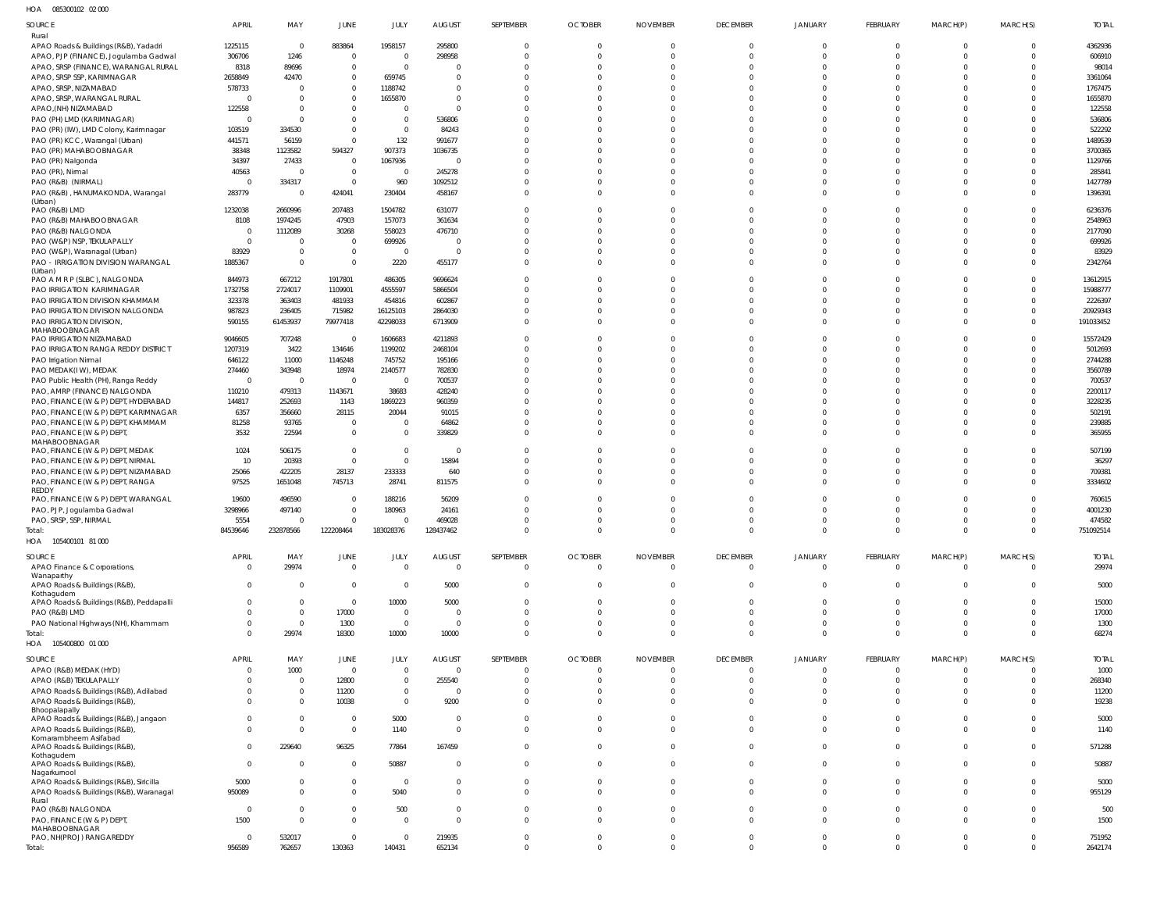085300102 02 000 HOA

| 1077<br><b>UUUUUUIUL ULUU</b>                                       |                                |                          |                                  |                         |                              |                                  |                                  |                                   |                                |                               |                            |                         |                                  |                       |
|---------------------------------------------------------------------|--------------------------------|--------------------------|----------------------------------|-------------------------|------------------------------|----------------------------------|----------------------------------|-----------------------------------|--------------------------------|-------------------------------|----------------------------|-------------------------|----------------------------------|-----------------------|
| SOURCE                                                              | <b>APRIL</b>                   | MAY                      | <b>JUNE</b>                      | JULY                    | <b>AUGUST</b>                | SEPTEMBER                        | <b>OCTOBER</b>                   | <b>NOVEMBER</b>                   | <b>DECEMBER</b>                | <b>JANUARY</b>                | FEBRUARY                   | MARCH(P)                | MARCH(S)                         | <b>TOTAL</b>          |
| Rural<br>APAO Roads & Buildings (R&B), Yadadri                      | 1225115                        | $\overline{0}$           | 883864                           | 1958157                 | 295800                       | $\mathbf 0$                      | $\overline{0}$                   | $\Omega$                          | $\mathbf 0$                    |                               |                            |                         |                                  | 4362936               |
| APAO, PJP (FINANCE), Jogulamba Gadwal                               | 306706                         | 1246                     | $\overline{0}$                   | $\overline{0}$          | 298958                       | $\Omega$                         | $\Omega$                         | $\Omega$                          | $\Omega$                       |                               |                            |                         |                                  | 606910                |
| APAO, SRSP (FINANCE), WARANGAL RURAL                                | 8318                           | 89696                    | $\overline{0}$                   | $\overline{0}$          | $\Omega$                     | $\Omega$                         | $\Omega$                         | $\Omega$                          | $\Omega$                       |                               |                            |                         |                                  | 98014                 |
| APAO, SRSP SSP, KARIMNAGAR                                          | 2658849                        | 42470                    | $\mathbf{0}$                     | 659745                  | $\Omega$                     | $\Omega$                         | $\Omega$                         | $\Omega$                          | $\Omega$                       |                               |                            |                         |                                  | 3361064               |
| APAO, SRSP, NIZAMABAD                                               | 578733                         | - 0                      | $\overline{0}$                   | 1188742                 | $\mathbf 0$                  | $\Omega$                         | $\Omega$                         |                                   |                                |                               |                            |                         |                                  | 1767475               |
| APAO, SRSP, WARANGAL RURAL                                          | $^{\circ}$                     | $\Omega$                 | $\mathbf{0}$                     | 1655870                 | $\mathbf 0$                  | $\Omega$<br>$\Omega$             | $\Omega$<br>$\Omega$             | $\Omega$                          |                                |                               |                            |                         |                                  | 1655870               |
| APAO, (NH) NIZAMABAD<br>PAO (PH) LMD (KARIMNAGAR)                   | 122558<br>$\overline{0}$       | $\Omega$<br>- 0          | $\overline{0}$<br>$\mathbf{0}$   | $\Omega$<br>$\mathbf 0$ | $\Omega$<br>536806           | $\Omega$                         | $\Omega$                         |                                   |                                |                               |                            |                         |                                  | 122558<br>536806      |
| PAO (PR) (IW), LMD Colony, Karimnagar                               | 103519                         | 334530                   | $\mathbf{0}$                     | $\mathbf 0$             | 84243                        | $\Omega$                         | $\Omega$                         | $\Omega$                          |                                |                               |                            |                         |                                  | 522292                |
| PAO (PR) KCC, Warangal (Urban)                                      | 441571                         | 56159                    | $\Omega$                         | 132                     | 991677                       | $\Omega$                         | $\Omega$                         | $\Omega$                          |                                |                               |                            |                         |                                  | 1489539               |
| PAO (PR) MAHABOOBNAGAR                                              | 38348                          | 1123582                  | 594327                           | 907373                  | 1036735                      | $\Omega$                         | $\Omega$                         | $\Omega$                          |                                |                               |                            |                         |                                  | 3700365               |
| PAO (PR) Nalgonda                                                   | 34397                          | 27433                    | $\overline{0}$                   | 1067936                 | $\overline{0}$               | $\Omega$                         | $\Omega$                         | $\Omega$                          |                                |                               |                            |                         |                                  | 1129766               |
| PAO (PR), Nirmal                                                    | 40563<br>$^{\circ}$            | $\Omega$<br>334317       | $\overline{0}$<br>$\overline{0}$ | $\overline{0}$<br>960   | 245278                       | $\Omega$<br>$\Omega$             | $\Omega$<br>$\Omega$             | $\Omega$<br>$\Omega$              | $\Omega$                       |                               |                            |                         |                                  | 285841<br>1427789     |
| PAO (R&B) (NIRMAL)<br>PAO (R&B), HANUMAKONDA, Warangal              | 283779                         | $\Omega$                 | 424041                           | 230404                  | 1092512<br>458167            | $\Omega$                         | $\Omega$                         | $\Omega$                          | $\Omega$                       |                               |                            |                         | $\Omega$                         | 1396391               |
| (Urban)                                                             |                                |                          |                                  |                         |                              |                                  |                                  |                                   |                                |                               |                            |                         |                                  |                       |
| PAO (R&B) LMD                                                       | 1232038                        | 2660996                  | 207483                           | 1504782                 | 631077                       | $\Omega$                         | $\Omega$                         | $\Omega$                          | $\Omega$                       |                               |                            |                         |                                  | 6236376               |
| PAO (R&B) MAHABOOBNAGAR<br>PAO (R&B) NALGONDA                       | 8108<br>- 0                    | 1974245<br>1112089       | 47903<br>30268                   | 157073<br>558023        | 361634<br>476710             | $\Omega$<br>$\Omega$             | $\Omega$<br>$\Omega$             | $\Omega$<br>$\Omega$              | n                              |                               |                            |                         |                                  | 2548963<br>2177090    |
| PAO (W&P) NSP, TEKULAPALLY                                          | $\overline{0}$                 | $\Omega$                 | $\overline{0}$                   | 699926                  | $\overline{0}$               | $\Omega$                         | $\Omega$                         | $\Omega$                          |                                |                               |                            |                         |                                  | 699926                |
| PAO (W&P), Waranagal (Urban)                                        | 83929                          | $\Omega$                 | $\mathbf{0}$                     | $\overline{0}$          | $\overline{0}$               | $\Omega$                         | $\Omega$                         | $\Omega$                          | $\Omega$                       |                               |                            |                         |                                  | 83929                 |
| PAO - IRRIGATION DIVISION WARANGAL                                  | 1885367                        | $\Omega$                 | $\overline{0}$                   | 2220                    | 455177                       | $\Omega$                         | $\Omega$                         | $\Omega$                          | $\Omega$                       |                               |                            |                         | $\Omega$                         | 2342764               |
| (Urban)<br>PAO A M R P (SLBC), NALGONDA                             | 844973                         | 667212                   | 1917801                          | 486305                  | 9696624                      | $\Omega$                         | $\Omega$                         | $\Omega$                          | $\Omega$                       |                               |                            |                         | $\Omega$                         | 13612915              |
| PAO IRRIGATION KARIMNAGAR                                           | 1732758                        | 2724017                  | 1109901                          | 4555597                 | 5866504                      |                                  | $\Omega$                         | $\Omega$                          |                                |                               |                            |                         | $\Omega$                         | 15988777              |
| PAO IRRIGATION DIVISION KHAMMAM                                     | 323378                         | 363403                   | 481933                           | 454816                  | 602867                       | $\Omega$                         | $\Omega$                         | $\Omega$                          | n                              |                               |                            |                         | $\Omega$                         | 2226397               |
| PAO IRRIGATION DIVISION NALGONDA                                    | 987823                         | 236405                   | 715982                           | 16125103                | 2864030                      | $\Omega$                         | $\Omega$                         | $\Omega$                          |                                |                               |                            |                         | $\Omega$                         | 20929343              |
| PAO IRRIGATION DIVISION,                                            | 590155                         | 61453937                 | 79977418                         | 42298033                | 6713909                      | $\Omega$                         | $\Omega$                         | $\Omega$                          | $\Omega$                       |                               |                            |                         | $\Omega$                         | 191033452             |
| MAHABOOBNAGAR<br>PAO IRRIGATION NIZAMABAD                           | 9046605                        | 707248                   | $\overline{0}$                   | 1606683                 | 4211893                      | $\Omega$                         | $\Omega$                         |                                   |                                |                               |                            |                         |                                  | 15572429              |
| PAO IRRIGATION RANGA REDDY DISTRICT                                 | 1207319                        | 3422                     | 134646                           | 1199202                 | 2468104                      | $\Omega$                         | $\Omega$                         | $\Omega$                          | n                              |                               |                            |                         |                                  | 5012693               |
| PAO Irrigation Nirmal                                               | 646122                         | 11000                    | 1146248                          | 745752                  | 195166                       | $\Omega$                         | $\Omega$                         | $\Omega$                          |                                |                               |                            |                         |                                  | 2744288               |
| PAO MEDAK(IW), MEDAK                                                | 274460                         | 343948                   | 18974                            | 2140577                 | 782830                       | $\Omega$                         | $\Omega$                         | $\Omega$                          |                                |                               |                            |                         |                                  | 3560789               |
| PAO Public Health (PH), Ranga Reddy<br>PAO, AMRP (FINANCE) NALGONDA | $\mathbf 0$<br>110210          | $\overline{0}$<br>479313 | $\overline{0}$<br>1143671        | $\overline{0}$<br>38683 | 700537<br>428240             | $\Omega$<br>$\Omega$             | $\Omega$<br>$\Omega$             | $\Omega$<br>$\Omega$              |                                |                               |                            |                         |                                  | 700537<br>2200117     |
| PAO, FINANCE (W & P) DEPT, HYDERABAD                                | 144817                         | 252693                   | 1143                             | 1869223                 | 960359                       | $\Omega$                         | $\Omega$                         |                                   |                                |                               |                            |                         |                                  | 3228235               |
| PAO, FINANCE (W & P) DEPT, KARIMNAGAR                               | 6357                           | 356660                   | 28115                            | 20044                   | 91015                        | $\Omega$                         | $\Omega$                         | $\Omega$                          |                                |                               |                            |                         |                                  | 502191                |
| PAO, FINANCE (W & P) DEPT, KHAMMAM                                  | 81258                          | 93765                    | $\overline{0}$                   | $\Omega$                | 64862                        | $\Omega$                         | $\Omega$                         | $\Omega$                          | $\Omega$                       |                               |                            |                         |                                  | 239885                |
| PAO, FINANCE (W & P) DEPT,                                          | 3532                           | 22594                    | $\overline{0}$                   | $\mathbf 0$             | 339829                       | $\Omega$                         | $\Omega$                         | $\Omega$                          | $\Omega$                       |                               |                            |                         | $\Omega$                         | 365955                |
| MAHABOOBNAGAR<br>PAO, FINANCE (W & P) DEPT, MEDAK                   | 1024                           | 506175                   | $\overline{0}$                   | $\mathbf 0$             | $\overline{0}$               | $\Omega$                         | $\Omega$                         |                                   |                                |                               |                            |                         |                                  | 507199                |
| PAO, FINANCE (W & P) DEPT, NIRMAL                                   | 10                             | 20393                    | $\overline{0}$                   | $\mathbf 0$             | 15894                        | $\Omega$                         | $\Omega$                         | $\Omega$                          | $\Omega$                       |                               |                            |                         |                                  | 36297                 |
| PAO, FINANCE (W & P) DEPT, NIZAMABAD                                | 25066                          | 422205                   | 28137                            | 233333                  | 640                          | $\Omega$                         | $\Omega$                         | $\Omega$                          | $\Omega$                       |                               | $\Omega$                   | $\Omega$                | $\Omega$                         | 709381                |
| PAO, FINANCE (W & P) DEPT, RANGA<br>REDDY                           | 97525                          | 1651048                  | 745713                           | 28741                   | 811575                       | $\Omega$                         | $\Omega$                         | $\Omega$                          | $\Omega$                       |                               |                            |                         |                                  | 3334602               |
| PAO, FINANCE (W & P) DEPT, WARANGAL                                 | 19600                          | 496590                   | $\overline{0}$                   | 188216                  | 56209                        | $\Omega$                         | $\Omega$                         |                                   |                                |                               |                            |                         |                                  | 760615                |
| PAO, PJP, Jogulamba Gadwal                                          | 3298966                        | 497140                   | $\mathbf{0}$                     | 180963                  | 24161                        | $\Omega$                         | $\Omega$                         | $\Omega$                          | $\Omega$                       |                               |                            |                         |                                  | 4001230               |
| PAO, SRSP, SSP, NIRMAL                                              | 5554                           | $\Omega$                 | $\mathbf{0}$                     | $\mathbf 0$             | 469028                       | $\Omega$                         | $\Omega$                         | $\Omega$                          | $\Omega$                       |                               |                            | $\Omega$                |                                  | 474582                |
| Total:<br>HOA<br>105400101 81 000                                   | 84539646                       | 232878566                | 122208464                        | 183028376               | 128437462                    | $\Omega$                         | $\Omega$                         | $\Omega$                          |                                |                               |                            |                         | 0                                | 751092514             |
|                                                                     |                                |                          |                                  |                         |                              |                                  |                                  |                                   |                                |                               |                            |                         |                                  |                       |
| SOURCE<br>APAO Finance & Corporations,                              | <b>APRIL</b><br>$\overline{0}$ | MAY<br>29974             | <b>JUNE</b><br>$\overline{0}$    | JULY<br>$\mathbf 0$     | <b>AUGUST</b><br>$\mathbf 0$ | SEPTEMBER<br>$\overline{0}$      | <b>OCTOBER</b><br>$\overline{0}$ | <b>NOVEMBER</b><br>$\overline{0}$ | <b>DECEMBER</b><br>$\mathbf 0$ | <b>JANUARY</b><br>$\mathbf 0$ | FEBRUARY<br>$\mathbf 0$    | MARCH(P)<br>$\Omega$    | MARCH(S)<br>$\mathbf 0$          | <b>TOTAL</b><br>29974 |
| Wanaparthy                                                          |                                |                          |                                  |                         |                              |                                  |                                  |                                   |                                |                               |                            |                         |                                  |                       |
| APAO Roads & Buildings (R&B),<br>Kothagudem                         | $\overline{0}$                 | $\overline{0}$           | $\overline{0}$                   | $\overline{0}$          | 5000                         | $\overline{0}$                   | $\overline{0}$                   | $\Omega$                          | $\mathbf 0$                    | $\mathbf 0$                   | $\mathbf 0$                | $\Omega$                | $\mathbf 0$                      | 5000                  |
| APAO Roads & Buildings (R&B), Peddapalli                            | $\overline{0}$                 | $\Omega$                 | $\overline{0}$                   | 10000                   | 5000                         | $\overline{0}$                   | $\overline{0}$                   | $\Omega$                          | $\mathbf 0$                    | 0                             | $\Omega$                   | $\Omega$                | $\mathbf 0$                      | 15000                 |
| PAO (R&B) LMD                                                       | $^{\circ}$                     | $\overline{0}$           | 17000                            | $\overline{0}$          | $\mathbf{0}$                 | $\overline{0}$                   | $\overline{0}$                   | $\Omega$                          | $\Omega$                       | $\Omega$                      | 0                          | $\Omega$                | $\mathbf 0$                      | 17000                 |
| PAO National Highways (NH), Khammam                                 | $\mathbf 0$<br>$\Omega$        | $\overline{0}$           | 1300                             | $\overline{0}$          | $\mathbf 0$                  | $\overline{0}$                   | $\overline{0}$<br>$\Omega$       | $\Omega$<br>$\Omega$              | $\mathbf 0$<br>$\mathbf 0$     | 0<br>$\mathbf 0$              | 0<br>$\Omega$              | $\mathbf 0$<br>$\Omega$ | $\overline{0}$<br>$\overline{0}$ | 1300                  |
| Total:<br>HOA<br>105400800 01 000                                   |                                | 29974                    | 18300                            | 10000                   | 10000                        | $\overline{0}$                   |                                  |                                   |                                |                               |                            |                         |                                  | 68274                 |
| SOURCE                                                              | <b>APRIL</b>                   | MAY                      | <b>JUNE</b>                      | JULY                    | <b>AUGUST</b>                | SEPTEMBER                        | <b>OCTOBER</b>                   | <b>NOVEMBER</b>                   | <b>DECEMBER</b>                | <b>JANUARY</b>                | FEBRUARY                   |                         |                                  | <b>TOTAL</b>          |
| APAO (R&B) MEDAK (HYD)                                              | $\overline{0}$                 | 1000                     | $\overline{0}$                   | $\mathbf 0$             | $\mathbf{0}$                 | $\overline{0}$                   | $\overline{0}$                   | $\Omega$                          | $\mathbf 0$                    | $\Omega$                      | 0                          | MARCH(P)                | MARCH(S)<br>$\Omega$             | 1000                  |
| APAO (R&B) TEKULAPALLY                                              | 0                              | $\overline{0}$           | 12800                            | 0                       | 255540                       | $\overline{0}$                   | $\overline{0}$                   | $\Omega$                          | $\mathbf 0$                    | 0                             | $\Omega$                   | $\Omega$                | $\mathbf 0$                      | 268340                |
| APAO Roads & Buildings (R&B), Adilabad                              | $^{\circ}$                     | $\Omega$                 | 11200                            | $\mathbf 0$             | $\overline{0}$               | $\mathbf{0}$                     | $\overline{0}$                   | $\Omega$                          | $\mathbf 0$                    | 0                             |                            | $\Omega$                | $\Omega$                         | 11200                 |
| APAO Roads & Buildings (R&B),                                       | $\Omega$                       | $\Omega$                 | 10038                            | $\mathbf 0$             | 9200                         | $\Omega$                         | $\Omega$                         | $\Omega$                          | $\Omega$                       | $\Omega$                      | U                          | $\Omega$                | $\Omega$                         | 19238                 |
| Bhoopalapally<br>APAO Roads & Buildings (R&B), Jangaon              | $\Omega$                       | $\Omega$                 | $\overline{0}$                   | 5000                    | $\overline{0}$               | $\overline{0}$                   | $\overline{0}$                   | $\Omega$                          | $\Omega$                       | $\Omega$                      | $\Omega$                   |                         | $\Omega$                         | 5000                  |
| APAO Roads & Buildings (R&B),                                       | $\Omega$                       | $\Omega$                 | $\overline{0}$                   | 1140                    | $\mathbf 0$                  | $\overline{0}$                   | $\overline{0}$                   | $\Omega$                          | $\Omega$                       | $\Omega$                      | $\Omega$                   | $\Omega$                | $\mathbf 0$                      | 1140                  |
| Komarambheem Asifabad                                               | $\overline{0}$                 | 229640                   | 96325                            | 77864                   | 167459                       | $\overline{0}$                   | $\overline{0}$                   | $\Omega$                          | $\Omega$                       | $\Omega$                      | $\Omega$                   |                         | $\Omega$                         | 571288                |
| APAO Roads & Buildings (R&B),<br>Kothagudem                         |                                |                          |                                  |                         |                              |                                  |                                  |                                   |                                |                               |                            |                         |                                  |                       |
| APAO Roads & Buildings (R&B),                                       | $\overline{0}$                 | $\Omega$                 | $\overline{0}$                   | 50887                   | $\overline{0}$               | $\overline{0}$                   | $\overline{0}$                   | $\Omega$                          | $\Omega$                       | $\Omega$                      | $\Omega$                   | $\Omega$                | $\Omega$                         | 50887                 |
| Nagarkurnool<br>APAO Roads & Buildings (R&B), Siricilla             | 5000                           | - 0                      | $\overline{0}$                   | $\overline{0}$          | $\Omega$                     | $\overline{0}$                   | $\Omega$                         | $\Omega$                          | $\Omega$                       | $\Omega$                      | $\Omega$                   |                         | $\Omega$                         | 5000                  |
| APAO Roads & Buildings (R&B), Waranagal                             | 950089                         | $\Omega$                 | $\overline{0}$                   | 5040                    | $\Omega$                     | $\overline{0}$                   | $\overline{0}$                   | $\Omega$                          | $\Omega$                       | $\Omega$                      | $\Omega$                   | $\Omega$                | $\mathbf 0$                      | 955129                |
| Rural<br>PAO (R&B) NALGONDA                                         | $\overline{0}$                 | $\Omega$                 | $\mathbf 0$                      | 500                     | $\mathbf{0}$                 | $\overline{0}$                   | $\overline{0}$                   | $\Omega$                          | $\Omega$                       | 0                             | $\Omega$                   |                         | $\Omega$                         | 500                   |
| PAO, FINANCE (W & P) DEPT,                                          | 1500                           | $\Omega$                 | $\mathbf{0}$                     | $\Omega$                | $\Omega$                     | $\Omega$                         | $\overline{0}$                   | $\Omega$                          | $\Omega$                       | $\Omega$                      | $\Omega$                   | $\Omega$                | $\Omega$                         | 1500                  |
| MAHABOOBNAGAR                                                       |                                |                          |                                  |                         |                              |                                  |                                  | $\Omega$                          |                                |                               |                            | $\Omega$                |                                  |                       |
| PAO, NH(PROJ) RANGAREDDY<br>Total:                                  | $\overline{0}$<br>956589       | 532017<br>762657         | $\overline{0}$<br>130363         | 0<br>140431             | 219935<br>652134             | $\overline{0}$<br>$\overline{0}$ | $\overline{0}$<br>$\overline{0}$ | $\overline{0}$                    | $\mathbf 0$<br>$\mathbf 0$     | $\mathbf 0$<br>$\mathbf 0$    | $\mathbf 0$<br>$\mathbf 0$ | $\Omega$                | $\mathbf 0$<br>$\mathbf 0$       | 751952<br>2642174     |
|                                                                     |                                |                          |                                  |                         |                              |                                  |                                  |                                   |                                |                               |                            |                         |                                  |                       |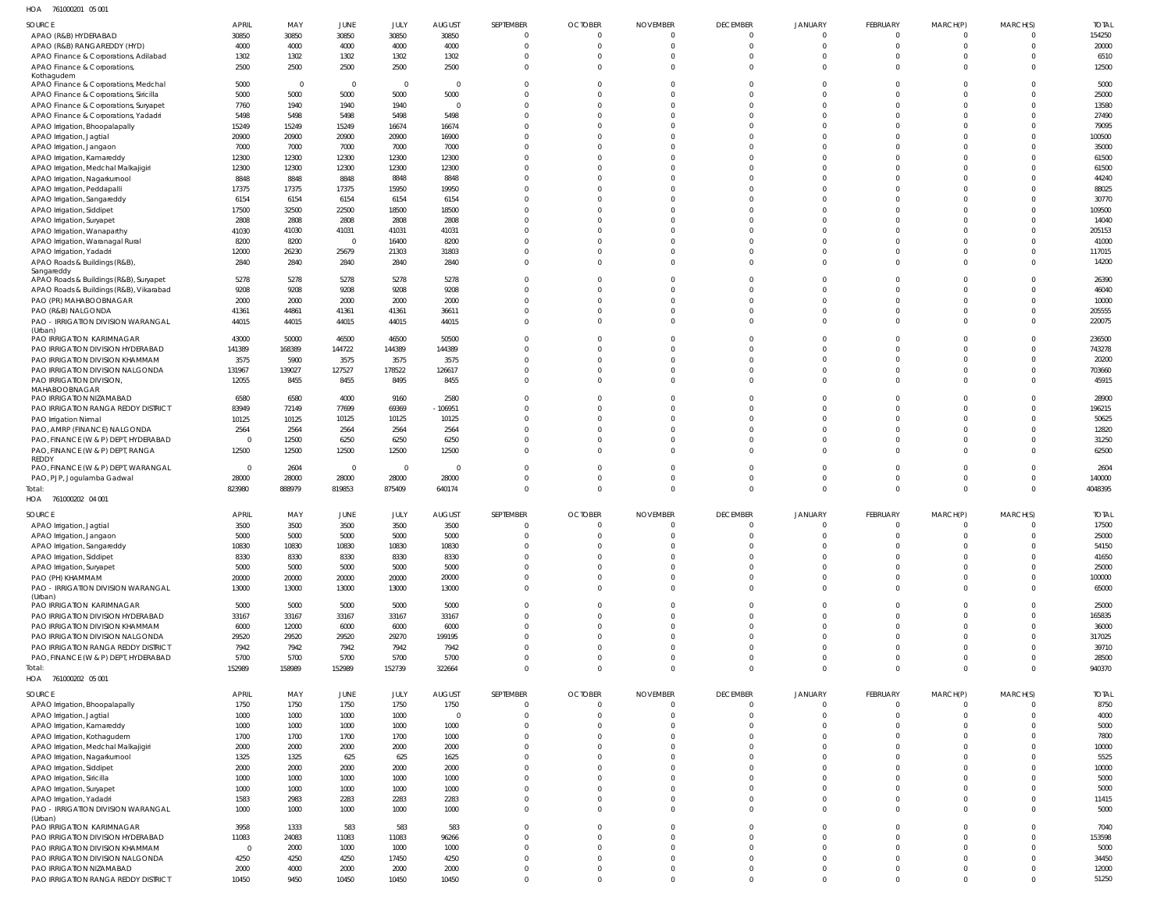761000201 05 001 HOA

| SOURCE                                             | <b>APRIL</b>   | MAY            | JUNE           | JULY                    | <b>AUGUST</b>  | SEPTEMBER      | <b>OCTOBER</b> | <b>NOVEMBER</b> | <b>DECEMBER</b> | <b>JANUARY</b> | FEBRUARY       | MARCH(P)       | MARCH(S)       | <b>TOTAL</b> |
|----------------------------------------------------|----------------|----------------|----------------|-------------------------|----------------|----------------|----------------|-----------------|-----------------|----------------|----------------|----------------|----------------|--------------|
| APAO (R&B) HYDERABAD                               | 30850          | 30850          | 30850          | 30850                   | 30850          | $\overline{0}$ | $\Omega$       | $\Omega$        | $\mathbf 0$     | $\mathbf 0$    | $\mathbf{0}$   | $\Omega$       |                | 154250       |
| APAO (R&B) RANGAREDDY (HYD)                        | 4000           | 4000           | 4000           | 4000                    | 4000           | $\Omega$       | $\Omega$       |                 | $\mathbf 0$     | $\mathbf 0$    | $\mathbf 0$    | $\Omega$       | $\Omega$       | 20000        |
| APAO Finance & Corporations, Adilabad              | 1302           | 1302           | 1302           | 1302                    | 1302           | $\Omega$       | $\Omega$       | $\Omega$        | $\mathbf 0$     | $\Omega$       | $\mathbf 0$    | $\Omega$       | $\Omega$       | 6510         |
| APAO Finance & Corporations,                       | 2500           | 2500           | 2500           | 2500                    | 2500           | $\Omega$       | $\Omega$       | 0               | $\Omega$        | $\mathbf 0$    | $\Omega$       | $\Omega$       | $\Omega$       | 12500        |
| Kothagudem<br>APAO Finance & Corporations, Medchal | 5000           | $\overline{0}$ | $\overline{0}$ | $\overline{\mathbf{0}}$ | $\overline{0}$ | $\Omega$       | $\Omega$       |                 | $\Omega$        | $^{\circ}$     | $\mathbf{0}$   | $\Omega$       | $\Omega$       | 5000         |
|                                                    | 5000           | 5000           | 5000           | 5000                    | 5000           | $\Omega$       | $\Omega$       |                 | $\Omega$        | $\Omega$       | $\Omega$       | $\Omega$       | $\Omega$       | 25000        |
| APAO Finance & Corporations, Siricilla             |                |                | 1940           | 1940                    | $\Omega$       | 0              | 0              |                 | $\Omega$        | $\Omega$       | $\Omega$       | $\Omega$       | $\Omega$       | 13580        |
| APAO Finance & Corporations, Suryapet              | 7760           | 1940           |                |                         |                |                |                |                 |                 |                |                |                | $\Omega$       |              |
| APAO Finance & Corporations, Yadadri               | 5498           | 5498           | 5498           | 5498                    | 5498           | $\Omega$       | 0              |                 | $\Omega$        | $\Omega$       | $\Omega$       | $\Omega$       |                | 27490        |
| APAO Irrigation, Bhoopalapally                     | 15249          | 15249          | 15249          | 16674                   | 16674          | $\Omega$       | 0              |                 | $\Omega$        | $\Omega$       | $\Omega$       | $\Omega$       | $\Omega$       | 79095        |
| APAO Irrigation, Jagtial                           | 20900          | 20900          | 20900          | 20900                   | 16900          | <sup>0</sup>   | <sup>0</sup>   |                 | $\Omega$        | $\Omega$       | $\Omega$       | $\Omega$       | $\Omega$       | 100500       |
| APAO Irrigation, Jangaon                           | 7000           | 7000           | 7000           | 7000                    | 7000           | $\Omega$       | $\Omega$       |                 | $\Omega$        | $\Omega$       | $\Omega$       | $\Omega$       | $\Omega$       | 35000        |
| APAO Irrigation, Kamareddy                         | 12300          | 12300          | 12300          | 12300                   | 12300          | $\Omega$       | $\Omega$       |                 | $\Omega$        | $\Omega$       | $\Omega$       | $\Omega$       | $\Omega$       | 61500        |
| APAO Irrigation, Medchal Malkajigiri               | 12300          | 12300          | 12300          | 12300                   | 12300          | $\Omega$       | $\Omega$       |                 | $\Omega$        | $\Omega$       | $\Omega$       | $\Omega$       | $\Omega$       | 61500        |
| APAO Irrigation, Nagarkurnool                      | 8848           | 8848           | 8848           | 8848                    | 8848           | $\Omega$       |                |                 | $\Omega$        | $\Omega$       | $\Omega$       | $\Omega$       | $\Omega$       | 44240        |
| APAO Irrigation, Peddapalli                        | 17375          | 17375          | 17375          | 15950                   | 19950          | 0              | <sup>0</sup>   |                 | $\Omega$        | $\Omega$       | $\Omega$       | $\Omega$       | $\Omega$       | 88025        |
| APAO Irrigation, Sangareddy                        | 6154           | 6154           | 6154           | 6154                    | 6154           | $\Omega$       | $\Omega$       |                 | $\Omega$        | $\Omega$       | $\Omega$       | $\Omega$       | $\Omega$       | 30770        |
| APAO Irrigation, Siddipet                          | 17500          | 32500          | 22500          | 18500                   | 18500          | $\Omega$       | 0              |                 | $\Omega$        | $\Omega$       | $\Omega$       | $\Omega$       | $\Omega$       | 109500       |
| APAO Irrigation, Suryapet                          | 2808           | 2808           | 2808           | 2808                    | 2808           | $\Omega$       |                |                 | $\Omega$        | $\Omega$       | $\Omega$       | $\Omega$       | $\Omega$       | 14040        |
| APAO Irrigation, Wanaparthy                        | 41030          | 41030          | 41031          | 41031                   | 41031          | 0              | <sup>0</sup>   |                 | $\Omega$        | $\Omega$       | $\Omega$       | $\Omega$       | $\Omega$       | 205153       |
| APAO Irrigation, Waranagal Rural                   | 8200           | 8200           | $\overline{0}$ | 16400                   | 8200           | $\Omega$       | $\Omega$       |                 | $\Omega$        | $\Omega$       | $\Omega$       | $\Omega$       | $\Omega$       | 41000        |
| APAO Irrigation, Yadadri                           | 12000          | 26230          | 25679          | 21303                   | 31803          | $\Omega$       | $\Omega$       | $\Omega$        | $\Omega$        | $\Omega$       | $\Omega$       | $\Omega$       | $\Omega$       | 117015       |
| APAO Roads & Buildings (R&B),                      | 2840           | 2840           | 2840           | 2840                    | 2840           | $\Omega$       | $\Omega$       | $\Omega$        | $\Omega$        | $\mathbf 0$    | $\Omega$       | $\Omega$       | $\Omega$       | 14200        |
| Sangareddy                                         |                |                |                |                         |                |                |                |                 |                 |                |                |                |                |              |
| APAO Roads & Buildings (R&B), Suryapet             | 5278           | 5278           | 5278           | 5278                    | 5278           | $\Omega$       | $\Omega$       |                 | $\Omega$        | $\mathbf 0$    | $\mathbf{0}$   | $\Omega$       | $\Omega$       | 26390        |
| APAO Roads & Buildings (R&B), Vikarabad            | 9208           | 9208           | 9208           | 9208                    | 9208           | $\Omega$       | $\Omega$       |                 | $\Omega$        | $\Omega$       | $\Omega$       | $\Omega$       | $\Omega$       | 46040        |
| PAO (PR) MAHABOOBNAGAR                             | 2000           | 2000           | 2000           | 2000                    | 2000           | 0              | 0              |                 | $\Omega$        | $\Omega$       | $\Omega$       | $\Omega$       | $\Omega$       | 10000        |
| PAO (R&B) NALGONDA                                 | 41361          | 44861          | 41361          | 41361                   | 36611          | $\Omega$       | $\Omega$       | $\Omega$        | $\Omega$        | $\mathbf 0$    | $\mathbf 0$    | $\Omega$       | $\Omega$       | 205555       |
| PAO - IRRIGATION DIVISION WARANGAL                 | 44015          | 44015          | 44015          | 44015                   | 44015          | $\Omega$       | $\Omega$       |                 | $\Omega$        | $\Omega$       | $\Omega$       | $\Omega$       | $\Omega$       | 220075       |
| (Urban)                                            |                |                |                |                         |                |                |                |                 |                 |                |                |                |                |              |
| PAO IRRIGATION KARIMNAGAR                          | 43000          | 50000          | 46500          | 46500                   | 50500          | $\Omega$       | $\Omega$       |                 | $\mathbf 0$     | $\mathbf 0$    | $\mathbf 0$    | $\Omega$       | $\Omega$       | 236500       |
| PAO IRRIGATION DIVISION HYDERABAD                  | 141389         | 168389         | 144722         | 144389                  | 144389         | $\Omega$       | $\Omega$       |                 | $\mathbf 0$     | $\mathbf 0$    | $\mathbf{0}$   | $\Omega$       | $\Omega$       | 743278       |
| PAO IRRIGATION DIVISION KHAMMAM                    | 3575           | 5900           | 3575           | 3575                    | 3575           | $\Omega$       | $\Omega$       |                 | $\mathbf 0$     | $\mathbf 0$    | $\mathbf 0$    | $\Omega$       | $\Omega$       | 20200        |
| PAO IRRIGATION DIVISION NALGONDA                   | 131967         | 139027         | 127527         | 178522                  | 126617         | 0              | 0              | 0               | $\mathbf 0$     | $\mathbf 0$    | $\mathbf 0$    | $\Omega$       | $\Omega$       | 703660       |
| PAO IRRIGATION DIVISION,                           | 12055          | 8455           | 8455           | 8495                    | 8455           | $\Omega$       | $\Omega$       | $\Omega$        | $\mathbf{0}$    | $\mathbf 0$    | $\mathbf 0$    | $\Omega$       | $\Omega$       | 45915        |
| MAHABOOBNAGAR                                      |                |                |                |                         |                |                |                |                 |                 |                |                |                |                |              |
| PAO IRRIGATION NIZAMABAD                           | 6580           | 6580           | 4000           | 9160                    | 2580           | $\Omega$       | 0              |                 | $\mathbf 0$     | $\mathbf 0$    | $\mathbf 0$    | $\Omega$       | $\Omega$       | 28900        |
| PAO IRRIGATION RANGA REDDY DISTRICT                | 83949          | 72149          | 77699          | 69369                   | $-106951$      | $\Omega$       | $\Omega$       |                 | $\mathbf 0$     | $\mathbf 0$    | $\mathbf 0$    | $\Omega$       | $\Omega$       | 196215       |
| PAO Irrigation Nirmal                              | 10125          | 10125          | 10125          | 10125                   | 10125          | $\Omega$       | $\Omega$       |                 | $\mathbf{0}$    | $\mathbf{0}$   | $\mathbf 0$    | $\Omega$       | $\Omega$       | 50625        |
| PAO, AMRP (FINANCE) NALGONDA                       | 2564           | 2564           | 2564           | 2564                    | 2564           | $\Omega$       | $\Omega$       |                 | $\mathbf 0$     | $\mathbf 0$    | $\mathbf 0$    | $\Omega$       | $\Omega$       | 12820        |
| PAO, FINANCE (W & P) DEPT, HYDERABAD               | $\overline{0}$ | 12500          | 6250           | 6250                    | 6250           | $\Omega$       | $\Omega$       |                 | $\mathbf 0$     | $\mathbf 0$    | $\mathbf 0$    | $\Omega$       | $\Omega$       | 31250        |
| PAO, FINANCE (W & P) DEPT, RANGA                   | 12500          | 12500          | 12500          | 12500                   | 12500          | $\Omega$       | $\Omega$       |                 | $\mathbf 0$     | $\mathbf 0$    | $\mathbf 0$    | $\Omega$       | $\Omega$       | 62500        |
| REDDY                                              |                |                |                |                         |                |                |                |                 |                 |                |                |                |                |              |
| PAO, FINANCE (W & P) DEPT, WARANGAL                | $\overline{0}$ | 2604           | $\overline{0}$ | $\overline{0}$          | $\overline{0}$ | $\Omega$       | $\mathbf 0$    | $\Omega$        | $\mathbf 0$     | $\overline{0}$ | $\mathbf 0$    | $\overline{0}$ | $\Omega$       | 2604         |
| PAO, PJP, Jogulamba Gadwal                         | 28000          | 28000          | 28000          | 28000                   | 28000          | $\overline{0}$ | $\mathbf 0$    | $\Omega$        | $\overline{0}$  | $\overline{0}$ | $\mathbf{0}$   | $\overline{0}$ | $\overline{0}$ | 140000       |
| Total:                                             | 823980         | 888979         | 819853         | 875409                  | 640174         | $\Omega$       | $\Omega$       | $\Omega$        | $\Omega$        | $\mathbf 0$    | $\Omega$       | $\Omega$       | $\Omega$       | 4048395      |
| HOA 761000202 04 001                               |                |                |                |                         |                |                |                |                 |                 |                |                |                |                |              |
|                                                    |                |                |                |                         |                |                |                |                 |                 |                |                |                |                |              |
| SOURCE                                             | <b>APRIL</b>   | MAY            | JUNE           | JULY                    | <b>AUGUST</b>  | SEPTEMBER      | <b>OCTOBER</b> | <b>NOVEMBER</b> | <b>DECEMBER</b> | <b>JANUARY</b> | FEBRUARY       | MARCH(P)       | MARCH(S)       | <b>TOTAL</b> |
| APAO Irrigation, Jagtial                           | 3500           | 3500           | 3500           | 3500                    | 3500           | $\mathbf 0$    | $\mathbf 0$    | $\Omega$        | $\mathbf 0$     | $\mathbf{0}$   | $\overline{0}$ | $\overline{0}$ | $\Omega$       | 17500        |
| APAO Irrigation, Jangaon                           | 5000           | 5000           | 5000           | 5000                    | 5000           |                |                |                 |                 |                |                |                |                | 25000        |
| APAO Irrigation, Sangareddy                        | 10830          | 10830          | 10830          | 10830                   | 10830          | $\Omega$       |                |                 | $\Omega$        | $\mathbf 0$    | $\mathbf{0}$   | $\Omega$       | $\Omega$       | 54150        |
| APAO Irrigation, Siddipet                          | 8330           | 8330           | 8330           | 8330                    | 8330           | $\Omega$       | $\Omega$       | $\Omega$        | $\mathbf 0$     | $\mathbf 0$    | $\mathbf 0$    | $\Omega$       | $\Omega$       | 41650        |
| APAO Irrigation, Suryapet                          | 5000           | 5000           | 5000           | 5000                    | 5000           | $\Omega$       | $\Omega$       | $\Omega$        | $\Omega$        | $\Omega$       | $\Omega$       | $\Omega$       | $\Omega$       | 25000        |
| PAO (PH) KHAMMAM                                   | 20000          | 20000          | 20000          | 20000                   | 20000          | $\mathbf 0$    | $\Omega$       | $\Omega$        | $\mathbf 0$     | $\mathbf 0$    | $\mathbf 0$    | $\overline{0}$ | $\mathbf 0$    | 100000       |
| PAO - IRRIGATION DIVISION WARANGAL                 | 13000          | 13000          | 13000          | 13000                   | 13000          | $\Omega$       | $\Omega$       | $\Omega$        | $\Omega$        | $\Omega$       | $\Omega$       | $\Omega$       | $\Omega$       | 65000        |
| (Urban)                                            |                |                |                |                         |                |                |                |                 |                 |                |                |                |                |              |
| PAO IRRIGATION KARIMNAGAR                          | 5000           | 5000           | 5000           | 5000                    | 5000           | $\Omega$       | $\Omega$       | $\Omega$        | $\mathbf 0$     | $\mathbf 0$    | $\mathbf 0$    | $\overline{0}$ | $\overline{0}$ | 25000        |
| PAO IRRIGATION DIVISION HYDERABAD                  | 33167          | 33167          | 33167          | 33167                   | 33167          | $\Omega$       | $\Omega$       | $\Omega$        | $\Omega$        | $\mathbf 0$    | $\Omega$       | $\Omega$       | $\Omega$       | 165835       |
| PAO IRRIGATION DIVISION KHAMMAM                    | 6000           | 12000          | 6000           | 6000                    | 6000           | $\mathbf 0$    | $\Omega$       | $\Omega$        | $\mathbf 0$     | $\mathbf 0$    | $\mathbf 0$    | $\overline{0}$ | $\Omega$       | 36000        |
| PAO IRRIGATION DIVISION NALGONDA                   | 29520          | 29520          | 29520          | 29270                   | 199195         | $\Omega$       | $\Omega$       | $\Omega$        | $\Omega$        | $\mathbf 0$    | $\Omega$       | $\Omega$       | $\Omega$       | 317025       |
| PAO IRRIGATION RANGA REDDY DISTRICT                | 7942           | 7942           | 7942           | 7942                    | 7942           | $\Omega$       | $\Omega$       | $\Omega$        | $\Omega$        | $\mathbf 0$    | $\mathbf 0$    | $\Omega$       | $\Omega$       | 39710        |
| PAO, FINANCE (W & P) DEPT, HYDERABAD               | 5700           | 5700           | 5700           | 5700                    | 5700           | $\Omega$       | $\Omega$       | $\Omega$        | $\Omega$        | $\mathbf 0$    | $\Omega$       | $\Omega$       | $\mathbf 0$    | 28500        |
| Total:                                             | 152989         | 158989         | 152989         | 152739                  | 322664         | $\Omega$       | $\Omega$       | $\Omega$        | $\Omega$        | $\mathbf 0$    | $\Omega$       | $\Omega$       | $\Omega$       | 940370       |
| HOA 761000202 05 001                               |                |                |                |                         |                |                |                |                 |                 |                |                |                |                |              |
| <b>SOURCE</b>                                      | APRIL          | MAY            | <b>JUNE</b>    | JULY                    | <b>AUGUST</b>  | SEPTEMBER      | <b>OCTOBER</b> | <b>NOVEMBER</b> | <b>DECEMBER</b> | JANUARY        | FEBRUARY       | MARCH(P)       | MARCH(S)       | <b>TOTAL</b> |
| APAO Irrigation, Bhoopalapally                     | 1750           | 1750           | 1750           | 1750                    | 1750           | $\mathbf{0}$   | $\mathbf 0$    | 0               | $\overline{0}$  | $\overline{0}$ | $\overline{0}$ | $\overline{0}$ | $\Omega$       | 8750         |
|                                                    | 1000           | 1000           | 1000           | 1000                    | $\overline{0}$ | $\mathbf 0$    | $\Omega$       | $\Omega$        | $\overline{0}$  | $\overline{0}$ | $\overline{0}$ | $\Omega$       | $\Omega$       | 4000         |
| APAO Irrigation, Jagtial                           | 1000           | 1000           | 1000           | 1000                    | 1000           | $\mathbf 0$    | $\Omega$       | $\Omega$        | $\overline{0}$  | $\mathbf 0$    | $\mathbf 0$    | $\Omega$       | $\Omega$       | 5000         |
| APAO Irrigation, Kamareddy                         |                |                |                |                         |                |                | $\Omega$       | $\Omega$        |                 |                |                |                |                |              |
| APAO Irrigation, Kothagudem                        | 1700           | 1700           | 1700           | 1700                    | 1000           | $\mathbf 0$    |                |                 | $\overline{0}$  | $\mathbf 0$    | $\mathbf 0$    | $\overline{0}$ | $\Omega$       | 7800         |
| APAO Irrigation, Medchal Malkajigiri               | 2000           | 2000           | 2000           | 2000                    | 2000           | $\Omega$       | $\Omega$       | $\Omega$        | $\overline{0}$  | $\mathbf 0$    | $\mathbf 0$    | $\Omega$       | $\Omega$       | 10000        |
| APAO Irrigation, Nagarkurnool                      | 1325           | 1325           | 625            | 625                     | 1625           | $\Omega$       | $\Omega$       | $\Omega$        | $\mathbf 0$     | $\mathbf 0$    | $\mathbf 0$    | $\Omega$       | $\Omega$       | 5525         |
| APAO Irrigation, Siddipet                          | 2000           | 2000           | 2000           | 2000                    | 2000           | $\mathbf 0$    | $\Omega$       | $\Omega$        | $\mathbf 0$     | $\mathbf 0$    | $\mathbf 0$    | $\Omega$       | $\Omega$       | 10000        |
| APAO Irrigation, Siricilla                         | 1000           | 1000           | 1000           | 1000                    | 1000           | $\mathbf 0$    | $\Omega$       | $\Omega$        | $\mathbf 0$     | $\mathbf 0$    | $\mathbf 0$    | $\Omega$       | $\Omega$       | 5000         |
| APAO Irrigation, Suryapet                          | 1000           | 1000           | 1000           | 1000                    | 1000           | $\Omega$       | $\Omega$       | $\Omega$        | $\mathbf 0$     | $\mathbf 0$    | $\mathbf 0$    | $\overline{0}$ | $\Omega$       | 5000         |
| APAO Irrigation, Yadadri                           | 1583           | 2983           | 2283           | 2283                    | 2283           | $\mathbf 0$    | $\Omega$       | $\Omega$        | $\mathbf 0$     | $\mathbf 0$    | $\mathbf 0$    | $\overline{0}$ | $\Omega$       | 11415        |
| PAO - IRRIGATION DIVISION WARANGAL                 | 1000           | 1000           | 1000           | 1000                    | 1000           | $\mathbf 0$    | $\Omega$       | $\Omega$        | $\overline{0}$  | $\overline{0}$ | $\overline{0}$ | $\Omega$       | $\Omega$       | 5000         |
| (Urban)                                            |                |                |                |                         |                |                |                |                 |                 |                |                |                |                |              |
| PAO IRRIGATION KARIMNAGAR                          | 3958           | 1333           | 583            | 583                     | 583            | $\mathbf 0$    | $\Omega$       | $\Omega$        | $\mathbf 0$     | $\mathbf 0$    | $\mathbf 0$    | $\Omega$       | $\Omega$       | 7040         |
| PAO IRRIGATION DIVISION HYDERABAD                  | 11083          | 24083          | 11083          | 11083                   | 96266          | $\mathbf 0$    | $\Omega$       | $\Omega$        | $\mathbf 0$     | $\mathbf 0$    | $\overline{0}$ | $\overline{0}$ | $\Omega$       | 153598       |
| PAO IRRIGATION DIVISION KHAMMAM                    | $\overline{0}$ | 2000           | 1000           | 1000                    | 1000           | $\mathbf 0$    | $\Omega$       | $\Omega$        | $\mathbf 0$     | $\mathbf 0$    | $\mathbf 0$    | $\overline{0}$ | $\Omega$       | 5000         |
| PAO IRRIGATION DIVISION NALGONDA                   | 4250           | 4250           | 4250           | 17450                   | 4250           | $\mathbf 0$    | $\Omega$       | $\Omega$        | $\overline{0}$  | $\overline{0}$ | $\overline{0}$ | $\overline{0}$ | $\Omega$       | 34450        |
| PAO IRRIGATION NIZAMABAD                           | 2000           | 4000           | 2000           | 2000                    | 2000           | $\mathbf 0$    | $\mathbf 0$    | $\mathbf 0$     | $\mathbf 0$     | $\overline{0}$ | $\overline{0}$ | $\overline{0}$ | $\Omega$       | 12000        |
| PAO IRRIGATION RANGA REDDY DISTRICT                | 10450          | 9450           | 10450          | 10450                   | 10450          | $\overline{0}$ | $\mathbf{0}$   | $\mathbf 0$     | $\mathbf 0$     | $\mathbf 0$    | $\mathbf 0$    | $\overline{0}$ | $\Omega$       | 51250        |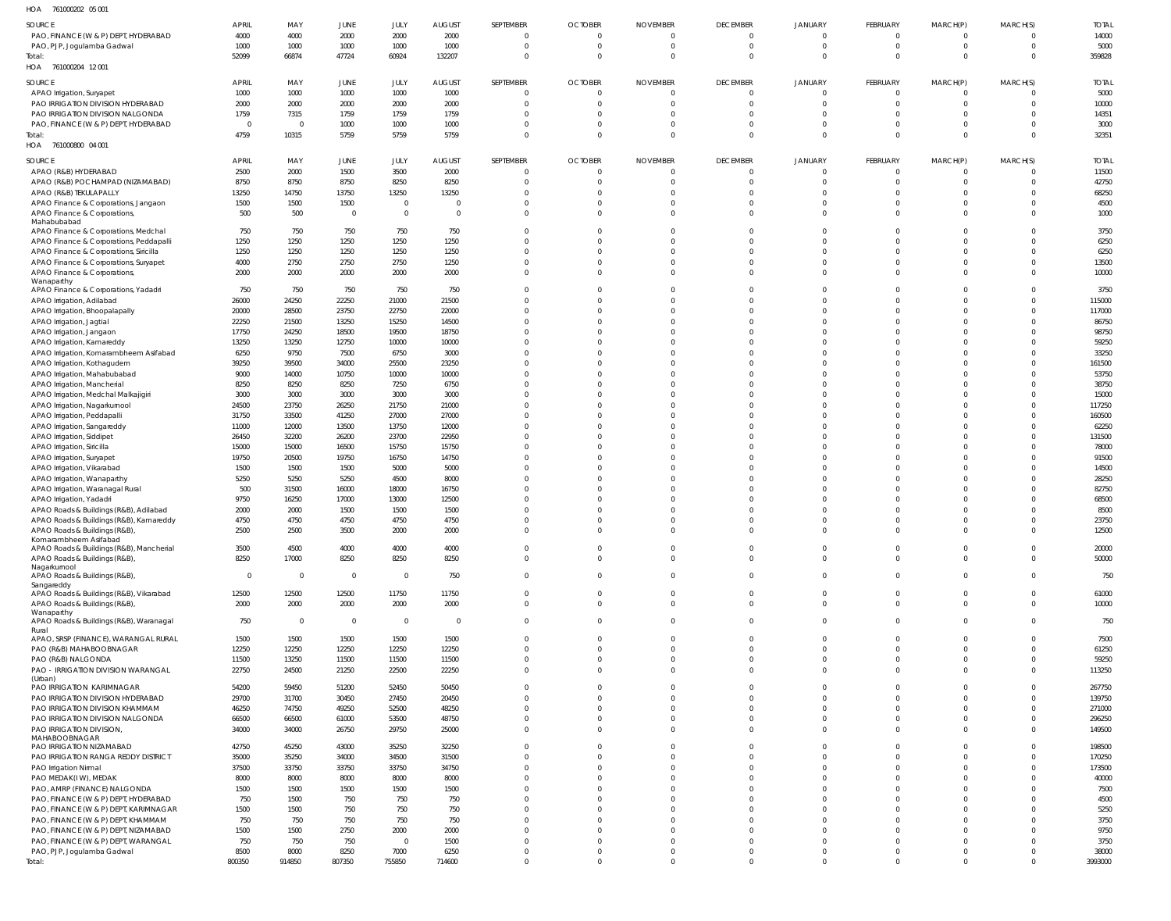| HOA | 761000202 05 001 |  |
|-----|------------------|--|

| SOURCE                                              | <b>APRIL</b>   | MAY            | JUNE           | JULY           | <b>AUGUST</b>           | SEPTEMBER      | <b>OCTOBER</b> | <b>NOVEMBER</b> | <b>DECEMBER</b> | JANUARY        | FEBRUARY        | MARCH(P)       | MARCH(S)     | <b>TOTAL</b> |
|-----------------------------------------------------|----------------|----------------|----------------|----------------|-------------------------|----------------|----------------|-----------------|-----------------|----------------|-----------------|----------------|--------------|--------------|
| PAO, FINANCE (W & P) DEPT, HYDERABAD                | 4000           | 4000           | 2000           | 2000           | 2000                    | $\mathbf{0}$   | $\overline{0}$ | $\Omega$        | $\overline{0}$  | $\overline{0}$ | $\overline{0}$  | $\Omega$       | $\Omega$     | 14000        |
| PAO, PJP, Jogulamba Gadwal                          | 1000           | 1000           | 1000           | 1000           | 1000                    | $\Omega$       | $\Omega$       | $\Omega$        | $\overline{0}$  | $\mathbf 0$    | $\mathbf 0$     | $\Omega$       | $\Omega$     | 5000         |
| Total:                                              | 52099          | 66874          | 47724          | 60924          | 132207                  | $\Omega$       | $\Omega$       | $\Omega$        | $\overline{0}$  | $\overline{0}$ | $\Omega$        | $\Omega$       | $\mathbf 0$  | 359828       |
| HOA 761000204 12001                                 |                |                |                |                |                         |                |                |                 |                 |                |                 |                |              |              |
| SOURCE                                              | <b>APRIL</b>   | MAY            | JUNE           | JULY           | <b>AUGUST</b>           | SEPTEMBER      | <b>OCTOBER</b> | <b>NOVEMBER</b> | <b>DECEMBER</b> | JANUARY        | <b>FEBRUARY</b> | MARCH(P)       | MARCH(S)     | <b>TOTAL</b> |
| APAO Irrigation, Suryapet                           | 1000           | 1000           | 1000           | 1000           | 1000                    | $\Omega$       |                |                 | $\overline{0}$  | $\mathbf 0$    | $\Omega$        |                | $\Omega$     | 5000         |
| PAO IRRIGATION DIVISION HYDERABAD                   | 2000           | 2000           | 2000           | 2000           | 2000                    | $\Omega$       | $\Omega$       |                 | $\overline{0}$  | $\mathbf 0$    | $\mathbf 0$     |                | $\mathbf 0$  | 10000        |
| PAO IRRIGATION DIVISION NALGONDA                    | 1759           | 7315           | 1759           | 1759           | 1759                    | $\Omega$       |                |                 | $\Omega$        | $\Omega$       | $\Omega$        |                | $\Omega$     | 14351        |
|                                                     | $\overline{0}$ | $\overline{0}$ |                |                |                         | $\Omega$       |                |                 | $\overline{0}$  | $\mathbf 0$    | $\Omega$        |                | $\Omega$     |              |
| PAO, FINANCE (W & P) DEPT, HYDERABAD                |                |                | 1000           | 1000           | 1000                    |                |                |                 |                 |                |                 |                |              | 3000         |
| Total:                                              | 4759           | 10315          | 5759           | 5759           | 5759                    | $\mathbf 0$    | $\Omega$       |                 | $\Omega$        | $\Omega$       | $\Omega$        |                | $\Omega$     | 32351        |
| HOA<br>761000800 04 001                             |                |                |                |                |                         |                |                |                 |                 |                |                 |                |              |              |
| SOURCE                                              | <b>APRIL</b>   | MAY            | JUNE           | JULY           | <b>AUGUST</b>           | SEPTEMBER      | <b>OCTOBER</b> | <b>NOVEMBER</b> | <b>DECEMBER</b> | JANUARY        | <b>FEBRUARY</b> | MARCH(P)       | MARCH(S)     | <b>TOTAL</b> |
| APAO (R&B) HYDERABAD                                | 2500           | 2000           | 1500           | 3500           | 2000                    | $\Omega$       | $\Omega$       |                 | $\Omega$        | $\mathbf 0$    | $\Omega$        |                | $\Omega$     | 11500        |
| APAO (R&B) POCHAMPAD (NIZAMABAD)                    | 8750           | 8750           | 8750           | 8250           | 8250                    | $\Omega$       | $\Omega$       |                 | $\Omega$        | $\Omega$       | $\Omega$        | - 0            | $\Omega$     | 42750        |
| APAO (R&B) TEKULAPALLY                              | 13250          | 14750          | 13750          | 13250          | 13250                   | $\Omega$       | $\Omega$       |                 | $\Omega$        | $\Omega$       | $\Omega$        |                | $\Omega$     | 68250        |
|                                                     |                |                | 1500           | $\overline{0}$ | $\overline{0}$          | $\Omega$       | $\Omega$       |                 | $\overline{0}$  | $\Omega$       | $\Omega$        |                | $\Omega$     | 4500         |
| APAO Finance & Corporations, Jangaon                | 1500           | 1500           |                |                |                         |                |                |                 |                 |                |                 |                |              |              |
| APAO Finance & Corporations,                        | 500            | 500            | $\overline{0}$ | $\overline{0}$ | $\overline{0}$          | $\Omega$       | $\Omega$       | $\Omega$        | $\Omega$        | $\Omega$       | $\Omega$        | $\Omega$       | $\Omega$     | 1000         |
| Mahabubabad<br>APAO Finance & Corporations, Medchal | 750            | 750            | 750            | 750            | 750                     | $\Omega$       |                |                 | $\Omega$        | $\Omega$       |                 |                | $\Omega$     | 3750         |
| APAO Finance & Corporations, Peddapalli             | 1250           | 1250           | 1250           | 1250           | 1250                    | $\Omega$       | $\Omega$       |                 | $\Omega$        | $\Omega$       |                 |                | $\Omega$     | 6250         |
| APAO Finance & Corporations, Siricilla              |                |                |                |                |                         | $\Omega$       | $\Omega$       |                 | $\Omega$        | $\Omega$       | $\Omega$        |                | $\Omega$     |              |
|                                                     | 1250           | 1250           | 1250           | 1250           | 1250                    |                |                |                 |                 |                |                 |                |              | 6250         |
| APAO Finance & Corporations, Suryapet               | 4000           | 2750           | 2750           | 2750           | 1250                    | $\Omega$       | $\Omega$       |                 | $\Omega$        | $\Omega$       | $\Omega$        |                | $\Omega$     | 13500        |
| APAO Finance & Corporations,                        | 2000           | 2000           | 2000           | 2000           | 2000                    | $\Omega$       | $\Omega$       | $\Omega$        | $\Omega$        | $\Omega$       | $\Omega$        | $\cap$         | $\Omega$     | 10000        |
| Wanaparthy<br>APAO Finance & Corporations, Yadadri  | 750            | 750            | 750            | 750            | 750                     | $\Omega$       | $\Omega$       |                 | $\Omega$        | $\Omega$       |                 |                | $\Omega$     | 3750         |
|                                                     |                |                |                |                |                         |                |                |                 | $\Omega$        | $\Omega$       |                 |                | $\Omega$     |              |
| APAO Irrigation, Adilabad                           | 26000          | 24250          | 22250          | 21000          | 21500                   |                |                |                 |                 |                |                 |                |              | 115000       |
| APAO Irrigation, Bhoopalapally                      | 20000          | 28500          | 23750          | 22750          | 22000                   | $\Omega$       | $\Omega$       |                 | $\Omega$        | $\Omega$       | $\Omega$        |                | $\Omega$     | 117000       |
| APAO Irrigation, Jagtial                            | 22250          | 21500          | 13250          | 15250          | 14500                   | <sup>0</sup>   | $\Omega$       |                 | $\Omega$        | $\Omega$       | $\Omega$        |                | $\Omega$     | 86750        |
| APAO Irrigation, Jangaon                            | 17750          | 24250          | 18500          | 19500          | 18750                   | $\Omega$       | $\Omega$       |                 | $\Omega$        |                |                 |                | $\Omega$     | 98750        |
| APAO Irrigation, Kamareddy                          | 13250          | 13250          | 12750          | 10000          | 10000                   |                | $\Omega$       |                 | $\Omega$        |                | $\Omega$        |                | $\Omega$     | 59250        |
| APAO Irrigation, Komarambheem Asifabad              | 6250           | 9750           | 7500           | 6750           | 3000                    | $\Omega$       | $\Omega$       |                 | $\Omega$        | $\Omega$       | $\Omega$        |                | $\Omega$     | 33250        |
| APAO Irrigation, Kothagudem                         | 39250          | 39500          | 34000          | 25500          | 23250                   | $\Omega$       |                |                 | $\Omega$        | $\Omega$       |                 |                | $\Omega$     | 161500       |
| APAO Irrigation, Mahabubabad                        | 9000           | 14000          | 10750          | 10000          | 10000                   | U              | $\cap$         |                 | $\Omega$        | <sup>0</sup>   |                 |                | $\Omega$     | 53750        |
| APAO Irrigation, Mancherial                         | 8250           | 8250           | 8250           | 7250           | 6750                    |                |                |                 | $\Omega$        | $\Omega$       | $\Omega$        |                | $\Omega$     | 38750        |
| APAO Irrigation, Medchal Malkajigiri                | 3000           | 3000           | 3000           | 3000           | 3000                    | $\Omega$       | $\Omega$       |                 | $\Omega$        | $\Omega$       | $\Omega$        |                | $\Omega$     | 15000        |
| APAO Irrigation, Nagarkurnool                       | 24500          | 23750          | 26250          | 21750          | 21000                   | <sup>0</sup>   |                |                 | $\Omega$        | $\Omega$       | $\Omega$        |                | $\Omega$     | 117250       |
| APAO Irrigation, Peddapalli                         | 31750          | 33500          | 41250          | 27000          | 27000                   | $\Omega$       | $\Omega$       |                 | $\Omega$        |                |                 |                | $\Omega$     | 160500       |
| APAO Irrigation, Sangareddy                         | 11000          | 12000          | 13500          | 13750          | 12000                   |                | $\Omega$       |                 | $\Omega$        | $\Omega$       | $\Omega$        |                | $\Omega$     | 62250        |
|                                                     | 26450          | 32200          | 26200          | 23700          | 22950                   | $\Omega$       | $\Omega$       |                 | $\Omega$        | $\Omega$       | $\Omega$        |                | $\Omega$     | 131500       |
| APAO Irrigation, Siddipet                           |                |                |                |                |                         |                | $\Omega$       |                 |                 | $\Omega$       |                 |                |              |              |
| APAO Irrigation, Siricilla                          | 15000          | 15000          | 16500          | 15750          | 15750                   |                |                |                 | $\Omega$        |                |                 |                | $\Omega$     | 78000        |
| APAO Irrigation, Suryapet                           | 19750          | 20500          | 19750          | 16750          | 14750                   | U              | $\Omega$       |                 | $\Omega$        | <sup>0</sup>   |                 |                | $\Omega$     | 91500        |
| APAO Irrigation, Vikarabad                          | 1500           | 1500           | 1500           | 5000           | 5000                    | <sup>0</sup>   | $\Omega$       |                 | $\Omega$        |                | $\Omega$        |                | $\Omega$     | 14500        |
| APAO Irrigation, Wanaparthy                         | 5250           | 5250           | 5250           | 4500           | 8000                    | $\Omega$       | $\cap$         |                 | $\Omega$        | U              |                 |                | $\Omega$     | 28250        |
| APAO Irrigation, Waranagal Rural                    | 500            | 31500          | 16000          | 18000          | 16750                   |                |                |                 | $\Omega$        | $\Omega$       |                 |                | $\Omega$     | 82750        |
| APAO Irrigation, Yadadri                            | 9750           | 16250          | 17000          | 13000          | 12500                   |                | $\cap$         |                 | $\Omega$        |                |                 |                | $\Omega$     | 68500        |
| APAO Roads & Buildings (R&B), Adilabad              | 2000           | 2000           | 1500           | 1500           | 1500                    |                |                |                 | $\Omega$        |                | $\Omega$        |                | $\Omega$     | 8500         |
| APAO Roads & Buildings (R&B), Kamareddy             | 4750           | 4750           | 4750           | 4750           | 4750                    | $\Omega$       |                |                 | $\Omega$        |                | $\Omega$        |                | $\Omega$     | 23750        |
| APAO Roads & Buildings (R&B),                       | 2500           | 2500           | 3500           | 2000           | 2000                    | $\Omega$       | $\Omega$       |                 | $\Omega$        | $\Omega$       | $\Omega$        |                | $\Omega$     | 12500        |
| Komarambheem Asifabad                               |                |                |                |                |                         |                |                |                 |                 |                |                 |                |              |              |
| APAO Roads & Buildings (R&B), Mancherial            | 3500           | 4500           | 4000           | 4000           | 4000                    | $\mathbf{0}$   | $\Omega$       | $\Omega$        | $\mathbf{0}$    | $\mathbf 0$    | $\Omega$        |                | $\mathbf{0}$ | 20000        |
| APAO Roads & Buildings (R&B),                       | 8250           | 17000          | 8250           | 8250           | 8250                    | $\overline{0}$ | $\mathbf 0$    | $\overline{0}$  | $\overline{0}$  | $\overline{0}$ | $\mathbf 0$     | $\Omega$       | $\mathbf 0$  | 50000        |
| Nagarkurnool                                        |                |                |                |                |                         |                |                |                 |                 |                |                 |                |              |              |
| APAO Roads & Buildings (R&B),                       | $\overline{0}$ | $\overline{0}$ | $\overline{0}$ | $\overline{0}$ | 750                     | $\overline{0}$ | $\overline{0}$ | $\Omega$        | $\overline{0}$  | $\overline{0}$ | $\mathbf 0$     | $\Omega$       | $\Omega$     | 750          |
| Sangareddy                                          |                | 12500          | 12500          | 11750          | 11750                   | $\mathbf{0}$   | $\mathbf 0$    | $\Omega$        | $\mathbf{0}$    | $\overline{0}$ | $\mathbf 0$     | $\overline{0}$ | $\mathbf 0$  | 61000        |
| APAO Roads & Buildings (R&B), Vikarabad             | 12500          |                |                |                |                         |                | $\Omega$       | $\Omega$        | $\Omega$        | $\Omega$       | $\Omega$        | $\Omega$       | $\Omega$     |              |
| APAO Roads & Buildings (R&B),<br>Wanaparthy         | 2000           | 2000           | 2000           | 2000           | 2000                    | $\overline{0}$ |                |                 |                 |                |                 |                |              | 10000        |
| APAO Roads & Buildings (R&B), Waranagal             | 750            | $\mathbf 0$    | $\overline{0}$ | $\overline{0}$ | $\overline{\mathbf{0}}$ | $\mathbf{0}$   | $\Omega$       | $\Omega$        | $\mathbf{0}$    | $\overline{0}$ | $\Omega$        | $\Omega$       | $\Omega$     | 750          |
| Rural                                               |                |                |                |                |                         |                |                |                 |                 |                |                 |                |              |              |
| APAO, SRSP (FINANCE), WARANGAL RURAL                | 1500           | 1500           | 1500           | 1500           | 1500                    | $\Omega$       | $\Omega$       | $\Omega$        | $\Omega$        | $\Omega$       | $\Omega$        | $\Omega$       | $\Omega$     | 7500         |
| PAO (R&B) MAHABOOBNAGAR                             | 12250          | 12250          | 12250          | 12250          | 12250                   | $\Omega$       | $\Omega$       | $\Omega$        | $\Omega$        | $\Omega$       | $\Omega$        | $\Omega$       | $\Omega$     | 61250        |
| PAO (R&B) NALGONDA                                  | 11500          | 13250          | 11500          | 11500          | 11500                   | $\Omega$       | $\Omega$       | $\Omega$        | $\Omega$        | $\Omega$       | $\Omega$        | $\Omega$       | $\Omega$     | 59250        |
| PAO - IRRIGATION DIVISION WARANGAL                  | 22750          | 24500          | 21250          | 22500          | 22250                   | $\Omega$       | $\Omega$       | $\Omega$        | $\Omega$        | $\Omega$       | $\Omega$        | $\Omega$       | $\Omega$     | 113250       |
| (Urban)                                             |                |                |                |                |                         |                |                |                 |                 |                |                 |                |              |              |
| PAO IRRIGATION KARIMNAGAR                           | 54200          | 59450          | 51200          | 52450          | 50450                   | $\Omega$       | $\Omega$       |                 | $\Omega$        | $\Omega$       | $\Omega$        |                | $\Omega$     | 267750       |
| PAO IRRIGATION DIVISION HYDERABAD                   | 29700          | 31700          | 30450          | 27450          | 20450                   | <sup>0</sup>   | $\Omega$       |                 | $\Omega$        | $\Omega$       | $\Omega$        |                | $\Omega$     | 139750       |
| PAO IRRIGATION DIVISION KHAMMAM                     | 46250          | 74750          | 49250          | 52500          | 48250                   | $\Omega$       | $\Omega$       | $\Omega$        | $\Omega$        | $\Omega$       | $\Omega$        | $\Omega$       | $\Omega$     | 271000       |
| PAO IRRIGATION DIVISION NALGONDA                    | 66500          | 66500          | 61000          | 53500          | 48750                   | $\Omega$       | $\Omega$       | $\Omega$        | $\mathbf{0}$    | $\mathbf 0$    | $\mathbf 0$     | $\Omega$       | $\Omega$     | 296250       |
| PAO IRRIGATION DIVISION,                            | 34000          | 34000          | 26750          | 29750          | 25000                   | $\Omega$       | $\Omega$       | $\Omega$        | $\Omega$        | $\Omega$       | $\Omega$        |                | $\Omega$     | 149500       |
| MAHABOOBNAGAR                                       |                |                |                |                |                         |                |                |                 |                 |                |                 |                |              |              |
| PAO IRRIGATION NIZAMABAD                            | 42750          | 45250          | 43000          | 35250          | 32250                   | $\Omega$       |                |                 | $\Omega$        | $\Omega$       | $\Omega$        |                | $\Omega$     | 198500       |
| PAO IRRIGATION RANGA REDDY DISTRICT                 | 35000          | 35250          | 34000          | 34500          | 31500                   | $\Omega$       | $\Omega$       |                 | $\Omega$        | $\Omega$       | $\Omega$        |                | $\Omega$     | 170250       |
| PAO Irrigation Nirmal                               | 37500          | 33750          | 33750          | 33750          | 34750                   | <sup>0</sup>   | $\Omega$       | $\Omega$        | $\Omega$        | $\Omega$       | $\Omega$        |                | $\Omega$     | 173500       |
| PAO MEDAK(IW), MEDAK                                | 8000           | 8000           | 8000           | 8000           | 8000                    | $\Omega$       |                |                 | $\Omega$        | U              | $\Omega$        |                | $\Omega$     | 40000        |
| PAO, AMRP (FINANCE) NALGONDA                        | 1500           | 1500           | 1500           | 1500           | 1500                    | <sup>0</sup>   |                |                 | $\Omega$        | $\Omega$       | $\Omega$        |                |              | 7500         |
| PAO, FINANCE (W & P) DEPT, HYDERABAD                | 750            | 1500           | 750            | 750            | 750                     | <sup>0</sup>   |                |                 | $\Omega$        | U              | U               |                | $\Omega$     | 4500         |
| PAO, FINANCE (W & P) DEPT, KARIMNAGAR               | 1500           | 1500           | 750            | 750            | 750                     | <sup>0</sup>   |                |                 | $\Omega$        | $\Omega$       | $\Omega$        |                |              | 5250         |
| PAO, FINANCE (W & P) DEPT, KHAMMAM                  | 750            | 750            | 750            | 750            | 750                     | $\Omega$       |                | $\cap$          | $\Omega$        | $\Omega$       | $\Omega$        |                |              | 3750         |
|                                                     |                |                |                |                |                         | $\Omega$       |                |                 | $\Omega$        | $\Omega$       | $\Omega$        |                |              |              |
| PAO, FINANCE (W & P) DEPT, NIZAMABAD                | 1500           | 1500           | 2750           | 2000           | 2000                    |                |                |                 |                 |                |                 |                |              | 9750         |
| PAO, FINANCE (W & P) DEPT, WARANGAL                 | 750            | 750            | 750            | $\overline{0}$ | 1500                    | $\Omega$       | $\Omega$       | $\Omega$        | $\Omega$        | $\Omega$       | $\Omega$        |                | $\Omega$     | 3750         |
| PAO, PJP, Jogulamba Gadwal                          | 8500           | 8000           | 8250           | 7000           | 6250                    | $\mathbf{0}$   | $\mathbf{0}$   | $\overline{0}$  | $\mathbf 0$     | $\mathbf 0$    | 0               | $\mathbf 0$    | $\Omega$     | 38000        |
| Total:                                              | 800350         | 914850         | 807350         | 755850         | 714600                  | $\mathbf 0$    | $\Omega$       | $\Omega$        | $\mathbf 0$     | $\mathbf 0$    | $\mathbf 0$     | $\Omega$       | $\Omega$     | 3993000      |